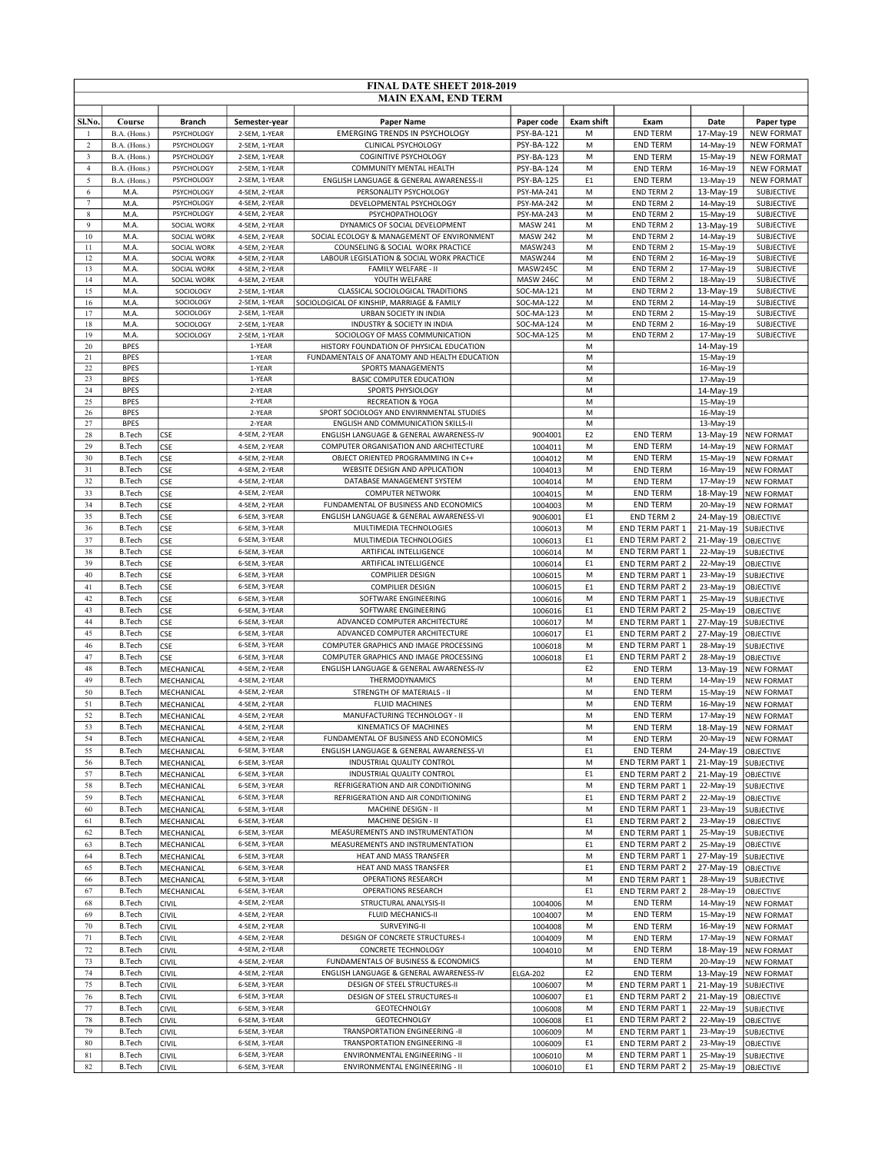|                         |                                |                            |                                | <b>FINAL DATE SHEET 2018-2019</b>                                                |                          |                     |                                           |                        |                                        |
|-------------------------|--------------------------------|----------------------------|--------------------------------|----------------------------------------------------------------------------------|--------------------------|---------------------|-------------------------------------------|------------------------|----------------------------------------|
|                         |                                |                            |                                | <b>MAIN EXAM, END TERM</b>                                                       |                          |                     |                                           |                        |                                        |
| Sl.No.                  | Course                         | <b>Branch</b>              | Semester-year                  | <b>Paper Name</b>                                                                | Paper code               | <b>Exam shift</b>   | Exam                                      | Date                   | Paper type                             |
| -1                      | B.A. (Hons.)                   | PSYCHOLOGY                 | 2-SEM, 1-YEAR                  | <b>EMERGING TRENDS IN PSYCHOLOGY</b>                                             | PSY-BA-121               | M                   | <b>END TERM</b>                           | 17-May-19              | <b>NEW FORMAT</b>                      |
| $\sqrt{2}$              | B.A. (Hons.)                   | PSYCHOLOGY                 | 2-SEM, 1-YEAR                  | CLINICAL PSYCHOLOGY                                                              | PSY-BA-122               | M                   | <b>END TERM</b>                           | 14-May-19              | <b>NEW FORMAT</b>                      |
| $\overline{\mathbf{3}}$ | B.A. (Hons.)                   | PSYCHOLOGY                 | 2-SEM, 1-YEAR                  | <b>COGINITIVE PSYCHOLOGY</b>                                                     | PSY-BA-123               | M                   | <b>END TERM</b>                           | 15-May-19              | <b>NEW FORMAT</b>                      |
| $\overline{4}$          | B.A. (Hons.)                   | PSYCHOLOGY                 | 2-SEM, 1-YEAR                  | COMMUNITY MENTAL HEALTH                                                          | PSY-BA-124               | M                   | <b>END TERM</b>                           | 16-May-19              | <b>NEW FORMAT</b>                      |
| 5<br>6                  | B.A. (Hons.)<br>M.A.           | PSYCHOLOGY<br>PSYCHOLOGY   | 2-SEM, 1-YEAR<br>4-SEM, 2-YEAR | ENGLISH LANGUAGE & GENERAL AWARENESS-II<br>PERSONALITY PSYCHOLOGY                | PSY-BA-125<br>PSY-MA-241 | E <sub>1</sub><br>M | <b>END TERM</b><br><b>END TERM 2</b>      | 13-May-19<br>13-May-19 | <b>NEW FORMAT</b><br><b>SUBJECTIVE</b> |
| $\overline{7}$          | M.A.                           | PSYCHOLOGY                 | 4-SEM, 2-YEAR                  | DEVELOPMENTAL PSYCHOLOGY                                                         | PSY-MA-242               | М                   | <b>END TERM 2</b>                         | 14-May-19              | SUBJECTIVE                             |
| 8                       | M.A.                           | PSYCHOLOGY                 | 4-SEM, 2-YEAR                  | PSYCHOPATHOLOGY                                                                  | PSY-MA-243               | M                   | <b>END TERM 2</b>                         | 15-May-19              | SUBJECTIVE                             |
| $\overline{9}$          | M.A.                           | SOCIAL WORK                | 4-SEM, 2-YEAR                  | DYNAMICS OF SOCIAL DEVELOPMENT                                                   | <b>MASW 241</b>          | M                   | <b>END TERM 2</b>                         | 13-May-19              | SUBJECTIVE                             |
| 10                      | M.A.                           | SOCIAL WORK<br>SOCIAL WORK | 4-SEM, 2-YEAR                  | SOCIAL ECOLOGY & MANAGEMENT OF ENVIRONMENT                                       | <b>MASW 242</b>          | M                   | <b>END TERM 2</b>                         | 14-May-19              | SUBJECTIVE                             |
| 11<br>12                | M.A.<br>M.A.                   | SOCIAL WORK                | 4-SEM, 2-YEAR<br>4-SEM, 2-YEAR | COUNSELING & SOCIAL WORK PRACTICE<br>LABOUR LEGISLATION & SOCIAL WORK PRACTICE   | MASW243<br>MASW244       | M<br>M              | <b>END TERM 2</b><br><b>END TERM 2</b>    | 15-May-19<br>16-May-19 | SUBJECTIVE<br>SUBJECTIVE               |
| 13                      | M.A.                           | SOCIAL WORK                | 4-SEM, 2-YEAR                  | FAMILY WELFARE - II                                                              | MASW245C                 | M                   | <b>END TERM 2</b>                         | 17-May-19              | SUBJECTIVE                             |
| 14                      | M.A.                           | SOCIAL WORK                | 4-SEM, 2-YEAR                  | YOUTH WELFARE                                                                    | MASW 246C                | M                   | <b>END TERM 2</b>                         | 18-May-19              | SUBJECTIVE                             |
| 15                      | M.A.                           | SOCIOLOGY                  | 2-SEM, 1-YEAR                  | CLASSICAL SOCIOLOGICAL TRADITIONS                                                | SOC-MA-121               | M                   | <b>END TERM 2</b>                         | 13-May-19              | SUBJECTIVE                             |
| 16<br>17                | M.A.<br>M.A.                   | SOCIOLOGY<br>SOCIOLOGY     | 2-SEM, 1-YEAR<br>2-SEM, 1-YEAR | SOCIOLOGICAL OF KINSHIP, MARRIAGE & FAMILY<br>URBAN SOCIETY IN INDIA             | SOC-MA-122<br>SOC-MA-123 | M<br>M              | <b>END TERM 2</b><br><b>END TERM 2</b>    | 14-May-19<br>15-May-19 | SUBJECTIVE<br>SUBJECTIVE               |
| 18                      | M.A.                           | SOCIOLOGY                  | 2-SEM, 1-YEAR                  | INDUSTRY & SOCIETY IN INDIA                                                      | SOC-MA-124               | M                   | <b>END TERM 2</b>                         | 16-May-19              | SUBJECTIVE                             |
| 19                      | M.A.                           | SOCIOLOGY                  | 2-SEM, 1-YEAR                  | SOCIOLOGY OF MASS COMMUNICATION                                                  | SOC-MA-125               | M                   | <b>END TERM 2</b>                         | 17-May-19              | SUBJECTIVE                             |
| 20                      | <b>BPES</b>                    |                            | 1-YEAR                         | HISTORY FOUNDATION OF PHYSICAL EDUCATION                                         |                          | M                   |                                           | 14-May-19              |                                        |
| 21<br>22                | <b>BPES</b><br><b>BPES</b>     |                            | 1-YEAR<br>1-YEAR               | FUNDAMENTALS OF ANATOMY AND HEALTH EDUCATION<br>SPORTS MANAGEMENTS               |                          | M<br>M              |                                           | 15-May-19<br>16-May-19 |                                        |
| 23                      | <b>BPES</b>                    |                            | 1-YEAR                         | <b>BASIC COMPUTER EDUCATION</b>                                                  |                          | M                   |                                           | 17-May-19              |                                        |
| 24                      | <b>BPES</b>                    |                            | 2-YEAR                         | SPORTS PHYSIOLOGY                                                                |                          | M                   |                                           | 14-May-19              |                                        |
| 25                      | <b>BPES</b>                    |                            | 2-YEAR                         | <b>RECREATION &amp; YOGA</b>                                                     |                          | M                   |                                           | 15-May-19              |                                        |
| 26<br>27                | <b>BPES</b><br><b>BPES</b>     |                            | 2-YEAR<br>2-YEAR               | SPORT SOCIOLOGY AND ENVIRNMENTAL STUDIES                                         |                          | M<br>M              |                                           | 16-May-19              |                                        |
| 28                      | <b>B.Tech</b>                  | <b>CSE</b>                 | 4-SEM, 2-YEAR                  | ENGLISH AND COMMUNICATION SKILLS-II<br>ENGLISH LANGUAGE & GENERAL AWARENESS-IV   | 9004001                  | E <sub>2</sub>      | <b>END TERM</b>                           | 13-May-19<br>13-May-19 | <b>NEW FORMAT</b>                      |
| 29                      | <b>B.Tech</b>                  | <b>CSE</b>                 | 4-SEM, 2-YEAR                  | COMPUTER ORGANISATION AND ARCHITECTURE                                           | 1004011                  | M                   | <b>END TERM</b>                           | 14-May-19              | <b>NEW FORMAT</b>                      |
| 30                      | <b>B.Tech</b>                  | <b>CSE</b>                 | 4-SEM, 2-YEAR                  | OBJECT ORIENTED PROGRAMMING IN C++                                               | 1004012                  | M                   | <b>END TERM</b>                           | 15-May-19              | <b>NEW FORMAT</b>                      |
| 31                      | <b>B.Tech</b>                  | CSE                        | 4-SEM, 2-YEAR                  | WEBSITE DESIGN AND APPLICATION                                                   | 1004013                  | M                   | <b>END TERM</b>                           | 16-May-19              | <b>NEW FORMAT</b>                      |
| 32                      | <b>B.Tech</b>                  | <b>CSE</b>                 | 4-SEM, 2-YEAR                  | DATABASE MANAGEMENT SYSTEM                                                       | 1004014                  | M                   | <b>END TERM</b>                           | 17-May-19              | <b>NEW FORMAT</b>                      |
| 33                      | <b>B.Tech</b>                  | <b>CSE</b>                 | 4-SEM, 2-YEAR                  | <b>COMPUTER NETWORK</b>                                                          | 1004015                  | M                   | <b>END TERM</b>                           | 18-May-19              | <b>NEW FORMAT</b>                      |
| 34<br>35                | <b>B.Tech</b><br><b>B.Tech</b> | CSE<br><b>CSE</b>          | 4-SEM, 2-YEAR<br>6-SEM, 3-YEAR | FUNDAMENTAL OF BUSINESS AND ECONOMICS<br>ENGLISH LANGUAGE & GENERAL AWARENESS-VI | 1004003<br>9006001       | M<br>E <sub>1</sub> | <b>END TERM</b><br><b>END TERM 2</b>      | 20-May-19<br>24-May-19 | <b>NEW FORMAT</b><br><b>OBJECTIVE</b>  |
| 36                      | <b>B.Tech</b>                  | <b>CSE</b>                 | 6-SEM, 3-YEAR                  | MULTIMEDIA TECHNOLOGIES                                                          | 1006013                  | M                   | END TERM PART 1                           | 21-May-19              | SUBJECTIVE                             |
| 37                      | <b>B.Tech</b>                  | <b>CSE</b>                 | 6-SEM, 3-YEAR                  | MULTIMEDIA TECHNOLOGIES                                                          | 1006013                  | E <sub>1</sub>      | <b>END TERM PART 2</b>                    | 21-May-19              | <b>OBJECTIVE</b>                       |
| 38                      | <b>B.Tech</b>                  | <b>CSE</b>                 | 6-SEM, 3-YEAR                  | ARTIFICAL INTELLIGENCE                                                           | 1006014                  | M                   | END TERM PART 1                           | 22-May-19              | <b>SUBJECTIVE</b>                      |
| 39                      | <b>B.Tech</b>                  | <b>CSE</b>                 | 6-SEM, 3-YEAR                  | ARTIFICAL INTELLIGENCE                                                           | 1006014                  | E <sub>1</sub>      | <b>END TERM PART 2</b>                    | 22-May-19              | OBJECTIVE                              |
| 40<br>41                | <b>B.Tech</b>                  | <b>CSE</b>                 | 6-SEM, 3-YEAR                  | <b>COMPILIER DESIGN</b>                                                          | 1006015                  | M<br>E1             | <b>END TERM PART 1</b>                    | 23-May-19              | <b>SUBJECTIVE</b>                      |
| 42                      | <b>B.Tech</b><br><b>B.Tech</b> | <b>CSE</b><br><b>CSE</b>   | 6-SEM, 3-YEAR<br>6-SEM, 3-YEAR | <b>COMPILIER DESIGN</b><br>SOFTWARE ENGINEERING                                  | 1006015<br>1006016       | M                   | <b>END TERM PART 2</b><br>END TERM PART 1 | 23-May-19<br>25-May-19 | OBJECTIVE<br><b>SUBJECTIVE</b>         |
| 43                      | <b>B.Tech</b>                  | CSE                        | 6-SEM, 3-YEAR                  | SOFTWARE ENGINEERING                                                             | 1006016                  | E <sub>1</sub>      | <b>END TERM PART 2</b>                    | 25-May-19              | OBJECTIVE                              |
| 44                      | <b>B.Tech</b>                  | <b>CSE</b>                 | 6-SEM, 3-YEAR                  | ADVANCED COMPUTER ARCHITECTURE                                                   | 1006017                  | M                   | <b>END TERM PART 1</b>                    | 27-May-19              | SUBJECTIVE                             |
| 45                      | <b>B.Tech</b>                  | <b>CSE</b>                 | 6-SEM, 3-YEAR                  | ADVANCED COMPUTER ARCHITECTURE                                                   | 1006017                  | E <sub>1</sub>      | END TERM PART 2                           | 27-May-19              | <b>OBJECTIVE</b>                       |
| 46                      | <b>B.Tech</b>                  | CSE                        | 6-SEM, 3-YEAR                  | COMPUTER GRAPHICS AND IMAGE PROCESSING                                           | 1006018                  | M                   | <b>END TERM PART 1</b>                    | 28-May-19              | <b>SUBJECTIVE</b>                      |
| 47                      | <b>B.Tech</b>                  | <b>CSE</b>                 | 6-SEM, 3-YEAR                  | COMPUTER GRAPHICS AND IMAGE PROCESSING                                           | 1006018                  | E <sub>1</sub>      | <b>END TERM PART 2</b>                    | 28-May-19              | OBJECTIVE                              |
| 48<br>49                | <b>B.Tech</b><br><b>B.Tech</b> | MECHANICAL<br>MECHANICAL   | 4-SEM, 2-YEAR<br>4-SEM, 2-YEAR | ENGLISH LANGUAGE & GENERAL AWARENESS-IV<br>THERMODYNAMICS                        |                          | E <sub>2</sub><br>M | <b>END TERM</b><br><b>END TERM</b>        | 13-May-19<br>14-May-19 | <b>NEW FORMAT</b><br><b>NEW FORMAT</b> |
| 50                      | <b>B.Tech</b>                  | MECHANICAL                 | 4-SEM, 2-YEAR                  | STRENGTH OF MATERIALS - II                                                       |                          | M                   | <b>END TERM</b>                           | 15-May-19              | <b>NEW FORMAT</b>                      |
| 51                      | <b>B.Tech</b>                  | MECHANICAL                 | 4-SEM, 2-YEAR                  | <b>FLUID MACHINES</b>                                                            |                          | M                   | <b>END TERM</b>                           | 16-May-19              | <b>NEW FORMAT</b>                      |
| 52                      | <b>B.Tech</b>                  | MECHANICAL                 | 4-SEM, 2-YEAR                  | MANUFACTURING TECHNOLOGY - II                                                    |                          | M                   | <b>END TERM</b>                           | 17-May-19              | <b>NEW FORMAT</b>                      |
| 53                      | <b>B.Tech</b>                  | MECHANICAL                 | 4-SEM, 2-YEAR                  | KINEMATICS OF MACHINES                                                           |                          | M                   | <b>END TERM</b>                           |                        | 18-May-19 NEW FORMAT                   |
| 54                      | <b>B.Tech</b>                  | MECHANICAL                 | 4-SEM, 2-YEAR                  | FUNDAMENTAL OF BUSINESS AND ECONOMICS                                            |                          | M                   | <b>END TERM</b>                           | 20-May-19              | <b>NEW FORMAT</b>                      |
| 55<br>56                | <b>B.Tech</b><br><b>B.Tech</b> | MECHANICAL<br>MECHANICAL   | 6-SEM, 3-YEAR<br>6-SEM, 3-YEAR | ENGLISH LANGUAGE & GENERAL AWARENESS-VI<br>INDUSTRIAL QUALITY CONTROL            |                          | E <sub>1</sub><br>М | <b>END TERM</b><br>END TERM PART 1        | 24-May-19              | OBJECTIVE<br>21-May-19 SUBJECTIVE      |
| 57                      | <b>B.Tech</b>                  | MECHANICAL                 | 6-SEM, 3-YEAR                  | INDUSTRIAL QUALITY CONTROL                                                       |                          | E <sub>1</sub>      | <b>END TERM PART 2</b>                    | 21-May-19              | <b>OBJECTIVE</b>                       |
| 58                      | <b>B.Tech</b>                  | MECHANICAL                 | 6-SEM, 3-YEAR                  | REFRIGERATION AND AIR CONDITIONING                                               |                          | M                   | <b>END TERM PART 1</b>                    | 22-May-19              | SUBJECTIVE                             |
| 59                      | <b>B.Tech</b>                  | MECHANICAL                 | 6-SEM, 3-YEAR                  | REFRIGERATION AND AIR CONDITIONING                                               |                          | E <sub>1</sub>      | <b>END TERM PART 2</b>                    | 22-May-19              | OBJECTIVE                              |
| 60                      | <b>B.Tech</b>                  | MECHANICAL                 | 6-SEM, 3-YEAR                  | MACHINE DESIGN - II                                                              |                          | M                   | <b>END TERM PART 1</b>                    | 23-May-19              | <b>SUBJECTIVE</b>                      |
| 61                      | <b>B.Tech</b>                  | MECHANICAL                 | 6-SEM, 3-YEAR                  | MACHINE DESIGN - II                                                              |                          | E <sub>1</sub>      | <b>END TERM PART 2</b>                    | 23-May-19              | OBJECTIVE                              |
| 62<br>63                | <b>B.Tech</b><br><b>B.Tech</b> | MECHANICAL                 | 6-SEM, 3-YEAR<br>6-SEM, 3-YEAR | MEASUREMENTS AND INSTRUMENTATION<br>MEASUREMENTS AND INSTRUMENTATION             |                          | М<br>E <sub>1</sub> | END TERM PART 1                           | 25-May-19<br>25-May-19 | SUBJECTIVE                             |
| 64                      | <b>B.Tech</b>                  | MECHANICAL<br>MECHANICAL   | 6-SEM. 3-YEAR                  | HEAT AND MASS TRANSFER                                                           |                          | M                   | END TERM PART 2<br>END TERM PART 1        | 27-May-19              | OBJECTIVE<br>SUBJECTIVE                |
| 65                      | <b>B.Tech</b>                  | MECHANICAL                 | 6-SEM, 3-YEAR                  | HEAT AND MASS TRANSFER                                                           |                          | E <sub>1</sub>      | <b>END TERM PART 2</b>                    | 27-May-19              | OBJECTIVE                              |
| 66                      | <b>B.Tech</b>                  | MECHANICAL                 | 6-SEM, 3-YEAR                  | OPERATIONS RESEARCH                                                              |                          | M                   | END TERM PART 1                           | 28-May-19              | SUBJECTIVE                             |
| 67                      | <b>B.Tech</b>                  | MECHANICAL                 | 6-SEM, 3-YEAR                  | <b>OPERATIONS RESEARCH</b>                                                       |                          | E <sub>1</sub>      | <b>END TERM PART 2</b>                    | 28-May-19              | OBJECTIVE                              |
| 68                      | <b>B.Tech</b>                  | <b>CIVIL</b>               | 4-SEM, 2-YEAR                  | STRUCTURAL ANALYSIS-II                                                           | 1004006                  | М                   | <b>END TERM</b>                           | 14-May-19              | <b>NEW FORMAT</b>                      |
| 69<br>70                | <b>B.Tech</b><br><b>B.Tech</b> | CIVIL<br>CIVIL             | 4-SEM, 2-YEAR<br>4-SEM, 2-YEAR | FLUID MECHANICS-II<br>SURVEYING-II                                               | 1004007                  | M<br>M              | <b>END TERM</b><br><b>END TERM</b>        | 15-May-19<br>16-May-19 | <b>NEW FORMAT</b>                      |
| 71                      | <b>B.Tech</b>                  | <b>CIVIL</b>               | 4-SEM, 2-YEAR                  | DESIGN OF CONCRETE STRUCTURES-I                                                  | 1004008<br>1004009       | М                   | <b>END TERM</b>                           | 17-May-19              | <b>NEW FORMAT</b><br><b>NEW FORMAT</b> |
| $72\,$                  | <b>B.Tech</b>                  | CIVIL                      | 4-SEM, 2-YEAR                  | CONCRETE TECHNOLOGY                                                              | 1004010                  | M                   | <b>END TERM</b>                           | 18-May-19              | <b>NEW FORMAT</b>                      |
| 73                      | <b>B.Tech</b>                  | CIVIL                      | 4-SEM, 2-YEAR                  | FUNDAMENTALS OF BUSINESS & ECONOMICS                                             |                          | M                   | <b>END TERM</b>                           | 20-May-19              | <b>NEW FORMAT</b>                      |
| 74                      | <b>B.Tech</b>                  | CIVIL                      | 4-SEM, 2-YEAR                  | ENGLISH LANGUAGE & GENERAL AWARENESS-IV                                          | <b>ELGA-202</b>          | E <sub>2</sub>      | <b>END TERM</b>                           | 13-May-19              | NEW FORMAT                             |
| 75                      | <b>B.Tech</b>                  | <b>CIVIL</b>               | 6-SEM, 3-YEAR                  | DESIGN OF STEEL STRUCTURES-II                                                    | 1006007                  | M                   | END TERM PART 1                           | 21-May-19              | <b>SUBJECTIVE</b>                      |
| 76                      | <b>B.Tech</b>                  | CIVIL                      | 6-SEM, 3-YEAR                  | DESIGN OF STEEL STRUCTURES-II                                                    | 1006007                  | E <sub>1</sub>      | <b>END TERM PART 2</b>                    | 21-May-19              | <b>OBJECTIVE</b>                       |
| 77<br>78                | <b>B.Tech</b><br><b>B.Tech</b> | CIVIL<br>CIVIL             | 6-SEM, 3-YEAR<br>6-SEM, 3-YEAR | <b>GEOTECHNOLGY</b><br><b>GEOTECHNOLGY</b>                                       | 1006008                  | M<br>E1             | END TERM PART 1<br><b>END TERM PART 2</b> | 22-May-19<br>22-May-19 | SUBJECTIVE<br>OBJECTIVE                |
| 79                      | <b>B.Tech</b>                  | CIVIL                      | 6-SEM, 3-YEAR                  | TRANSPORTATION ENGINEERING -II                                                   | 1006008<br>1006009       | M                   | <b>END TERM PART 1</b>                    | 23-May-19              | SUBJECTIVE                             |
| 80                      | <b>B.Tech</b>                  | CIVIL                      | 6-SEM, 3-YEAR                  | TRANSPORTATION ENGINEERING -II                                                   | 1006009                  | E <sub>1</sub>      | <b>END TERM PART 2</b>                    | 23-May-19              | OBJECTIVE                              |
| 81                      | <b>B.Tech</b>                  | CIVIL                      | 6-SEM, 3-YEAR                  | ENVIRONMENTAL ENGINEERING - II                                                   | 1006010                  | M                   | END TERM PART 1                           | 25-May-19              | <b>SUBJECTIVE</b>                      |
| 82                      | <b>B.Tech</b>                  | CIVIL                      | 6-SEM, 3-YEAR                  | ENVIRONMENTAL ENGINEERING - II                                                   | 1006010                  | E1                  | <b>END TERM PART 2</b>                    | 25-May-19              | OBJECTIVE                              |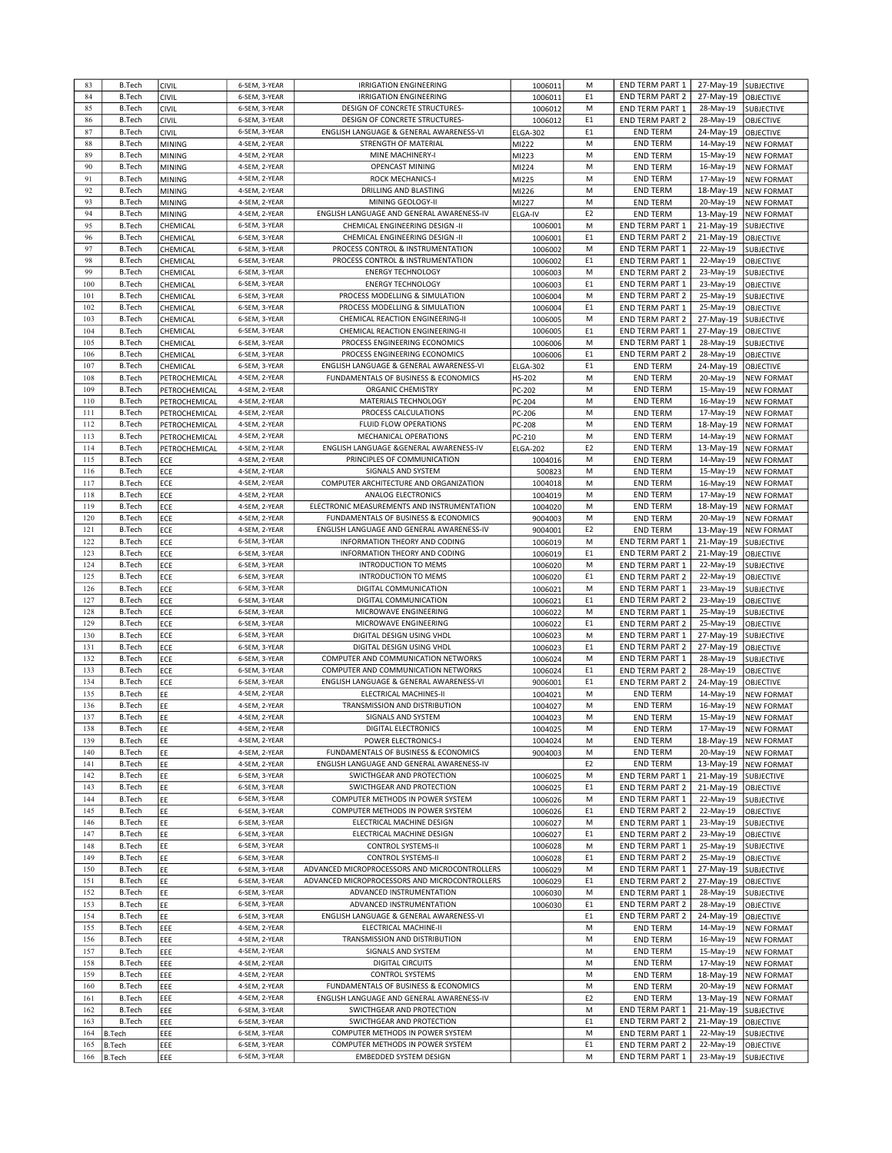|            | <b>B.Tech</b>    | <b>CIVIL</b>  | 6-SEM, 3-YEAR                  | <b>IRRIGATION ENGINEERING</b>                                     | 1006011         | M                   | END TERM PART 1                           | 27-May-19              | <b>SUBJECTIVE</b>              |
|------------|------------------|---------------|--------------------------------|-------------------------------------------------------------------|-----------------|---------------------|-------------------------------------------|------------------------|--------------------------------|
| 83         |                  |               |                                |                                                                   |                 |                     |                                           |                        |                                |
| 84         | <b>B.Tech</b>    | CIVIL         | 6-SEM, 3-YEAR                  | <b>IRRIGATION ENGINEERING</b>                                     | 1006011         | E1                  | <b>END TERM PART 2</b>                    | 27-May-19              | <b>OBJECTIVE</b>               |
| 85         | <b>B.Tech</b>    | CIVIL         | 6-SEM, 3-YEAR                  | DESIGN OF CONCRETE STRUCTURES-                                    | 1006012         | M                   | <b>END TERM PART 1</b>                    | 28-May-19              | SUBJECTIVE                     |
| 86         | <b>B.Tech</b>    |               | 6-SEM, 3-YEAR                  | DESIGN OF CONCRETE STRUCTURES-                                    |                 | E <sub>1</sub>      | <b>END TERM PART 2</b>                    | 28-May-19              | <b>OBJECTIVE</b>               |
|            |                  | CIVIL         |                                |                                                                   | 1006012         |                     |                                           |                        |                                |
| 87         | <b>B.Tech</b>    | CIVIL         | 6-SEM, 3-YEAR                  | ENGLISH LANGUAGE & GENERAL AWARENESS-VI                           | <b>ELGA-302</b> | E1                  | <b>END TERM</b>                           | 24-May-19              | <b>OBJECTIVE</b>               |
| 88         | <b>B.Tech</b>    | <b>MINING</b> | 4-SEM, 2-YEAR                  | STRENGTH OF MATERIAL                                              | MI222           | M                   | <b>END TERM</b>                           | 14-May-19              | <b>NEW FORMAT</b>              |
|            |                  |               | 4-SEM, 2-YEAR                  |                                                                   |                 |                     |                                           |                        |                                |
| 89         | <b>B.Tech</b>    | <b>MINING</b> |                                | MINE MACHINERY-I                                                  | MI223           | M                   | <b>END TERM</b>                           | 15-May-19              | <b>NEW FORMAT</b>              |
| 90         | <b>B.Tech</b>    | <b>MINING</b> | 4-SEM, 2-YEAR                  | OPENCAST MINING                                                   | MI224           | M                   | <b>END TERM</b>                           | 16-May-19              | <b>NEW FORMAT</b>              |
| 91         | <b>B.Tech</b>    | <b>MINING</b> | 4-SEM, 2-YEAR                  | <b>ROCK MECHANICS-I</b>                                           | MI225           | M                   | <b>END TERM</b>                           | 17-May-19              | <b>NEW FORMAT</b>              |
|            |                  |               |                                |                                                                   |                 |                     |                                           |                        |                                |
| 92         | <b>B.Tech</b>    | <b>MINING</b> | 4-SEM, 2-YEAR                  | DRILLING AND BLASTING                                             | MI226           | M                   | <b>END TERM</b>                           | 18-May-19              | <b>NEW FORMAT</b>              |
| 93         | <b>B.Tech</b>    | <b>MINING</b> | 4-SEM, 2-YEAR                  | MINING GEOLOGY-II                                                 | MI227           | M                   | <b>END TERM</b>                           | 20-May-19              | <b>NEW FORMAT</b>              |
| 94         | <b>B.Tech</b>    | MINING        | 4-SEM, 2-YEAR                  | ENGLISH LANGUAGE AND GENERAL AWARENESS-IV                         | <b>ELGA-IV</b>  | E <sub>2</sub>      | <b>END TERM</b>                           | 13-May-19              | <b>NEW FORMAT</b>              |
|            |                  |               |                                |                                                                   |                 |                     |                                           |                        |                                |
| 95         | <b>B.Tech</b>    | CHEMICAL      | 6-SEM, 3-YEAR                  | CHEMICAL ENGINEERING DESIGN -II                                   | 1006001         | M                   | <b>END TERM PART 1</b>                    | 21-May-19              | <b>SUBJECTIVE</b>              |
| 96         | <b>B.Tech</b>    | CHEMICAL      | 6-SEM, 3-YEAR                  | CHEMICAL ENGINEERING DESIGN -II                                   | 1006001         | E1                  | <b>END TERM PART 2</b>                    | 21-May-19              | OBJECTIVE                      |
| 97         | <b>B.Tech</b>    |               | 6-SEM, 3-YEAR                  | PROCESS CONTROL & INSTRUMENTATION                                 |                 | M                   |                                           |                        |                                |
|            |                  | CHEMICAL      |                                |                                                                   | 1006002         |                     | END TERM PART 1                           | 22-May-19              | SUBJECTIVE                     |
| 98         | <b>B.Tech</b>    | CHEMICAL      | 6-SEM, 3-YEAR                  | PROCESS CONTROL & INSTRUMENTATION                                 | 1006002         | E <sub>1</sub>      | <b>END TERM PART 1</b>                    | 22-May-19              | <b>OBJECTIVE</b>               |
| 99         | <b>B.Tech</b>    | CHEMICAL      | 6-SEM, 3-YEAR                  | <b>ENERGY TECHNOLOGY</b>                                          | 1006003         | M                   | <b>END TERM PART 2</b>                    | 23-May-19              | SUBJECTIVE                     |
| 100        | <b>B.Tech</b>    |               | 6-SEM, 3-YEAR                  | <b>ENERGY TECHNOLOGY</b>                                          |                 | E <sub>1</sub>      | END TERM PART 1                           |                        |                                |
|            |                  | CHEMICAL      |                                |                                                                   | 1006003         |                     |                                           | 23-May-19              | OBJECTIVE                      |
| 101        | <b>B.Tech</b>    | CHEMICAL      | 6-SEM, 3-YEAR                  | PROCESS MODELLING & SIMULATION                                    | 1006004         | M                   | <b>END TERM PART 2</b>                    | 25-May-19              | SUBJECTIVE                     |
| 102        | <b>B.Tech</b>    | CHEMICAL      | 6-SEM, 3-YEAR                  | PROCESS MODELLING & SIMULATION                                    | 1006004         | E1                  | <b>END TERM PART 1</b>                    | 25-May-19              | OBJECTIVE                      |
|            |                  |               |                                |                                                                   |                 |                     |                                           |                        |                                |
| 103        | <b>B.Tech</b>    | CHEMICAL      | 6-SEM, 3-YEAR                  | CHEMICAL REACTION ENGINEERING-II                                  | 1006005         | M                   | <b>END TERM PART 2</b>                    | 27-May-19              | <b>SUBJECTIVE</b>              |
| 104        | <b>B.Tech</b>    | CHEMICAL      | 6-SEM, 3-YEAR                  | CHEMICAL REACTION ENGINEERING-II                                  | 1006005         | E <sub>1</sub>      | <b>END TERM PART 1</b>                    | 27-May-19              | OBJECTIVE                      |
| 105        | <b>B.Tech</b>    | CHEMICAL      | 6-SEM, 3-YEAR                  | PROCESS ENGINEERING ECONOMICS                                     | 1006006         | M                   | END TERM PART 1                           | 28-May-19              | SUBJECTIVE                     |
|            |                  |               |                                |                                                                   |                 |                     |                                           |                        |                                |
| 106        | <b>B.Tech</b>    | CHEMICAL      | 6-SEM, 3-YEAR                  | PROCESS ENGINEERING ECONOMICS                                     | 1006006         | E1                  | <b>END TERM PART 2</b>                    | 28-May-19              | OBJECTIVE                      |
| 107        | <b>B.Tech</b>    | CHEMICAL      | 6-SEM, 3-YEAR                  | ENGLISH LANGUAGE & GENERAL AWARENESS-VI                           | <b>ELGA-302</b> | E1                  | <b>END TERM</b>                           | 24-May-19              | OBJECTIVE                      |
| 108        | <b>B.Tech</b>    | PETROCHEMICAL | 4-SEM, 2-YEAR                  | FUNDAMENTALS OF BUSINESS & ECONOMICS                              | HS-202          | M                   | <b>END TERM</b>                           | 20-May-19              | <b>NEW FORMAT</b>              |
|            |                  |               |                                |                                                                   |                 |                     |                                           |                        |                                |
| 109        | <b>B.Tech</b>    | PETROCHEMICAL | 4-SEM, 2-YEAR                  | ORGANIC CHEMISTRY                                                 | PC-202          | M                   | <b>END TERM</b>                           | 15-May-19              | <b>NEW FORMAT</b>              |
| 110        | <b>B.Tech</b>    | PETROCHEMICAL | 4-SEM, 2-YEAR                  | MATERIALS TECHNOLOGY                                              | PC-204          | M                   | <b>END TERM</b>                           | 16-May-19              | <b>NEW FORMAT</b>              |
| 111        | <b>B.Tech</b>    |               | 4-SEM. 2-YEAR                  | PROCESS CALCULATIONS                                              |                 | M                   | <b>END TERM</b>                           | 17-May-19              |                                |
|            |                  | PETROCHEMICAL |                                |                                                                   | PC-206          |                     |                                           |                        | <b>NEW FORMAT</b>              |
| 112        | <b>B.Tech</b>    | PETROCHEMICAL | 4-SEM, 2-YEAR                  | <b>FLUID FLOW OPERATIONS</b>                                      | PC-208          | M                   | <b>END TERM</b>                           | 18-May-19              | <b>NEW FORMAT</b>              |
| 113        | <b>B.Tech</b>    | PETROCHEMICAL | 4-SEM, 2-YEAR                  | <b>MECHANICAL OPERATIONS</b>                                      | PC-210          | M                   | <b>END TERM</b>                           | 14-May-19              | <b>NEW FORMAT</b>              |
| 114        |                  |               | 4-SEM, 2-YEAR                  |                                                                   |                 |                     |                                           |                        |                                |
|            | <b>B.Tech</b>    | PETROCHEMICAL |                                | ENGLISH LANGUAGE &GENERAL AWARENESS-IV                            | <b>ELGA-202</b> | E <sub>2</sub>      | <b>END TERM</b>                           | 13-May-19              | <b>NEW FORMAT</b>              |
| 115        | <b>B.Tech</b>    | ECE           | 4-SEM, 2-YEAR                  | PRINCIPLES OF COMMUNICATION                                       | 1004016         | M                   | <b>END TERM</b>                           | 14-May-19              | <b>NEW FORMAT</b>              |
| 116        | <b>B.Tech</b>    | ECE           | 4-SEM, 2-YEAR                  | SIGNALS AND SYSTEM                                                | 500823          | M                   | <b>END TERM</b>                           | 15-May-19              | <b>NEW FORMAT</b>              |
| 117        |                  |               |                                | COMPUTER ARCHITECTURE AND ORGANIZATION                            |                 |                     |                                           |                        |                                |
|            | <b>B.Tech</b>    | ECE           | 4-SEM, 2-YEAR                  |                                                                   | 1004018         | M                   | <b>END TERM</b>                           | 16-May-19              | <b>NEW FORMAT</b>              |
| 118        | <b>B.Tech</b>    | ECE           | 4-SEM, 2-YEAR                  | ANALOG ELECTRONICS                                                | 1004019         | M                   | <b>END TERM</b>                           | 17-May-19              | <b>NEW FORMAT</b>              |
| 119        | <b>B.Tech</b>    | ECE           | 4-SEM, 2-YEAR                  | ELECTRONIC MEASUREMENTS AND INSTRUMENTATION                       | 1004020         | M                   | <b>END TERM</b>                           | 18-May-19              | <b>NEW FORMAT</b>              |
| 120        | <b>B.Tech</b>    | ECE           | 4-SEM, 2-YEAR                  | FUNDAMENTALS OF BUSINESS & ECONOMICS                              | 9004003         | M                   | <b>END TERM</b>                           | 20-May-19              | <b>NEW FORMAT</b>              |
|            |                  |               |                                |                                                                   |                 |                     |                                           |                        |                                |
| 121        | <b>B.Tech</b>    | ECE           | 4-SEM, 2-YEAR                  | ENGLISH LANGUAGE AND GENERAL AWARENESS-IV                         | 9004001         | E <sub>2</sub>      | <b>END TERM</b>                           | 13-May-19              | <b>NEW FORMAT</b>              |
| 122        | <b>B.Tech</b>    | ECE           | 6-SEM, 3-YEAR                  | INFORMATION THEORY AND CODING                                     | 1006019         | M                   | END TERM PART 1                           | 21-May-19              | SUBJECTIVE                     |
| 123        | <b>B.Tech</b>    | ECE           | 6-SEM, 3-YEAR                  | INFORMATION THEORY AND CODING                                     | 1006019         | E1                  | END TERM PART 2                           | 21-May-19              | OBJECTIVE                      |
|            |                  |               |                                |                                                                   |                 |                     |                                           |                        |                                |
| 124        | <b>B.Tech</b>    | ECE           | 6-SEM, 3-YEAR                  | <b>INTRODUCTION TO MEMS</b>                                       | 1006020         | M                   | END TERM PART 1                           | 22-May-19              | SUBJECTIVE                     |
| 125        | <b>B.Tech</b>    | ECE           | 6-SEM, 3-YEAR                  | INTRODUCTION TO MEMS                                              | 1006020         | E <sub>1</sub>      | <b>END TERM PART 2</b>                    | 22-May-19              | <b>OBJECTIVE</b>               |
| 126        | <b>B.Tech</b>    | ECE           | 6-SEM, 3-YEAR                  | DIGITAL COMMUNICATION                                             | 1006021         | M                   | <b>END TERM PART 1</b>                    | 23-May-19              | SUBJECTIVE                     |
|            |                  |               |                                |                                                                   |                 |                     |                                           |                        |                                |
| 127        | <b>B.Tech</b>    | ECE           | 6-SEM, 3-YEAR                  | DIGITAL COMMUNICATION                                             | 1006021         | E1                  | <b>END TERM PART 2</b>                    | 23-May-19              | OBJECTIVE                      |
| 128        | <b>B.Tech</b>    | ECE           | 6-SEM, 3-YEAR                  | MICROWAVE ENGINEERING                                             | 1006022         | M                   | END TERM PART 1                           | 25-May-19              | SUBJECTIVE                     |
| 129        | <b>B.Tech</b>    | ECE           | 6-SEM, 3-YEAR                  | MICROWAVE ENGINEERING                                             | 1006022         | E <sub>1</sub>      | <b>END TERM PART 2</b>                    | 25-May-19              | OBJECTIVE                      |
| 130        | <b>B.Tech</b>    | ECE           | 6-SEM, 3-YEAR                  | DIGITAL DESIGN USING VHDL                                         | 1006023         | M                   | <b>END TERM PART 1</b>                    | 27-May-19              | SUBJECTIVE                     |
|            |                  |               |                                |                                                                   |                 |                     |                                           |                        |                                |
| 131        | <b>B.Tech</b>    | ECE           | 6-SEM, 3-YEAR                  | DIGITAL DESIGN USING VHDL                                         | 1006023         | E <sub>1</sub>      | <b>END TERM PART 2</b>                    | 27-May-19              | OBJECTIVE                      |
| 132        | <b>B.Tech</b>    | ECE           | 6-SEM, 3-YEAR                  | COMPUTER AND COMMUNICATION NETWORKS                               | 1006024         | M                   | <b>END TERM PART 1</b>                    | 28-May-19              | SUBJECTIVE                     |
| 133        | <b>B.Tech</b>    | ECE           | 6-SEM, 3-YEAR                  | COMPUTER AND COMMUNICATION NETWORKS                               | 1006024         | E <sub>1</sub>      | <b>END TERM PART 2</b>                    | 28-May-19              | OBJECTIVE                      |
|            |                  |               |                                |                                                                   |                 |                     |                                           |                        |                                |
| 134        | <b>B.Tech</b>    | ECE           | 6-SEM, 3-YEAR                  | ENGLISH LANGUAGE & GENERAL AWARENESS-VI                           | 9006001         | E <sub>1</sub>      | END TERM PART 2                           | 24-May-19              | <b>OBJECTIVE</b>               |
| 135        | <b>B.Tech</b>    | EE            | 4-SEM, 2-YEAR                  | ELECTRICAL MACHINES-II                                            |                 |                     |                                           |                        |                                |
| 136        | <b>B.Tech</b>    | EE            |                                |                                                                   | 1004021         | M                   | <b>END TERM</b>                           | 14-May-19              | <b>NEW FORMAT</b>              |
|            |                  |               | 4-SEM, 2-YEAR                  | TRANSMISSION AND DISTRIBUTION                                     |                 | M                   |                                           |                        |                                |
| 137        | <b>B.Tech</b>    |               |                                |                                                                   | 1004027         |                     | <b>END TERM</b>                           | 16-May-19              | <b>NEW FORMAT</b>              |
| 138        | <b>B.Tech</b>    | EE            | 4-SEM, 2-YEAR                  | SIGNALS AND SYSTEM                                                | 1004023         | M                   | <b>END TERM</b>                           | 15-May-19              | <b>NEW FORMAT</b>              |
| 139        |                  | EF            | 4-SEM, 2-YEAR                  | DIGITAL ELECTRONICS                                               | 1004025         | M                   | END TERM                                  | 17-May-19              | <b>NEW FORMAT</b>              |
|            | <b>B.Tech</b>    | EE            | 4-SEM, 2-YEAR                  | POWER ELECTRONICS-I                                               |                 | M                   | END TERM                                  | 18-May-19              |                                |
|            |                  |               |                                |                                                                   | 1004024         |                     |                                           |                        | <b>NEW FORMAT</b>              |
| 140        | <b>B.Tech</b>    | EE            | 4-SEM, 2-YEAR                  | FUNDAMENTALS OF BUSINESS & ECONOMICS                              | 9004003         | M                   | <b>END TERM</b>                           | 20-May-19              | <b>NEW FORMAT</b>              |
| 141        | <b>B.Tech</b>    | EE            | 4-SEM, 2-YEAR                  | ENGLISH LANGUAGE AND GENERAL AWARENESS-IV                         |                 | E <sub>2</sub>      | <b>END TERM</b>                           | 13-May-19              | <b>NEW FORMAT</b>              |
|            |                  |               |                                |                                                                   |                 |                     |                                           |                        |                                |
| 142        | <b>B.Tech</b>    | EE            | 6-SEM, 3-YEAR                  | SWICTHGEAR AND PROTECTION                                         | 1006025         | M                   | <b>END TERM PART 1</b>                    | 21-May-19              | <b>SUBJECTIVE</b>              |
| 143        | <b>B.Tech</b>    | EE            | 6-SEM, 3-YEAR                  | SWICTHGEAR AND PROTECTION                                         | 1006025         | E <sub>1</sub>      | END TERM PART 2                           | 21-May-19              | OBJECTIVE                      |
| 144        | <b>B.Tech</b>    | EE            | 6-SEM, 3-YEAR                  | COMPUTER METHODS IN POWER SYSTEM                                  | 1006026         | M                   | <b>END TERM PART 1</b>                    | 22-May-19              | SUBJECTIVE                     |
| 145        | <b>B.Tech</b>    |               | 6-SEM, 3-YEAR                  | COMPUTER METHODS IN POWER SYSTEM                                  |                 | E1                  |                                           |                        |                                |
|            |                  | EE            |                                |                                                                   | 1006026         |                     | <b>END TERM PART 2</b>                    | 22-May-19              | OBJECTIVE                      |
| 146        | <b>B.Tech</b>    | EE            | 6-SEM, 3-YEAR                  | ELECTRICAL MACHINE DESIGN                                         | 1006027         | M                   | END TERM PART 1                           | 23-May-19              | SUBJECTIVE                     |
| 147        | <b>B.Tech</b>    | EE            | 6-SEM, 3-YEAR                  | ELECTRICAL MACHINE DESIGN                                         | 1006027         | E1                  | END TERM PART 2                           | 23-May-19              | OBJECTIVE                      |
| 148        | <b>B.Tech</b>    | EE            | 6-SEM, 3-YEAR                  | <b>CONTROL SYSTEMS-II</b>                                         |                 | M                   | END TERM PART 1                           | 25-May-19              |                                |
|            |                  |               |                                |                                                                   | 1006028         |                     |                                           |                        | SUBJECTIVE                     |
| 149        | <b>B.Tech</b>    | EE            | 6-SEM, 3-YEAR                  | <b>CONTROL SYSTEMS-II</b>                                         | 1006028         | E1                  | END TERM PART 2                           | 25-May-19              | <b>OBJECTIVE</b>               |
| 150        | <b>B.Tech</b>    | EE            | 6-SEM, 3-YEAR                  | ADVANCED MICROPROCESSORS AND MICROCONTROLLERS                     | 1006029         | M                   | END TERM PART 1                           | 27-May-19              | SUBJECTIVE                     |
| 151        | <b>B.Tech</b>    | EE            | 6-SEM, 3-YEAR                  | ADVANCED MICROPROCESSORS AND MICROCONTROLLERS                     | 1006029         | E <sub>1</sub>      | END TERM PART 2                           | 27-May-19              | <b>OBJECTIVE</b>               |
|            |                  |               |                                |                                                                   |                 |                     |                                           |                        |                                |
| 152        | <b>B.Tech</b>    | EE            | 6-SEM, 3-YEAR                  | ADVANCED INSTRUMENTATION                                          | 1006030         | M                   | END TERM PART 1                           | 28-May-19              | <b>SUBJECTIVE</b>              |
| 153        | <b>B.Tech</b>    | EE            | 6-SEM, 3-YEAR                  | ADVANCED INSTRUMENTATION                                          | 1006030         | E <sub>1</sub>      | END TERM PART 2                           | 28-May-19              | <b>OBJECTIVE</b>               |
| 154        | <b>B.Tech</b>    | EE            | 6-SEM, 3-YEAR                  | ENGLISH LANGUAGE & GENERAL AWARENESS-VI                           |                 | E <sub>1</sub>      | <b>END TERM PART 2</b>                    | 24-May-19              | OBJECTIVE                      |
|            |                  |               |                                |                                                                   |                 |                     |                                           |                        |                                |
| 155        | <b>B.Tech</b>    | EEE           | 4-SEM, 2-YEAR                  | ELECTRICAL MACHINE-II                                             |                 | M                   | <b>END TERM</b>                           | 14-May-19              | <b>NEW FORMAT</b>              |
| 156        | <b>B.Tech</b>    | EEE           | 4-SEM, 2-YEAR                  | TRANSMISSION AND DISTRIBUTION                                     |                 | M                   | <b>END TERM</b>                           | 16-May-19              | <b>NEW FORMAT</b>              |
| 157        | <b>B.Tech</b>    | EEE           | 4-SEM, 2-YEAR                  | SIGNALS AND SYSTEM                                                |                 | M                   | <b>END TERM</b>                           | 15-May-19              | <b>NEW FORMAT</b>              |
|            |                  |               |                                |                                                                   |                 | M                   |                                           |                        |                                |
| 158        | <b>B.Tech</b>    | EEE           | 4-SEM, 2-YEAR                  | <b>DIGITAL CIRCUITS</b>                                           |                 |                     | <b>END TERM</b>                           | 17-May-19              | <b>NEW FORMAT</b>              |
| 159        | <b>B.Tech</b>    | EEE           | 4-SEM, 2-YEAR                  | <b>CONTROL SYSTEMS</b>                                            |                 | M                   | <b>END TERM</b>                           | 18-May-19              | <b>NEW FORMAT</b>              |
| 160        | <b>B.Tech</b>    | EEE           | 4-SEM, 2-YEAR                  | FUNDAMENTALS OF BUSINESS & ECONOMICS                              |                 | M                   | <b>END TERM</b>                           | 20-May-19              | <b>NEW FORMAT</b>              |
| 161        | <b>B.Tech</b>    |               | 4-SEM, 2-YEAR                  | ENGLISH LANGUAGE AND GENERAL AWARENESS-IV                         |                 | E <sub>2</sub>      |                                           |                        |                                |
|            |                  | EEE           |                                |                                                                   |                 |                     | <b>END TERM</b>                           | 13-May-19              | <b>NEW FORMAT</b>              |
| 162        | <b>B.Tech</b>    | EEE           | 6-SEM, 3-YEAR                  | SWICTHGEAR AND PROTECTION                                         |                 | M                   | <b>END TERM PART 1</b>                    | 21-May-19              | SUBJECTIVE                     |
| 163        | <b>B.Tech</b>    | EEE           | 6-SEM, 3-YEAR                  | SWICTHGEAR AND PROTECTION                                         |                 | E <sub>1</sub>      | <b>END TERM PART 2</b>                    | 21-May-19              | OBJECTIVE                      |
| 164        | B.Tech           | EEE           | 6-SEM, 3-YEAR                  | COMPUTER METHODS IN POWER SYSTEM                                  |                 | M                   | END TERM PART 1                           | 22-May-19              | <b>SUBJECTIVE</b>              |
|            |                  |               |                                |                                                                   |                 |                     |                                           |                        |                                |
| 165<br>166 | B.Tech<br>B.Tech | EEE<br>EEE    | 6-SEM, 3-YEAR<br>6-SEM, 3-YEAR | COMPUTER METHODS IN POWER SYSTEM<br><b>EMBEDDED SYSTEM DESIGN</b> |                 | E <sub>1</sub><br>M | <b>END TERM PART 2</b><br>END TERM PART 1 | 22-May-19<br>23-May-19 | OBJECTIVE<br><b>SUBJECTIVE</b> |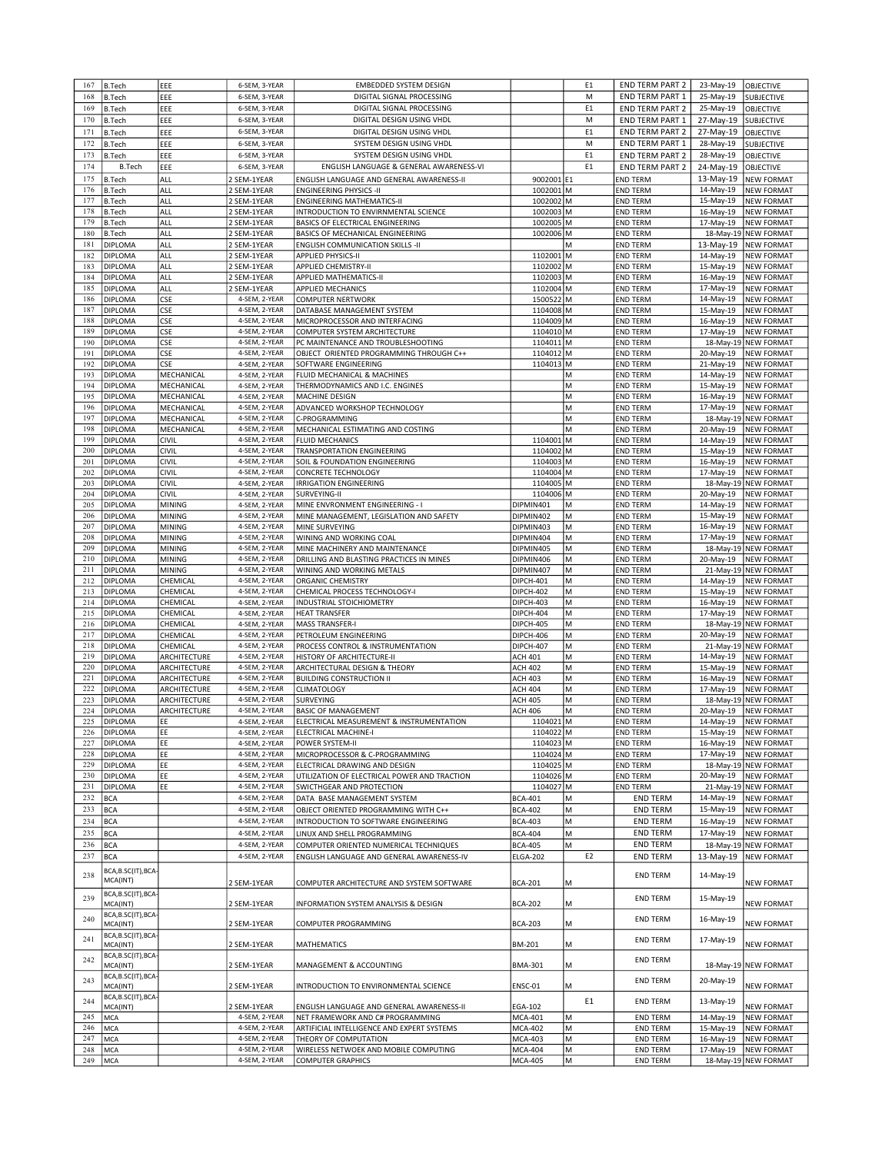| 167 | <b>B.Tech</b>       | EEE           | 6-SEM, 3-YEAR | <b>EMBEDDED SYSTEM DESIGN</b>                |                 | E <sub>1</sub> | <b>END TERM PART 2</b> | 23-May-19 | OBJECTIVE            |
|-----|---------------------|---------------|---------------|----------------------------------------------|-----------------|----------------|------------------------|-----------|----------------------|
| 168 | <b>B.Tech</b>       | EEE           | 6-SEM, 3-YEAR | DIGITAL SIGNAL PROCESSING                    |                 | M              | END TERM PART 1        | 25-May-19 | SUBJECTIVE           |
| 169 | <b>B.Tech</b>       | EEE           | 6-SEM, 3-YEAR | DIGITAL SIGNAL PROCESSING                    |                 | E <sub>1</sub> | <b>END TERM PART 2</b> | 25-May-19 | OBJECTIVE            |
|     |                     |               |               |                                              |                 |                |                        |           |                      |
| 170 | <b>B.Tech</b>       | EEE           | 6-SEM, 3-YEAR | DIGITAL DESIGN USING VHDL                    |                 | M              | END TERM PART 1        | 27-May-19 | SUBJECTIVE           |
| 171 | <b>B.Tech</b>       | EEE           | 6-SEM, 3-YEAR | DIGITAL DESIGN USING VHDL                    |                 | E1             | <b>END TERM PART 2</b> | 27-May-19 | OBJECTIVE            |
| 172 | <b>B.Tech</b>       | EEE           | 6-SEM, 3-YEAR | SYSTEM DESIGN USING VHDL                     |                 | M              | END TERM PART 1        | 28-May-19 | SUBJECTIVE           |
| 173 | <b>B.Tech</b>       | EEE           | 6-SEM, 3-YEAR | SYSTEM DESIGN USING VHDL                     |                 | E1             | <b>END TERM PART 2</b> | 28-May-19 | <b>OBJECTIVE</b>     |
| 174 | <b>B.Tech</b>       | EEE           | 6-SEM, 3-YEAR | ENGLISH LANGUAGE & GENERAL AWARENESS-VI      |                 | E1             | <b>END TERM PART 2</b> | 24-May-19 | <b>OBJECTIVE</b>     |
|     |                     |               |               |                                              |                 |                |                        |           |                      |
| 175 | <b>B.Tech</b>       | ALL           | 2 SEM-1YEAR   | ENGLISH LANGUAGE AND GENERAL AWARENESS-II    | 9002001 E1      |                | <b>END TERM</b>        | 13-May-19 | <b>NEW FORMAT</b>    |
| 176 | <b>B.Tech</b>       | ALL           | 2 SEM-1YEAR   | <b>ENGINEERING PHYSICS -II</b>               | 1002001 M       |                | <b>END TERM</b>        | 14-May-19 | <b>NEW FORMAT</b>    |
| 177 | <b>B.Tech</b>       | ALL           | 2 SEM-1YEAR   | <b>ENGINEERING MATHEMATICS-II</b>            | 1002002 M       |                | <b>END TERM</b>        | 15-May-19 | <b>NEW FORMAT</b>    |
| 178 | <b>B.Tech</b>       | ALL           | 2 SEM-1YEAR   | INTRODUCTION TO ENVIRNMENTAL SCIENCE         | 1002003 M       |                | <b>END TERM</b>        | 16-May-19 | <b>NEW FORMAT</b>    |
| 179 | <b>B.Tech</b>       | ALL           | 2 SEM-1YEAR   | BASICS OF ELECTRICAL ENGINEERING             | 1002005 M       |                | <b>END TERM</b>        | 17-May-19 | <b>NEW FORMAT</b>    |
| 180 | <b>B.Tech</b>       | ALL           | 2 SEM-1YEAR   | BASICS OF MECHANICAL ENGINEERING             | 1002006 M       |                | <b>END TERM</b>        | 18-May-19 | <b>NEW FORMAT</b>    |
| 181 | <b>DIPLOMA</b>      | ALL           | 2 SEM-1YEAR   | <b>ENGLISH COMMUNICATION SKILLS -II</b>      |                 | М              | <b>END TERM</b>        | 13-May-19 | <b>NEW FORMAT</b>    |
| 182 | <b>DIPLOMA</b>      | ALL           |               |                                              |                 |                |                        | 14-May-19 |                      |
|     |                     |               | 2 SEM-1YEAR   | <b>APPLIED PHYSICS-II</b>                    | 1102001 M       |                | <b>END TERM</b>        |           | <b>NEW FORMAT</b>    |
| 183 | <b>DIPLOMA</b>      | ALL           | 2 SEM-1YEAR   | <b>APPLIED CHEMISTRY-II</b>                  | 1102002 M       |                | <b>END TERM</b>        | 15-May-19 | <b>NEW FORMAT</b>    |
| 184 | <b>DIPLOMA</b>      | ALL           | 2 SEM-1YEAR   | APPLIED MATHEMATICS-II                       | 1102003 M       |                | <b>END TERM</b>        | 16-May-19 | <b>NEW FORMAT</b>    |
| 185 | <b>DIPLOMA</b>      | ALL           | 2 SEM-1YEAR   | <b>APPLIED MECHANICS</b>                     | 1102004 M       |                | <b>END TERM</b>        | 17-May-19 | <b>NEW FORMAT</b>    |
| 186 | <b>DIPLOMA</b>      | <b>CSE</b>    | 4-SEM, 2-YEAR | <b>COMPUTER NERTWORK</b>                     | 1500522 M       |                | <b>END TERM</b>        | 14-May-19 | <b>NEW FORMAT</b>    |
| 187 | <b>DIPLOMA</b>      | <b>CSE</b>    | 4-SEM, 2-YEAR | DATABASE MANAGEMENT SYSTEM                   | 1104008 M       |                | <b>END TERM</b>        | 15-May-19 | <b>NEW FORMAT</b>    |
| 188 | <b>DIPLOMA</b>      | <b>CSE</b>    | 4-SEM, 2-YEAR | MICROPROCESSOR AND INTERFACING               | 1104009 M       |                | <b>END TERM</b>        | 16-May-19 | <b>NEW FORMAT</b>    |
| 189 | <b>DIPLOMA</b>      | <b>CSE</b>    | 4-SEM, 2-YEAR | COMPUTER SYSTEM ARCHITECTURE                 | 1104010 M       |                | <b>END TERM</b>        | 17-May-19 | <b>NEW FORMAT</b>    |
| 190 |                     |               |               |                                              |                 |                |                        |           |                      |
|     | <b>DIPLOMA</b>      | <b>CSE</b>    | 4-SEM, 2-YEAR | PC MAINTENANCE AND TROUBLESHOOTING           | 1104011 M       |                | <b>END TERM</b>        | 18-May-19 | <b>NEW FORMAT</b>    |
| 191 | <b>DIPLOMA</b>      | <b>CSE</b>    | 4-SEM, 2-YEAR | OBJECT ORIENTED PROGRAMMING THROUGH C++      | 1104012 M       |                | <b>END TERM</b>        | 20-May-19 | <b>NEW FORMAT</b>    |
| 192 | <b>DIPLOMA</b>      | <b>CSE</b>    | 4-SEM, 2-YEAR | SOFTWARE ENGINEERING                         | 1104013 M       |                | <b>END TERM</b>        | 21-May-19 | <b>NEW FORMAT</b>    |
| 193 | <b>DIPLOMA</b>      | MECHANICAL    | 4-SEM, 2-YEAR | FLUID MECHANICAL & MACHINES                  |                 | М              | <b>END TERM</b>        | 14-May-19 | <b>NEW FORMAT</b>    |
| 194 | <b>DIPLOMA</b>      | MECHANICAL    | 4-SEM, 2-YEAR | THERMODYNAMICS AND I.C. ENGINES              |                 | М              | <b>END TERM</b>        | 15-May-19 | <b>NEW FORMAT</b>    |
| 195 | <b>DIPLOMA</b>      | MECHANICAL    | 4-SEM, 2-YEAR | MACHINE DESIGN                               |                 | M              | <b>END TERM</b>        | 16-May-19 | <b>NEW FORMAT</b>    |
| 196 | <b>DIPLOMA</b>      | MECHANICAL    | 4-SEM, 2-YEAR | ADVANCED WORKSHOP TECHNOLOGY                 |                 | М              | <b>END TERM</b>        | 17-May-19 | <b>NEW FORMAT</b>    |
| 197 | <b>DIPLOMA</b>      | MECHANICAL    | 4-SEM, 2-YEAR | C-PROGRAMMING                                |                 | М              | <b>END TERM</b>        |           | 18-May-19 NEW FORMAT |
| 198 |                     |               |               |                                              |                 |                |                        | 20-May-19 |                      |
|     | <b>DIPLOMA</b>      | MECHANICAL    | 4-SEM, 2-YEAR | MECHANICAL ESTIMATING AND COSTING            |                 | M              | <b>END TERM</b>        |           | <b>NEW FORMAT</b>    |
| 199 | <b>DIPLOMA</b>      | CIVIL         | 4-SEM, 2-YEAR | FLUID MECHANICS                              | 1104001 M       |                | <b>END TERM</b>        | 14-May-19 | <b>NEW FORMAT</b>    |
| 200 | <b>DIPLOMA</b>      | CIVIL         | 4-SEM, 2-YEAR | TRANSPORTATION ENGINEERING                   | 1104002 M       |                | <b>END TERM</b>        | 15-May-19 | <b>NEW FORMAT</b>    |
| 201 | <b>DIPLOMA</b>      | CIVIL         | 4-SEM, 2-YEAR | SOIL & FOUNDATION ENGINEERING                | 1104003 M       |                | <b>END TERM</b>        | 16-May-19 | <b>NEW FORMAT</b>    |
| 202 | <b>DIPLOMA</b>      | CIVIL         | 4-SEM, 2-YEAR | CONCRETE TECHNOLOGY                          | 1104004 M       |                | <b>END TERM</b>        | 17-May-19 | <b>NEW FORMAT</b>    |
| 203 | <b>DIPLOMA</b>      | <b>CIVIL</b>  | 4-SEM, 2-YEAR | <b>IRRIGATION ENGINEERING</b>                | 1104005 M       |                | <b>END TERM</b>        |           | 18-May-19 NEW FORMAT |
| 204 | <b>DIPLOMA</b>      | CIVIL         | 4-SEM, 2-YEAR | SURVEYING-II                                 | 1104006 M       |                | <b>END TERM</b>        | 20-May-19 | <b>NEW FORMAT</b>    |
| 205 | <b>DIPLOMA</b>      | MINING        | 4-SEM, 2-YEAR | MINE ENVRONMENT ENGINEERING - I              | DIPMIN401       | М              | <b>END TERM</b>        | 14-May-19 | <b>NEW FORMAT</b>    |
|     |                     |               |               |                                              |                 |                |                        |           |                      |
| 206 | <b>DIPLOMA</b>      | MINING        | 4-SEM, 2-YEAR | MINE MANAGEMENT, LEGISLATION AND SAFETY      | DIPMIN402       | M              | <b>END TERM</b>        | 15-May-19 | <b>NEW FORMAT</b>    |
| 207 | <b>DIPLOMA</b>      | MINING        | 4-SEM, 2-YEAR | MINE SURVEYING                               | DIPMIN403       | M              | <b>END TERM</b>        | 16-May-19 | <b>NEW FORMAT</b>    |
| 208 | <b>DIPLOMA</b>      | <b>MINING</b> | 4-SEM, 2-YEAR | WINING AND WORKING COAL                      | DIPMIN404       | М              | <b>END TERM</b>        | 17-May-19 | <b>NEW FORMAT</b>    |
| 209 | <b>DIPLOMA</b>      | <b>MINING</b> | 4-SEM, 2-YEAR | MINE MACHINERY AND MAINTENANCE               | DIPMIN405       | M              | <b>END TERM</b>        | 18-May-19 | <b>NEW FORMAT</b>    |
| 210 | <b>DIPLOMA</b>      | <b>MINING</b> | 4-SEM, 2-YEAR | DRILLING AND BLASTING PRACTICES IN MINES     | DIPMIN406       | М              | <b>END TERM</b>        | 20-May-19 | <b>NEW FORMAT</b>    |
| 211 | <b>DIPLOMA</b>      | <b>MINING</b> | 4-SEM, 2-YEAR | WINING AND WORKING METALS                    | DIPMIN407       | M              | <b>END TERM</b>        | 21-May-19 | <b>NEW FORMAT</b>    |
| 212 | <b>DIPLOMA</b>      | CHEMICAL      | 4-SEM, 2-YEAR | ORGANIC CHEMISTRY                            | DIPCH-401       | М              | <b>END TERM</b>        | 14-May-19 | <b>NEW FORMAT</b>    |
| 213 | <b>DIPLOMA</b>      | CHEMICAL      | 4-SEM, 2-YEAR | CHEMICAL PROCESS TECHNOLOGY-I                | DIPCH-402       | M              | <b>END TERM</b>        | 15-May-19 | <b>NEW FORMAT</b>    |
| 214 | <b>DIPLOMA</b>      | CHEMICAL      | 4-SEM, 2-YEAR | INDUSTRIAL STOICHIOMETRY                     | DIPCH-403       | М              | <b>END TERM</b>        | 16-May-19 | <b>NEW FORMAT</b>    |
|     |                     |               |               |                                              |                 |                |                        |           |                      |
| 215 | <b>DIPLOMA</b>      | CHEMICAL      | 4-SEM, 2-YEAR | <b>HEAT TRANSFER</b>                         | DIPCH-404       | М              | <b>END TERM</b>        | 17-May-19 | <b>NEW FORMAT</b>    |
| 216 | <b>DIPLOMA</b>      | CHEMICAL      | 4-SEM, 2-YEAR | <b>MASS TRANSFER-I</b>                       | DIPCH-405       | М              | <b>END TERM</b>        |           | 18-May-19 NEW FORMAT |
| 217 | <b>DIPLOMA</b>      | CHEMICAL      | 4-SEM, 2-YEAR | PETROLEUM ENGINEERING                        | DIPCH-406       | lм             | <b>END TERM</b>        | 20-May-19 | <b>NEW FORMAT</b>    |
| 218 | <b>DIPLOMA</b>      | CHEMICAL      | 4-SEM, 2-YEAR | PROCESS CONTROL & INSTRUMENTATION            | DIPCH-407       | М              | <b>END TERM</b>        |           | 21-May-19 NEW FORMAT |
| 219 | <b>DIPLOMA</b>      | ARCHITECTURE  | 4-SEM, 2-YEAR | HISTORY OF ARCHITECTURE-II                   | <b>ACH 401</b>  | M              | <b>END TERM</b>        | 14-May-19 | <b>NEW FORMAT</b>    |
| 220 | <b>DIPLOMA</b>      | ARCHITECTURE  | 4-SEM, 2-YEAR | ARCHITECTURAL DESIGN & THEORY                | <b>ACH 402</b>  | M              | <b>END TERM</b>        | 15-May-19 | <b>NEW FORMAT</b>    |
| 221 | <b>DIPLOMA</b>      | ARCHITECTURE  | 4-SEM, 2-YEAR | <b>BUILDING CONSTRUCTION II</b>              | <b>ACH 403</b>  | М              | <b>END TERM</b>        | 16-May-19 | <b>NEW FORMAT</b>    |
| 222 | <b>DIPLOMA</b>      | ARCHITECTURE  | 4-SEM, 2-YEAR | CLIMATOLOGY                                  | <b>ACH 404</b>  | М              | <b>END TERM</b>        | 17-May-19 | <b>NEW FORMAT</b>    |
| 223 |                     |               | 4-SEM, 2-YEAR |                                              |                 | M              | <b>END TERM</b>        |           |                      |
|     | <b>DIPLOMA</b>      | ARCHITECTURE  |               | SURVEYING                                    | <b>ACH 405</b>  |                |                        | 18-May-19 | <b>NEW FORMAT</b>    |
| 224 | <b>DIPLOMA</b>      | ARCHITECTURE  | 4-SEM, 2-YEAR | <b>BASIC OF MANAGEMENT</b>                   | <b>ACH 406</b>  | М              | <b>END TERM</b>        | 20-May-19 | <b>NEW FORMAT</b>    |
| 225 | <b>DIPLOMA</b>      | EE            | 4-SEM, 2-YEAR | ELECTRICAL MEASUREMENT & INSTRUMENTATION     | 1104021 M       |                | <b>END TERM</b>        | 14-May-19 | <b>NEW FORMAT</b>    |
| 226 | DIPLOMA             | EE            | 4-SEM, 2-YEAR | ELECTRICAL MACHINE-I                         | 1104022 M       |                | <b>END TERM</b>        | 15-May-19 | NEW FORMAT           |
| 227 | <b>DIPLOMA</b>      | EE            | 4-SEM, 2-YEAR | POWER SYSTEM-II                              | 1104023 M       |                | <b>END TERM</b>        | 16-May-19 | <b>NEW FORMAT</b>    |
| 228 | <b>DIPLOMA</b>      | EE            | 4-SEM, 2-YEAR | MICROPROCESSOR & C-PROGRAMMING               | 1104024 M       |                | <b>END TERM</b>        | 17-May-19 | <b>NEW FORMAT</b>    |
| 229 | <b>DIPLOMA</b>      | EE            | 4-SEM, 2-YEAR | ELECTRICAL DRAWING AND DESIGN                | 1104025 M       |                | <b>END TERM</b>        |           | 18-May-19 NEW FORMAT |
| 230 | <b>DIPLOMA</b>      | EE            | 4-SEM, 2-YEAR | UTILIZATION OF ELECTRICAL POWER AND TRACTION | 1104026 M       |                | <b>END TERM</b>        | 20-May-19 | <b>NEW FORMAT</b>    |
| 231 | <b>DIPLOMA</b>      | EE            | 4-SEM, 2-YEAR | SWICTHGEAR AND PROTECTION                    | 1104027 M       |                | <b>END TERM</b>        |           | 21-May-19 NEW FORMAT |
|     |                     |               |               |                                              |                 |                |                        |           |                      |
| 232 | <b>BCA</b>          |               | 4-SEM, 2-YEAR | DATA BASE MANAGEMENT SYSTEM                  | <b>BCA-401</b>  | М              | <b>END TERM</b>        | 14-May-19 | <b>NEW FORMAT</b>    |
| 233 | <b>BCA</b>          |               | 4-SEM, 2-YEAR | OBJECT ORIENTED PROGRAMMING WITH C++         | <b>BCA-402</b>  | M              | <b>END TERM</b>        | 15-May-19 | <b>NEW FORMAT</b>    |
| 234 | <b>BCA</b>          |               | 4-SEM, 2-YEAR | INTRODUCTION TO SOFTWARE ENGINEERING         | <b>BCA-403</b>  | lм             | <b>END TERM</b>        | 16-May-19 | <b>NEW FORMAT</b>    |
| 235 | <b>BCA</b>          |               | 4-SEM, 2-YEAR | LINUX AND SHELL PROGRAMMING                  | <b>BCA-404</b>  | M              | <b>END TERM</b>        | 17-May-19 | <b>NEW FORMAT</b>    |
| 236 |                     |               | 4-SEM, 2-YEAR |                                              |                 |                |                        |           |                      |
|     | <b>BCA</b>          |               |               | COMPUTER ORIENTED NUMERICAL TECHNIQUES       | <b>BCA-405</b>  | M              | <b>END TERM</b>        | 18-May-19 | <b>NEW FORMAT</b>    |
| 237 | <b>BCA</b>          |               | 4-SEM, 2-YEAR | ENGLISH LANGUAGE AND GENERAL AWARENESS-IV    | <b>ELGA-202</b> | E <sub>2</sub> | <b>END TERM</b>        | 13-May-19 | <b>NEW FORMAT</b>    |
|     | BCA, B.SC(IT), BCA  |               |               |                                              |                 |                |                        |           |                      |
| 238 | MCA(INT)            |               | 2 SEM-1YEAR   | COMPUTER ARCHITECTURE AND SYSTEM SOFTWARE    | <b>BCA-201</b>  | М              | <b>END TERM</b>        | 14-May-19 | NEW FORMAT           |
|     |                     |               |               |                                              |                 |                |                        |           |                      |
| 239 | BCA, B.SC(IT), BCA  |               |               |                                              |                 |                | <b>END TERM</b>        | 15-May-19 |                      |
|     | MCA(INT)            |               | 2 SEM-1YEAR   | INFORMATION SYSTEM ANALYSIS & DESIGN         | <b>BCA-202</b>  | Μ              |                        |           | <b>NEW FORMAT</b>    |
| 240 | BCA, B.SC(IT), BCA  |               |               |                                              |                 |                | <b>END TERM</b>        | 16-May-19 |                      |
|     | MCA(INT)            |               | 2 SEM-1YEAR   | COMPUTER PROGRAMMING                         | <b>BCA-203</b>  | М              |                        |           | NEW FORMAT           |
| 241 | BCA, B.SC(IT), BCA- |               |               |                                              |                 |                | <b>END TERM</b>        | 17-May-19 |                      |
|     | MCA(INT)            |               | 2 SEM-1YEAR   | MATHEMATICS                                  | BM-201          | М              |                        |           | NEW FORMAT           |
|     | BCA, B.SC(IT), BCA  |               |               |                                              |                 |                |                        |           |                      |
| 242 | MCA(INT)            |               | 2 SEM-1YEAR   | MANAGEMENT & ACCOUNTING                      | <b>BMA-301</b>  | М              | <b>END TERM</b>        |           | 18-May-19 NEW FORMAT |
|     | BCA, B.SC(IT), BCA  |               |               |                                              |                 |                |                        |           |                      |
| 243 | MCA(INT)            |               | 2 SEM-1YEAR   | INTRODUCTION TO ENVIRONMENTAL SCIENCE        | ENSC-01         | M              | <b>END TERM</b>        | 20-May-19 | <b>NEW FORMAT</b>    |
|     | BCA, B.SC(IT), BCA- |               |               |                                              |                 |                |                        |           |                      |
| 244 | MCA(INT)            |               | 2 SEM-1YEAR   | ENGLISH LANGUAGE AND GENERAL AWARENESS-II    | EGA-102         | E1             | <b>END TERM</b>        | 13-May-19 | <b>NEW FORMAT</b>    |
|     |                     |               |               |                                              |                 |                |                        |           |                      |
| 245 | MCA                 |               | 4-SEM, 2-YEAR | NET FRAMEWORK AND C# PROGRAMMING             | <b>MCA-401</b>  | M              | <b>END TERM</b>        | 14-May-19 | <b>NEW FORMAT</b>    |
| 246 | MCA                 |               | 4-SEM, 2-YEAR | ARTIFICIAL INTELLIGENCE AND EXPERT SYSTEMS   | <b>MCA-402</b>  | M              | <b>END TERM</b>        | 15-May-19 | <b>NEW FORMAT</b>    |
| 247 | MCA                 |               | 4-SEM, 2-YEAR | THEORY OF COMPUTATION                        | <b>MCA-403</b>  | М              | <b>END TERM</b>        | 16-May-19 | <b>NEW FORMAT</b>    |
| 248 | MCA                 |               | 4-SEM, 2-YEAR | WIRELESS NETWOEK AND MOBILE COMPUTING        | <b>MCA-404</b>  | М              | <b>END TERM</b>        | 17-May-19 | <b>NEW FORMAT</b>    |
|     | MCA                 |               | 4-SEM, 2-YEAR | <b>COMPUTER GRAPHICS</b>                     | <b>MCA-405</b>  | М              | <b>END TERM</b>        |           | 18-May-19 NEW FORMAT |
| 249 |                     |               |               |                                              |                 |                |                        |           |                      |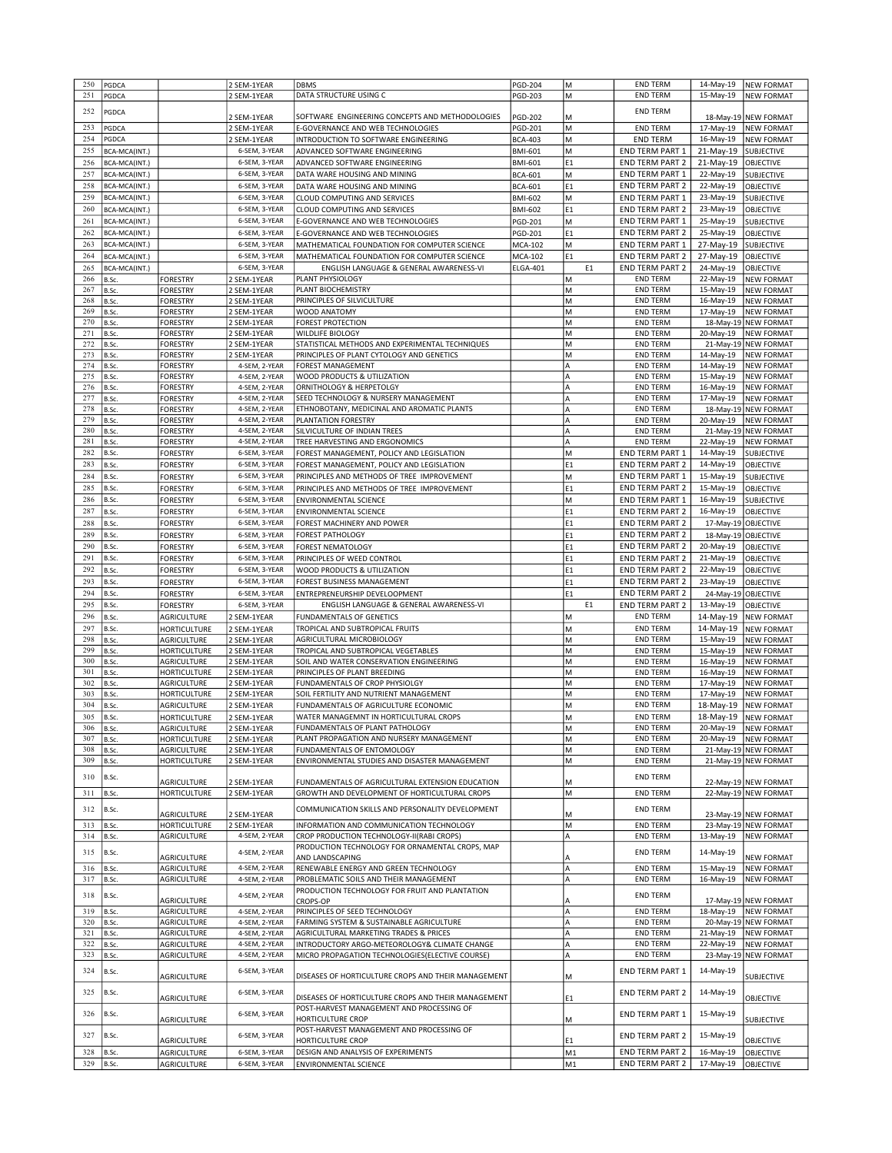| 250        | PGDCA          |                                   | 2 SEM-1YEAR                    | DBMS                                                        | <b>PGD-204</b>  | lм             | <b>END TERM</b>                           | 14-May-19              | <b>NEW FORMAT</b>      |
|------------|----------------|-----------------------------------|--------------------------------|-------------------------------------------------------------|-----------------|----------------|-------------------------------------------|------------------------|------------------------|
| 251        | PGDCA          |                                   | 2 SEM-1YEAR                    | DATA STRUCTURE USING C                                      | <b>PGD-203</b>  | lм             | <b>END TERM</b>                           | 15-May-19              | <b>NEW FORMAT</b>      |
|            |                |                                   |                                |                                                             |                 |                |                                           |                        |                        |
| 252        | PGDCA          |                                   |                                |                                                             |                 |                | <b>END TERM</b>                           |                        |                        |
|            |                |                                   | 2 SEM-1YEAR                    | SOFTWARE ENGINEERING CONCEPTS AND METHODOLOGIES             | <b>PGD-202</b>  | lм             |                                           |                        | 18-May-19 NEW FORMAT   |
| 253        | PGDCA          |                                   | 2 SEM-1YEAR                    | E-GOVERNANCE AND WEB TECHNOLOGIES                           | <b>PGD-201</b>  | M              | <b>END TERM</b>                           | 17-May-19              | <b>NEW FORMAT</b>      |
| 254        | PGDCA          |                                   | 2 SEM-1YEAR                    | INTRODUCTION TO SOFTWARE ENGINEERING                        | <b>BCA-403</b>  | lм             | <b>END TERM</b>                           | 16-May-19              | <b>NEW FORMAT</b>      |
| 255        | BCA-MCA(INT.)  |                                   | 6-SEM, 3-YEAR                  | ADVANCED SOFTWARE ENGINEERING                               | <b>BMI-601</b>  | M              | END TERM PART 1                           | 21-May-19              | SUBJECTIVE             |
| 256        | BCA-MCA(INT.)  |                                   | 6-SEM, 3-YEAR                  | ADVANCED SOFTWARE ENGINEERING                               | <b>BMI-601</b>  | E <sub>1</sub> | <b>END TERM PART 2</b>                    | 21-May-19              | <b>OBJECTIVE</b>       |
| 257        | BCA-MCA(INT.)  |                                   | 6-SEM, 3-YEAR                  | DATA WARE HOUSING AND MINING                                | <b>BCA-601</b>  | lм             | <b>END TERM PART 1</b>                    | 22-May-19              | SUBJECTIVE             |
|            |                |                                   | 6-SEM, 3-YEAR                  |                                                             |                 |                |                                           |                        |                        |
| 258        | BCA-MCA(INT.)  |                                   |                                | DATA WARE HOUSING AND MINING                                | <b>BCA-601</b>  | E <sub>1</sub> | <b>END TERM PART 2</b>                    | 22-May-19              | OBJECTIVE              |
| 259        | BCA-MCA(INT.)  |                                   | 6-SEM, 3-YEAR                  | CLOUD COMPUTING AND SERVICES                                | <b>BMI-602</b>  | M              | <b>END TERM PART 1</b>                    | 23-May-19              | SUBJECTIVE             |
| 260        | BCA-MCA(INT.)  |                                   | 6-SEM, 3-YEAR                  | CLOUD COMPUTING AND SERVICES                                | <b>BMI-602</b>  | E <sub>1</sub> | <b>END TERM PART 2</b>                    | 23-May-19              | OBJECTIVE              |
| 261        | BCA-MCA(INT.)  |                                   | 6-SEM, 3-YEAR                  | E-GOVERNANCE AND WEB TECHNOLOGIES                           | PGD-201         | M              | <b>END TERM PART 1</b>                    | 25-May-19              | SUBJECTIVE             |
| 262        | BCA-MCA(INT.)  |                                   | 6-SEM, 3-YEAR                  | E-GOVERNANCE AND WEB TECHNOLOGIES                           | PGD-201         | E <sub>1</sub> | END TERM PART 2                           | 25-May-19              | OBJECTIVE              |
| 263        | BCA-MCA(INT.)  |                                   | 6-SEM, 3-YEAR                  | MATHEMATICAL FOUNDATION FOR COMPUTER SCIENCE                |                 | M              | <b>END TERM PART 1</b>                    | 27-May-19              |                        |
|            |                |                                   |                                |                                                             | <b>MCA-102</b>  |                |                                           |                        | SUBJECTIVE             |
| 264        | BCA-MCA(INT.)  |                                   | 6-SEM, 3-YEAR                  | MATHEMATICAL FOUNDATION FOR COMPUTER SCIENCE                | <b>MCA-102</b>  | E <sub>1</sub> | <b>END TERM PART 2</b>                    | 27-May-19              | OBJECTIVE              |
| 265        | BCA-MCA(INT.)  |                                   | 6-SEM, 3-YEAR                  | ENGLISH LANGUAGE & GENERAL AWARENESS-VI                     | <b>ELGA-401</b> | E1             | <b>END TERM PART 2</b>                    | 24-May-19              | <b>OBJECTIVE</b>       |
| 266        | B.Sc.          | <b>FORESTRY</b>                   | 2 SEM-1YEAR                    | PLANT PHYSIOLOGY                                            |                 | lм             | <b>END TERM</b>                           | 22-May-19              | <b>NEW FORMAT</b>      |
| 267        | B.Sc.          | <b>FORESTRY</b>                   | 2 SEM-1YEAR                    | PLANT BIOCHEMISTRY                                          |                 | lм             | <b>END TERM</b>                           | 15-May-19              | <b>NEW FORMAT</b>      |
| 268        | B.Sc.          | <b>FORESTRY</b>                   | 2 SEM-1YEAR                    | PRINCIPLES OF SILVICULTURE                                  |                 | lм             | <b>END TERM</b>                           | 16-May-19              | <b>NEW FORMAT</b>      |
| 269        | B.Sc.          | <b>FORESTRY</b>                   | 2 SEM-1YEAR                    | WOOD ANATOMY                                                |                 | M              | <b>END TERM</b>                           | 17-May-19              | <b>NEW FORMAT</b>      |
| 270        | B.Sc.          | <b>FORESTRY</b>                   | 2 SEM-1YEAR                    | <b>FOREST PROTECTION</b>                                    |                 | lм             | <b>END TERM</b>                           | 18-May-19              | <b>NEW FORMAT</b>      |
| 271        | B.Sc.          | <b>FORESTRY</b>                   | 2 SEM-1YEAR                    | <b>WILDLIFE BIOLOGY</b>                                     |                 | M              | <b>END TERM</b>                           | 20-May-19              | <b>NEW FORMAT</b>      |
|            |                |                                   |                                |                                                             |                 |                |                                           |                        |                        |
| 272        | B.Sc.          | <b>FORESTRY</b>                   | 2 SEM-1YEAR                    | STATISTICAL METHODS AND EXPERIMENTAL TECHNIQUES             |                 | lм             | <b>END TERM</b>                           |                        | 21-May-19 NEW FORMAT   |
| 273        | B.Sc.          | <b>FORESTRY</b>                   | 2 SEM-1YEAR                    | PRINCIPLES OF PLANT CYTOLOGY AND GENETICS                   |                 | M              | <b>END TERM</b>                           | 14-May-19              | <b>NEW FORMAT</b>      |
| 274        | B.Sc.          | <b>FORESTRY</b>                   | 4-SEM, 2-YEAR                  | <b>FOREST MANAGEMENT</b>                                    |                 | A              | <b>END TERM</b>                           | 14-May-19              | <b>NEW FORMAT</b>      |
| 275        | B.Sc.          | <b>FORESTRY</b>                   | 4-SEM, 2-YEAR                  | WOOD PRODUCTS & UTILIZATION                                 |                 | A              | <b>END TERM</b>                           | 15-May-19              | <b>NEW FORMAT</b>      |
| 276        | B.Sc.          | <b>FORESTRY</b>                   | 4-SEM, 2-YEAR                  | ORNITHOLOGY & HERPETOLGY                                    |                 | A              | <b>END TERM</b>                           | 16-May-19              | <b>NEW FORMAT</b>      |
| 277        | B.Sc.          | <b>FORESTRY</b>                   | 4-SEM, 2-YEAR                  | SEED TECHNOLOGY & NURSERY MANAGEMENT                        |                 | A              | <b>END TERM</b>                           | 17-May-19              | <b>NEW FORMAT</b>      |
| 278        | B.Sc.          | <b>FORESTRY</b>                   | 4-SEM, 2-YEAR                  | ETHNOBOTANY, MEDICINAL AND AROMATIC PLANTS                  |                 | A              | <b>END TERM</b>                           | 18-May-19              | <b>NEW FORMAT</b>      |
| 279        | B.Sc.          | <b>FORESTRY</b>                   | 4-SEM, 2-YEAR                  | PLANTATION FORESTRY                                         |                 | A              | <b>END TERM</b>                           | 20-May-19              | <b>NEW FORMAT</b>      |
|            |                |                                   |                                | SILVICULTURE OF INDIAN TREES                                |                 |                |                                           |                        |                        |
| 280        | B.Sc.          | <b>FORESTRY</b>                   | 4-SEM, 2-YEAR                  |                                                             |                 | A              | <b>END TERM</b>                           | 21-May-19              | <b>NEW FORMAT</b>      |
| 281        | B.Sc.          | <b>FORESTRY</b>                   | 4-SEM, 2-YEAR                  | TREE HARVESTING AND ERGONOMICS                              |                 | A              | <b>END TERM</b>                           | 22-May-19              | <b>NEW FORMAT</b>      |
| 282        | B.Sc.          | <b>FORESTRY</b>                   | 6-SEM, 3-YEAR                  | FOREST MANAGEMENT, POLICY AND LEGISLATION                   |                 | lм             | <b>END TERM PART 1</b>                    | 14-May-19              | <b>SUBJECTIVE</b>      |
| 283        | B.Sc.          | <b>FORESTRY</b>                   | 6-SEM. 3-YEAR                  | FOREST MANAGEMENT, POLICY AND LEGISLATION                   |                 | E1             | <b>END TERM PART 2</b>                    | 14-May-19              | OBJECTIVE              |
| 284        | B.Sc.          | <b>FORESTRY</b>                   | 6-SEM, 3-YEAR                  | PRINCIPLES AND METHODS OF TREE IMPROVEMENT                  |                 | M              | END TERM PART 1                           | 15-May-19              | <b>SUBJECTIVE</b>      |
| 285        | B.Sc.          | <b>FORESTRY</b>                   | 6-SEM, 3-YEAR                  | PRINCIPLES AND METHODS OF TREE IMPROVEMENT                  |                 | E <sub>1</sub> | <b>END TERM PART 2</b>                    | 15-May-19              | <b>OBJECTIVE</b>       |
|            |                |                                   |                                |                                                             |                 |                |                                           |                        |                        |
| 286        | B.Sc.          | <b>FORESTRY</b>                   | 6-SEM, 3-YEAR                  | ENVIRONMENTAL SCIENCE                                       |                 | M              | <b>END TERM PART 1</b>                    | 16-May-19              | SUBJECTIVE             |
| 287        | B.Sc.          | <b>FORESTRY</b>                   | 6-SEM, 3-YEAR                  | ENVIRONMENTAL SCIENCE                                       |                 | E <sub>1</sub> | END TERM PART 2                           | 16-May-19              | OBJECTIVE              |
| 288        | B.Sc.          | <b>FORESTRY</b>                   | 6-SEM, 3-YEAR                  | FOREST MACHINERY AND POWER                                  |                 | E <sub>1</sub> | END TERM PART 2                           | 17-May-19              | OBJECTIVE              |
| 289        | B.Sc.          | <b>FORESTRY</b>                   | 6-SEM, 3-YEAR                  | <b>FOREST PATHOLOGY</b>                                     |                 | E <sub>1</sub> | <b>END TERM PART 2</b>                    | 18-May-19 OBJECTIVE    |                        |
| 290        | B.Sc.          | <b>FORESTRY</b>                   | 6-SEM, 3-YEAR                  | FOREST NEMATOLOGY                                           |                 | E <sub>1</sub> | <b>END TERM PART 2</b>                    | 20-May-19              | OBJECTIVE              |
|            |                |                                   |                                |                                                             |                 |                |                                           |                        |                        |
| 291        | B.Sc.          | <b>FORESTRY</b>                   | 6-SEM, 3-YEAR                  | PRINCIPLES OF WEED CONTROL                                  |                 | E <sub>1</sub> | <b>END TERM PART 2</b>                    | 21-May-19              | OBJECTIVE              |
| 292        | B.Sc.          | <b>FORESTRY</b>                   | 6-SEM, 3-YEAR                  | WOOD PRODUCTS & UTILIZATION                                 |                 | E <sub>1</sub> | <b>END TERM PART 2</b>                    | 22-May-19              | OBJECTIVE              |
| 293        | B.Sc.          | <b>FORESTRY</b>                   | 6-SEM, 3-YEAR                  | FOREST BUSINESS MANAGEMENT                                  |                 | E1             | END TERM PART 2                           | 23-May-19              | <b>OBJECTIVE</b>       |
| 294        | B.Sc.          | <b>FORESTRY</b>                   | 6-SEM, 3-YEAR                  | ENTREPRENEURSHIP DEVELOOPMENT                               |                 | E <sub>1</sub> | END TERM PART 2                           | 24-May-19              | OBJECTIVE              |
| 295        | B.Sc.          | <b>FORESTRY</b>                   | 6-SEM, 3-YEAR                  | ENGLISH LANGUAGE & GENERAL AWARENESS-VI                     |                 | E <sub>1</sub> | END TERM PART 2                           | 13-May-19              | OBJECTIVE              |
|            |                |                                   |                                |                                                             |                 |                |                                           |                        |                        |
| 296        | B.Sc.          | <b>AGRICULTURE</b>                | 2 SEM-1YEAR                    | <b>FUNDAMENTALS OF GENETICS</b>                             |                 | М              | <b>END TERM</b>                           | 14-May-19              | <b>NEW FORMAT</b>      |
| 297        | B.Sc.          | <b>HORTICULTURE</b>               | 2 SEM-1YEAR                    | TROPICAL AND SUBTROPICAL FRUITS                             |                 | lм             | <b>END TERM</b>                           | 14-May-19              | <b>NEW FORMAT</b>      |
| 298        | B.Sc.          | <b>AGRICULTURE</b>                | 2 SEM-1YEAR                    | AGRICULTURAL MICROBIOLOGY                                   |                 | M              | <b>END TERM</b>                           | 15-May-19              | <b>NEW FORMAT</b>      |
| 299        | B.Sc.          | HORTICULTURE                      | 2 SEM-1YEAR                    | TROPICAL AND SUBTROPICAL VEGETABLES                         |                 | M              | <b>END TERM</b>                           | 15-May-19              | <b>NEW FORMAT</b>      |
| 300        | B.Sc.          | <b>AGRICULTURE</b>                | 2 SEM-1YEAR                    | SOIL AND WATER CONSERVATION ENGINEERING                     |                 | М              | <b>END TERM</b>                           | 16-May-19              | <b>NEW FORMAT</b>      |
| 301        | B.Sc.          | HORTICULTURE                      | 2 SEM-1YEAR                    | PRINCIPLES OF PLANT BREEDING                                |                 | M              | <b>END TERM</b>                           | 16-May-19              | <b>NEW FORMAT</b>      |
| 302        | B.Sc.          | <b>AGRICULTURE</b>                | 2 SEM-1YEAR                    | FUNDAMENTALS OF CROP PHYSIOLGY                              |                 | M              | <b>END TERM</b>                           | 17-May-19              | <b>NEW FORMAT</b>      |
| 303        | B.Sc.          | HORTICULTURE                      |                                | SOIL FERTILITY AND NUTRIENT MANAGEMENT                      |                 | lм             | <b>END TERM</b>                           |                        | <b>NEW FORMAT</b>      |
|            |                |                                   | 2 SEM-1YEAR                    |                                                             |                 |                |                                           | 17-May-19              |                        |
| 304        | B.Sc.          | <b>AGRICULTURE</b>                | 2 SEM-1YEAR                    | FUNDAMENTALS OF AGRICULTURE ECONOMIC                        |                 | M              | <b>END TERM</b>                           | 18-May-19              | <b>NEW FORMAT</b>      |
| 305        | B.Sc.          | HORTICULTURE                      | 2 SEM-1YEAR                    | WATER MANAGEMNT IN HORTICULTURAL CROPS                      |                 | lм             | <b>END TERM</b>                           | 18-May-19              | <b>NEW FORMAT</b>      |
| 306        | B.Sc.          | <b>AGRICULTURE</b>                | 2 SEM-1YEAR                    | FUNDAMENTALS OF PLANT PATHOLOGY                             |                 | M              | <b>END TERM</b>                           |                        | 20-May-19 NEW FORMAT   |
| 307        | B.Sc.          | <b>HORTICULTURE</b>               | 2 SEM-1YEAR                    | PLANT PROPAGATION AND NURSERY MANAGEMENT                    |                 | lм             | <b>END TERM</b>                           | 20-May-19              | <b>NEW FORMAT</b>      |
| 308        | B.Sc.          | <b>AGRICULTURE</b>                | 2 SEM-1YEAR                    | FUNDAMENTALS OF ENTOMOLOGY                                  |                 | M              | <b>END TERM</b>                           |                        | 21-May-19 NEW FORMAT   |
| 309        | B.Sc.          | <b>HORTICULTURE</b>               | 2 SEM-1YEAR                    | ENVIRONMENTAL STUDIES AND DISASTER MANAGEMENT               |                 | M              | <b>END TERM</b>                           |                        | 21-May-19 NEW FORMAT   |
|            |                |                                   |                                |                                                             |                 |                |                                           |                        |                        |
| 310        | B.Sc.          | <b>AGRICULTURE</b>                | 2 SEM-1YEAR                    | FUNDAMENTALS OF AGRICULTURAL EXTENSION EDUCATION            |                 | M              | END TERM                                  |                        | 22-May-19 NEW FORMAT   |
| 311        |                |                                   |                                |                                                             |                 |                |                                           |                        | 22-May-19 NEW FORMAT   |
|            | B.Sc.          | <b>HORTICULTURE</b>               | 2 SEM-1YEAR                    | GROWTH AND DEVELOPMENT OF HORTICULTURAL CROPS               |                 | M              | <b>END TERM</b>                           |                        |                        |
| 312        | B.Sc.          |                                   |                                | COMMUNICATION SKILLS AND PERSONALITY DEVELOPMENT            |                 |                | <b>END TERM</b>                           |                        |                        |
|            |                | <b>AGRICULTURE</b>                | 2 SEM-1YEAR                    |                                                             |                 | М              |                                           |                        | 23-May-19 NEW FORMAT   |
| 313        | B.Sc.          | <b>HORTICULTURE</b>               | 2 SEM-1YEAR                    | INFORMATION AND COMMUNICATION TECHNOLOGY                    |                 | M              | <b>END TERM</b>                           |                        | 23-May-19 NEW FORMAT   |
| 314        |                |                                   |                                |                                                             |                 |                |                                           |                        |                        |
|            | B.Sc.          | AGRICULTURE                       | 4-SEM, 2-YEAR                  | CROP PRODUCTION TECHNOLOGY-II(RABI CROPS)                   |                 | A              | END TERM                                  | 13-May-19              | <b>NEW FORMAT</b>      |
|            |                |                                   |                                | PRODUCTION TECHNOLOGY FOR ORNAMENTAL CROPS, MAP             |                 |                |                                           |                        |                        |
| 315        | B.Sc.          | <b>AGRICULTURE</b>                | 4-SEM, 2-YEAR                  |                                                             |                 | A              | <b>END TERM</b>                           | 14-May-19              | <b>NEW FORMAT</b>      |
|            |                |                                   |                                | AND LANDSCAPING                                             |                 |                |                                           |                        |                        |
| 316        | B.Sc.          | <b>AGRICULTURE</b>                | 4-SEM, 2-YEAR                  | RENEWABLE ENERGY AND GREEN TECHNOLOGY                       |                 | A              | <b>END TERM</b>                           | 15-May-19              | <b>NEW FORMAT</b>      |
| 317        | B.Sc.          | <b>AGRICULTURE</b>                | 4-SEM, 2-YEAR                  | PROBLEMATIC SOILS AND THEIR MANAGEMENT                      |                 | A              | <b>END TERM</b>                           | 16-May-19              | <b>NEW FORMAT</b>      |
| 318        | B.Sc.          |                                   | 4-SEM, 2-YEAR                  | PRODUCTION TECHNOLOGY FOR FRUIT AND PLANTATION              |                 |                | <b>END TERM</b>                           |                        |                        |
|            |                | AGRICULTURE                       |                                | <b>CROPS-OP</b>                                             |                 | ΙA             |                                           |                        | 17-May-19 NEW FORMAT   |
| 319        | B.Sc.          | <b>AGRICULTURE</b>                | 4-SEM, 2-YEAR                  | PRINCIPLES OF SEED TECHNOLOGY                               |                 | A              | <b>END TERM</b>                           | 18-May-19              | <b>NEW FORMAT</b>      |
| 320        | B.Sc.          | <b>AGRICULTURE</b>                | 4-SEM, 2-YEAR                  | FARMING SYSTEM & SUSTAINABLE AGRICULTURE                    |                 | A              | <b>END TERM</b>                           |                        | 20-May-19 NEW FORMAT   |
| 321        | B.Sc.          | AGRICULTURE                       | 4-SEM, 2-YEAR                  | AGRICULTURAL MARKETING TRADES & PRICES                      |                 | A              | <b>END TERM</b>                           | 21-May-19              | <b>NEW FORMAT</b>      |
| 322        | B.Sc.          | AGRICULTURE                       | 4-SEM, 2-YEAR                  | INTRODUCTORY ARGO-METEOROLOGY& CLIMATE CHANGE               |                 | A              | <b>END TERM</b>                           | 22-May-19              | <b>NEW FORMAT</b>      |
| 323        | B.Sc.          | <b>AGRICULTURE</b>                | 4-SEM, 2-YEAR                  | MICRO PROPAGATION TECHNOLOGIES (ELECTIVE COURSE)            |                 | A              | END TERM                                  |                        | 23-May-19 NEW FORMAT   |
|            |                |                                   |                                |                                                             |                 |                |                                           |                        |                        |
| 324        | B.Sc.          |                                   | 6-SEM, 3-YEAR                  |                                                             |                 |                | <b>END TERM PART 1</b>                    | 14-May-19              |                        |
|            |                | <b>AGRICULTURE</b>                |                                | DISEASES OF HORTICULTURE CROPS AND THEIR MANAGEMENT         |                 | M              |                                           |                        | SUBJECTIVE             |
| 325        | B.Sc.          |                                   | 6-SEM, 3-YEAR                  |                                                             |                 |                | <b>END TERM PART 2</b>                    | 14-May-19              |                        |
|            |                | <b>AGRICULTURE</b>                |                                | DISEASES OF HORTICULTURE CROPS AND THEIR MANAGEMENT         |                 | E <sub>1</sub> |                                           |                        | OBJECTIVE              |
|            |                |                                   |                                | POST-HARVEST MANAGEMENT AND PROCESSING OF                   |                 |                |                                           |                        |                        |
| 326        | B.Sc.          | <b>AGRICULTURE</b>                | 6-SEM, 3-YEAR                  | HORTICULTURE CROP                                           |                 | M              | END TERM PART 1                           | 15-May-19              | SUBJECTIVE             |
|            |                |                                   |                                | POST-HARVEST MANAGEMENT AND PROCESSING OF                   |                 |                |                                           |                        |                        |
| 327        | B.Sc.          | <b>AGRICULTURE</b>                | 6-SEM, 3-YEAR                  | HORTICULTURE CROP                                           |                 | E <sub>1</sub> | END TERM PART 2                           | 15-May-19              | OBJECTIVE              |
|            |                |                                   |                                |                                                             |                 |                |                                           |                        |                        |
| 328<br>329 | B.Sc.<br>B.Sc. | <b>AGRICULTURE</b><br>AGRICULTURE | 6-SEM, 3-YEAR<br>6-SEM, 3-YEAR | DESIGN AND ANALYSIS OF EXPERIMENTS<br>ENVIRONMENTAL SCIENCE |                 | M1<br>M1       | END TERM PART 2<br><b>END TERM PART 2</b> | 16-May-19<br>17-May-19 | OBJECTIVE<br>OBJECTIVE |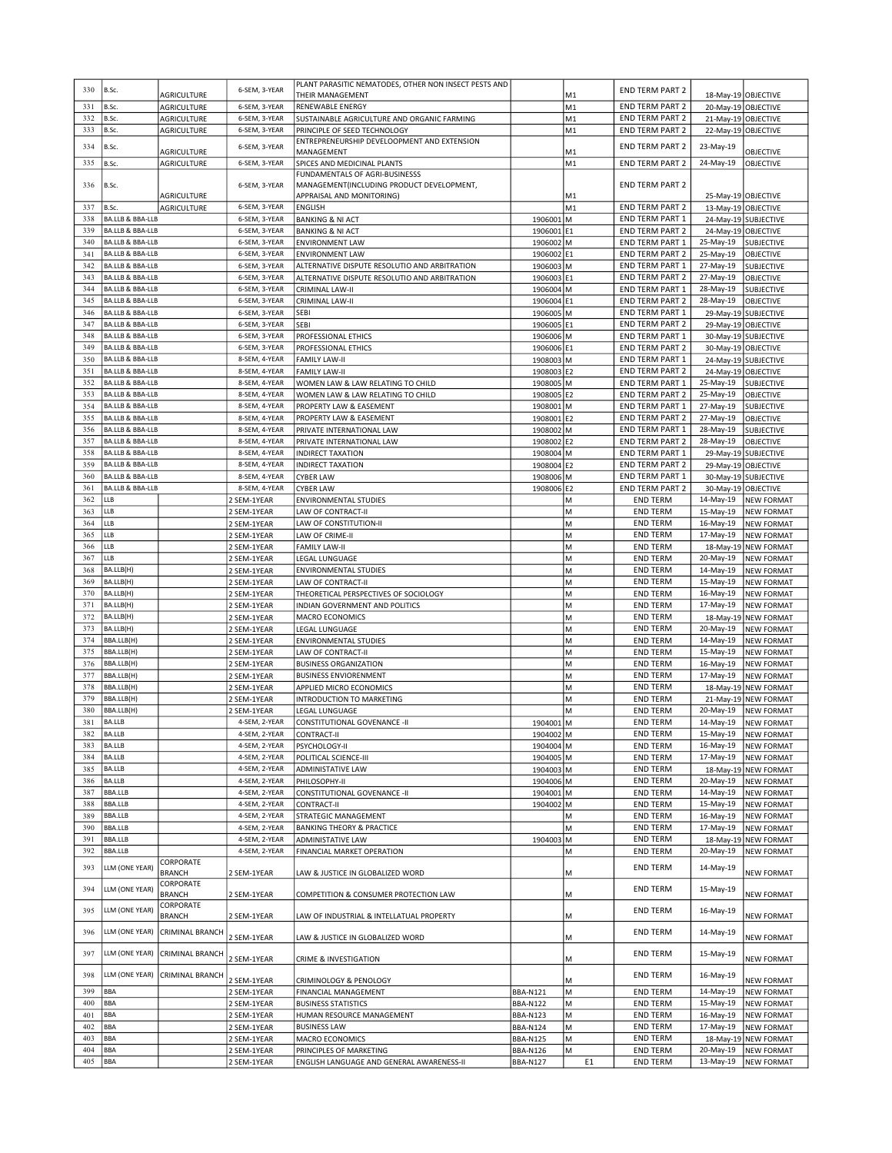| 330        | B.Sc.                                                      | AGRICULTURE            | 6-SEM, 3-YEAR                  | PLANT PARASITIC NEMATODES, OTHER NON INSECT PESTS AND<br>THEIR MANAGEMENT |                         | M1             | <b>END TERM PART 2</b>                           |                                  | 18-May-19 OBJECTIVE            |
|------------|------------------------------------------------------------|------------------------|--------------------------------|---------------------------------------------------------------------------|-------------------------|----------------|--------------------------------------------------|----------------------------------|--------------------------------|
| 331        | B.Sc.                                                      | <b>AGRICULTURE</b>     | 6-SEM, 3-YEAR                  | RENEWABLE ENERGY                                                          |                         | M <sub>1</sub> | <b>END TERM PART 2</b>                           |                                  | 20-May-19 OBJECTIVE            |
| 332        | B.Sc.                                                      | <b>AGRICULTURE</b>     | 6-SEM, 3-YEAR                  | SUSTAINABLE AGRICULTURE AND ORGANIC FARMING                               |                         | M1             | <b>END TERM PART 2</b>                           |                                  | 21-May-19 OBJECTIVE            |
| 333        | B.Sc.                                                      | <b>AGRICULTURE</b>     | 6-SEM, 3-YEAR                  | PRINCIPLE OF SEED TECHNOLOGY                                              |                         | M1             | END TERM PART 2                                  |                                  | 22-May-19 OBJECTIVE            |
| 334        | B.Sc.                                                      |                        | 6-SEM, 3-YEAR                  | ENTREPRENEURSHIP DEVELOOPMENT AND EXTENSION                               |                         |                | <b>END TERM PART 2</b>                           | 23-May-19                        |                                |
| 335        | B.Sc.                                                      | <b>AGRICULTURE</b>     | 6-SEM, 3-YEAR                  | MANAGEMENT                                                                |                         | M1<br>M1       |                                                  |                                  | OBJECTIVE<br><b>OBJECTIVE</b>  |
|            |                                                            | <b>AGRICULTURE</b>     |                                | SPICES AND MEDICINAL PLANTS<br>FUNDAMENTALS OF AGRI-BUSINESSS             |                         |                | <b>END TERM PART 2</b>                           | 24-May-19                        |                                |
| 336        | B.Sc.                                                      |                        | 6-SEM, 3-YEAR                  | MANAGEMENT(INCLUDING PRODUCT DEVELOPMENT,                                 |                         |                | <b>END TERM PART 2</b>                           |                                  |                                |
|            | B.Sc.                                                      | <b>AGRICULTURE</b>     | 6-SEM, 3-YEAR                  | APPRAISAL AND MONITORING)                                                 |                         | M1<br>M1       |                                                  |                                  | 25-May-19 OBJECTIVE            |
| 337<br>338 | <b>BA.LLB &amp; BBA-LLB</b>                                | <b>AGRICULTURE</b>     | 6-SEM, 3-YEAR                  | <b>ENGLISH</b><br><b>BANKING &amp; NI ACT</b>                             | 1906001 M               |                | <b>END TERM PART 2</b><br><b>END TERM PART 1</b> | 13-May-19 OBJECTIVE              | 24-May-19 SUBJECTIVE           |
| 339        | BA.LLB & BBA-LLB                                           |                        | 6-SEM, 3-YEAR                  | <b>BANKING &amp; NI ACT</b>                                               | 1906001 E1              |                | <b>END TERM PART 2</b>                           | 24-May-19                        | OBJECTIVE                      |
| 340        | BA.LLB & BBA-LLB                                           |                        | 6-SEM, 3-YEAR                  | <b>ENVIRONMENT LAW</b>                                                    | 1906002 M               |                | <b>END TERM PART 1</b>                           | 25-May-19                        | SUBJECTIVE                     |
| 341        | <b>BA.LLB &amp; BBA-LLB</b>                                |                        | 6-SEM, 3-YEAR                  | <b>ENVIRONMENT LAW</b>                                                    | 1906002 E1              |                | <b>END TERM PART 2</b>                           | 25-May-19                        | OBJECTIVE                      |
| 342        | <b>BA.LLB &amp; BBA-LLB</b>                                |                        | 6-SEM, 3-YEAR                  | ALTERNATIVE DISPUTE RESOLUTIO AND ARBITRATION                             | 1906003 M               |                | END TERM PART 1                                  | 27-May-19                        | SUBJECTIVE                     |
| 343        | BA.LLB & BBA-LLB                                           |                        | 6-SEM, 3-YEAR                  | ALTERNATIVE DISPUTE RESOLUTIO AND ARBITRATION                             | 1906003 E1              |                | <b>END TERM PART 2</b>                           | 27-May-19                        | OBJECTIVE                      |
| 344        | <b>BA.LLB &amp; BBA-LLB</b>                                |                        | 6-SEM, 3-YEAR                  | CRIMINAL LAW-II                                                           | 1906004 M               |                | <b>END TERM PART 1</b>                           | 28-May-19                        | <b>SUBJECTIVE</b>              |
| 345        | <b>BA.LLB &amp; BBA-LLB</b>                                |                        | 6-SEM, 3-YEAR                  | CRIMINAL LAW-II                                                           | 1906004 E1              |                | <b>END TERM PART 2</b>                           | 28-May-19                        | OBJECTIVE                      |
| 346        | <b>BA.LLB &amp; BBA-LLB</b>                                |                        | 6-SEM, 3-YEAR                  | SEBI                                                                      | 1906005 M               |                | <b>END TERM PART 1</b>                           |                                  | 29-May-19 SUBJECTIVE           |
| 347        | <b>BA.LLB &amp; BBA-LLB</b>                                |                        | 6-SEM, 3-YEAR                  | <b>SEBI</b>                                                               | 1906005 E1              |                | <b>END TERM PART 2</b>                           | 29-May-19                        | OBJECTIVE                      |
| 348        | <b>BA.LLB &amp; BBA-LLB</b>                                |                        | 6-SEM, 3-YEAR                  | PROFESSIONAL ETHICS                                                       | 1906006 M               |                | END TERM PART 1                                  |                                  | 30-May-19 SUBJECTIVE           |
| 349        | BA.LLB & BBA-LLB                                           |                        | 6-SEM, 3-YEAR                  | PROFESSIONAL ETHICS                                                       | 1906006 E1              |                | <b>END TERM PART 2</b>                           |                                  | 30-May-19 OBJECTIVE            |
| 350        | <b>BA.LLB &amp; BBA-LLB</b>                                |                        | 8-SEM, 4-YEAR                  | <b>FAMILY LAW-II</b>                                                      | 1908003 M               |                | END TERM PART 1                                  |                                  |                                |
| 351        | <b>BA.LLB &amp; BBA-LLB</b>                                |                        | 8-SEM, 4-YEAR                  |                                                                           |                         |                | <b>END TERM PART 2</b>                           | 24-May-19                        | <b>SUBJECTIVE</b>              |
| 352        | <b>BA.LLB &amp; BBA-LLB</b>                                |                        | 8-SEM, 4-YEAR                  | <b>FAMILY LAW-II</b><br>WOMEN LAW & LAW RELATING TO CHILD                 | 1908003 E2<br>1908005 M |                | END TERM PART 1                                  | 24-May-19 OBJECTIVE<br>25-May-19 |                                |
| 353        | <b>BA.LLB &amp; BBA-LLB</b>                                |                        | 8-SEM, 4-YEAR                  | WOMEN LAW & LAW RELATING TO CHILD                                         | 1908005 E2              |                | <b>END TERM PART 2</b>                           | 25-May-19                        | <b>SUBJECTIVE</b><br>OBJECTIVE |
| 354        | <b>BA.LLB &amp; BBA-LLB</b>                                |                        | 8-SEM, 4-YEAR                  |                                                                           |                         |                | END TERM PART 1                                  | 27-May-19                        |                                |
| 355        | <b>BA.LLB &amp; BBA-LLB</b>                                |                        | 8-SEM, 4-YEAR                  | PROPERTY LAW & EASEMENT                                                   | 1908001 M               |                |                                                  |                                  | SUBJECTIVE                     |
| 356        |                                                            |                        | 8-SEM, 4-YEAR                  | PROPERTY LAW & EASEMENT                                                   | 1908001 E2              |                | <b>END TERM PART 2</b>                           | 27-May-19                        | OBJECTIVE                      |
|            | <b>BA.LLB &amp; BBA-LLB</b><br><b>BA.LLB &amp; BBA-LLB</b> |                        |                                | PRIVATE INTERNATIONAL LAW                                                 | 1908002 M               |                | <b>END TERM PART 1</b>                           | 28-May-19                        | <b>SUBJECTIVE</b>              |
| 357<br>358 | <b>BA.LLB &amp; BBA-LLB</b>                                |                        | 8-SEM, 4-YEAR<br>8-SEM, 4-YEAR | PRIVATE INTERNATIONAL LAW                                                 | 1908002 E2<br>1908004 M |                | <b>END TERM PART 2</b>                           | 28-May-19                        | OBJECTIVE                      |
|            |                                                            |                        |                                | <b>INDIRECT TAXATION</b>                                                  |                         |                | END TERM PART 1                                  |                                  | 29-May-19 SUBJECTIVE           |
| 359        | <b>BA.LLB &amp; BBA-LLB</b>                                |                        | 8-SEM, 4-YEAR                  | INDIRECT TAXATION                                                         | 1908004 E2              |                | <b>END TERM PART 2</b>                           | 29-May-19                        | <b>OBJECTIVE</b>               |
| 360        | <b>BA.LLB &amp; BBA-LLB</b>                                |                        | 8-SEM, 4-YEAR                  | <b>CYBER LAW</b>                                                          | 1908006 M               |                | END TERM PART 1                                  |                                  | 30-May-19 SUBJECTIVE           |
| 361        | <b>BA.LLB &amp; BBA-LLB</b>                                |                        | 8-SEM, 4-YEAR                  | <b>CYBER LAW</b>                                                          | 1908006 E2              |                | END TERM PART 2                                  |                                  | 30-May-19 OBJECTIVE            |
| 362        | LLB                                                        |                        | 2 SEM-1YEAR                    | ENVIRONMENTAL STUDIES                                                     |                         | M              | <b>END TERM</b>                                  | 14-May-19                        | <b>NEW FORMAT</b>              |
| 363        | LLB                                                        |                        | 2 SEM-1YEAR                    | LAW OF CONTRACT-II                                                        |                         | M              | <b>END TERM</b>                                  | 15-May-19                        | <b>NEW FORMAT</b>              |
| 364        | LLB                                                        |                        | 2 SEM-1YEAR                    | LAW OF CONSTITUTION-II                                                    |                         | M              | <b>END TERM</b>                                  | 16-May-19                        | NEW FORMAT                     |
| 365        | LLB                                                        |                        | 2 SEM-1YEAR                    | LAW OF CRIME-II                                                           |                         | M              | <b>END TERM</b>                                  | 17-May-19                        | <b>NEW FORMAT</b>              |
| 366        | LLB                                                        |                        | 2 SEM-1YEAR                    | <b>FAMILY LAW-II</b>                                                      |                         | M              | <b>END TERM</b>                                  | 18-May-19                        | <b>NEW FORMAT</b>              |
| 367        | LLB                                                        |                        | 2 SEM-1YEAR                    | LEGAL LUNGUAGE                                                            |                         | M              | <b>END TERM</b>                                  | 20-May-19                        | <b>NEW FORMAT</b>              |
| 368        | BA.LLB(H)                                                  |                        | 2 SEM-1YEAR                    | ENVIRONMENTAL STUDIES                                                     |                         | M              | <b>END TERM</b>                                  | 14-May-19                        | <b>NEW FORMAT</b>              |
| 369        | BA.LLB(H)                                                  |                        | 2 SEM-1YEAR                    | LAW OF CONTRACT-II                                                        |                         | M              | <b>END TERM</b>                                  | 15-May-19                        | <b>NEW FORMAT</b>              |
| 370        | BA.LLB(H)                                                  |                        | 2 SEM-1YEAR                    | THEORETICAL PERSPECTIVES OF SOCIOLOGY                                     |                         | M              | <b>END TERM</b>                                  | 16-May-19                        | NEW FORMAT                     |
| 371        | BA.LLB(H)                                                  |                        | 2 SEM-1YEAR                    | INDIAN GOVERNMENT AND POLITICS                                            |                         | M              | <b>END TERM</b>                                  | 17-May-19                        | <b>NEW FORMAT</b>              |
| 372        | BA.LLB(H)                                                  |                        | 2 SEM-1YEAR                    | MACRO ECONOMICS                                                           |                         | M              | <b>END TERM</b>                                  | 18-May-19                        | <b>NEW FORMAT</b>              |
| 373        | BA.LLB(H)                                                  |                        | 2 SEM-1YEAR                    | LEGAL LUNGUAGE                                                            |                         | lм             | <b>END TERM</b>                                  | 20-May-19                        | <b>NEW FORMAT</b>              |
| 374        | BBA.LLB(H)                                                 |                        | 2 SEM-1YEAR                    | ENVIRONMENTAL STUDIES                                                     |                         | M              | <b>END TERM</b>                                  | 14-May-19                        | <b>NEW FORMAT</b>              |
| 375        | BBA.LLB(H)                                                 |                        | 2 SEM-1YEAR                    | LAW OF CONTRACT-II                                                        |                         | M              | <b>END TERM</b>                                  | 15-May-19                        | <b>NEW FORMAT</b>              |
| 376        | BBA.LLB(H)                                                 |                        | 2 SEM-1YEAR                    | <b>BUSINESS ORGANIZATION</b>                                              |                         | M              | <b>END TERM</b>                                  | 16-May-19                        | <b>NEW FORMAT</b>              |
| 377        | BBA.LLB(H)                                                 |                        | 2 SEM-1YEAR                    | <b>BUSINESS ENVIORENMENT</b>                                              |                         | М              | <b>END TERM</b>                                  | 17-May-19                        | <b>NEW FORMAT</b>              |
| 378        | BBA.LLB(H)                                                 |                        | 2 SEM-1YEAR                    | APPLIED MICRO ECONOMICS                                                   |                         | M              | <b>END TERM</b>                                  | 18-May-19                        | <b>NEW FORMAT</b>              |
| 379        | BBA.LLB(H)                                                 |                        | 2 SEM-1YEAR                    | INTRODUCTION TO MARKETING                                                 |                         | M              | <b>END TERM</b>                                  | 21-May-19                        | <b>NEW FORMAT</b>              |
| 380        | BBA.LLB(H)                                                 |                        | 2 SEM-1YEAR                    | LEGAL LUNGUAGE                                                            |                         | M              | <b>END TERM</b>                                  | 20-May-19                        | <b>NEW FORMAT</b>              |
| 381        | <b>BA.LLB</b>                                              |                        | 4-SEM, 2-YEAR                  | CONSTITUTIONAL GOVENANCE -II                                              | 1904001 M               |                | <b>END TERM</b>                                  | 14-May-19                        | <b>NEW FORMAT</b>              |
| 382        | BA.LLB                                                     |                        | 4-SEM, 2-YEAR                  | CONTRACT-II                                                               | 1904002 M               |                | END TERM                                         | 15-May-19                        | <b>NEW FORMAT</b>              |
| 383        | <b>BA.LLB</b>                                              |                        | 4-SEM, 2-YEAR                  | PSYCHOLOGY-II                                                             | 1904004 M               |                | <b>END TERM</b>                                  | 16-May-19                        | <b>NEW FORMAT</b>              |
| 384        | <b>BA.LLB</b>                                              |                        | 4-SEM, 2-YEAR                  | POLITICAL SCIENCE-III                                                     | 1904005 M               |                | <b>END TERM</b>                                  | 17-May-19                        | <b>NEW FORMAT</b>              |
| 385        | <b>BA.LLB</b>                                              |                        | 4-SEM, 2-YEAR                  | ADMINISTATIVE LAW                                                         | 1904003 M               |                | <b>END TERM</b>                                  | 18-May-19                        | <b>NEW FORMAT</b>              |
| 386        | <b>BA.LLB</b>                                              |                        | 4-SEM, 2-YEAR                  | PHILOSOPHY-II                                                             | 1904006 M               |                | <b>END TERM</b>                                  | 20-May-19                        | <b>NEW FORMAT</b>              |
| 387        | <b>BBA.LLB</b>                                             |                        | 4-SEM, 2-YEAR                  | CONSTITUTIONAL GOVENANCE -II                                              | 1904001 M               |                | <b>END TERM</b>                                  | 14-May-19                        | <b>NEW FORMAT</b>              |
| 388        | <b>BBA.LLB</b>                                             |                        | 4-SEM, 2-YEAR                  | CONTRACT-II                                                               | 1904002 M               |                | <b>END TERM</b>                                  | 15-May-19                        | <b>NEW FORMAT</b>              |
| 389        | <b>BBA.LLB</b>                                             |                        | 4-SEM, 2-YEAR                  | STRATEGIC MANAGEMENT                                                      |                         | M              | <b>END TERM</b>                                  | 16-May-19                        | <b>NEW FORMAT</b>              |
| 390        | BBA.LLB                                                    |                        | 4-SEM, 2-YEAR                  | <b>BANKING THEORY &amp; PRACTICE</b>                                      |                         | M              | <b>END TERM</b>                                  | 17-May-19                        | <b>NEW FORMAT</b>              |
| 391        | <b>BBA.LLB</b>                                             |                        | 4-SEM, 2-YEAR                  | ADMINISTATIVE LAW                                                         | 1904003 M               |                | <b>END TERM</b>                                  | 18-May-19                        | <b>NEW FORMAT</b>              |
| 392        | <b>BBA.LLB</b>                                             |                        | 4-SEM, 2-YEAR                  | FINANCIAL MARKET OPERATION                                                |                         | М              | <b>END TERM</b>                                  | 20-May-19                        | <b>NEW FORMAT</b>              |
| 393        | LLM (ONE YEAR)                                             | CORPORATE              |                                |                                                                           |                         |                | <b>END TERM</b>                                  | 14-May-19                        |                                |
|            |                                                            | <b>BRANCH</b>          | 2 SEM-1YEAR                    | LAW & JUSTICE IN GLOBALIZED WORD                                          |                         | М              |                                                  |                                  | <b>NEW FORMAT</b>              |
| 394        | LLM (ONE YEAR)                                             | CORPORATE              |                                |                                                                           |                         |                | <b>END TERM</b>                                  | 15-May-19                        |                                |
|            |                                                            | <b>BRANCH</b>          | 2 SEM-1YEAR                    | COMPETITION & CONSUMER PROTECTION LAW                                     |                         | М              |                                                  |                                  | <b>NEW FORMAT</b>              |
| 395        | LLM (ONE YEAR)                                             | CORPORATE              |                                |                                                                           |                         |                | <b>END TERM</b>                                  | 16-May-19                        | <b>NEW FORMAT</b>              |
|            |                                                            | <b>BRANCH</b>          | 2 SEM-1YEAR                    | LAW OF INDUSTRIAL & INTELLATUAL PROPERTY                                  |                         | M              |                                                  |                                  |                                |
| 396        | LLM (ONE YEAR)                                             | <b>CRIMINAL BRANCH</b> | 2 SEM-1YEAR                    | LAW & JUSTICE IN GLOBALIZED WORD                                          |                         | М              | <b>END TERM</b>                                  | 14-May-19                        | <b>NEW FORMAT</b>              |
| 397        | LLM (ONE YEAR)                                             | <b>CRIMINAL BRANCH</b> | 2 SEM-1YEAR                    | <b>CRIME &amp; INVESTIGATION</b>                                          |                         | M              | <b>END TERM</b>                                  | 15-May-19                        | NEW FORMAT                     |
| 398        | LLM (ONE YEAR)                                             | <b>CRIMINAL BRANCH</b> | 2 SEM-1YEAR                    | CRIMINOLOGY & PENOLOGY                                                    |                         | M              | <b>END TERM</b>                                  | 16-May-19                        | <b>NEW FORMAT</b>              |
| 399        | <b>BBA</b>                                                 |                        |                                | FINANCIAL MANAGEMENT                                                      |                         | M              | <b>END TERM</b>                                  | 14-May-19                        | <b>NEW FORMAT</b>              |
| 400        |                                                            |                        | 2 SEM-1YEAR                    |                                                                           | <b>BBA-N121</b>         |                |                                                  |                                  |                                |
|            | <b>BBA</b>                                                 |                        | 2 SEM-1YEAR                    | <b>BUSINESS STATISTICS</b>                                                | <b>BBA-N122</b>         | М              | <b>END TERM</b>                                  | 15-May-19                        | <b>NEW FORMAT</b>              |
| 401        | <b>BBA</b><br><b>BBA</b>                                   |                        | 2 SEM-1YEAR                    | HUMAN RESOURCE MANAGEMENT                                                 | <b>BBA-N123</b>         | M              | <b>END TERM</b>                                  | 16-May-19                        | <b>NEW FORMAT</b>              |
| 402<br>403 | <b>BBA</b>                                                 |                        | 2 SEM-1YEAR                    | <b>BUSINESS LAW</b>                                                       | <b>BBA-N124</b>         | M              | <b>END TERM</b><br><b>END TERM</b>               | 17-May-19                        | <b>NEW FORMAT</b>              |
| 404        | <b>BBA</b>                                                 |                        | 2 SEM-1YEAR                    | MACRO ECONOMICS                                                           | <b>BBA-N125</b>         | M              |                                                  | 18-May-19                        | <b>NEW FORMAT</b>              |
|            |                                                            |                        | 2 SEM-1YEAR                    | PRINCIPLES OF MARKETING                                                   | <b>BBA-N126</b>         | M              | <b>END TERM</b>                                  | 20-May-19                        | <b>NEW FORMAT</b>              |
| 405        | <b>BBA</b>                                                 |                        | 2 SEM-1YEAR                    | ENGLISH LANGUAGE AND GENERAL AWARENESS-II                                 | <b>BBA-N127</b>         | E1             | <b>END TERM</b>                                  | 13-May-19                        | <b>NEW FORMAT</b>              |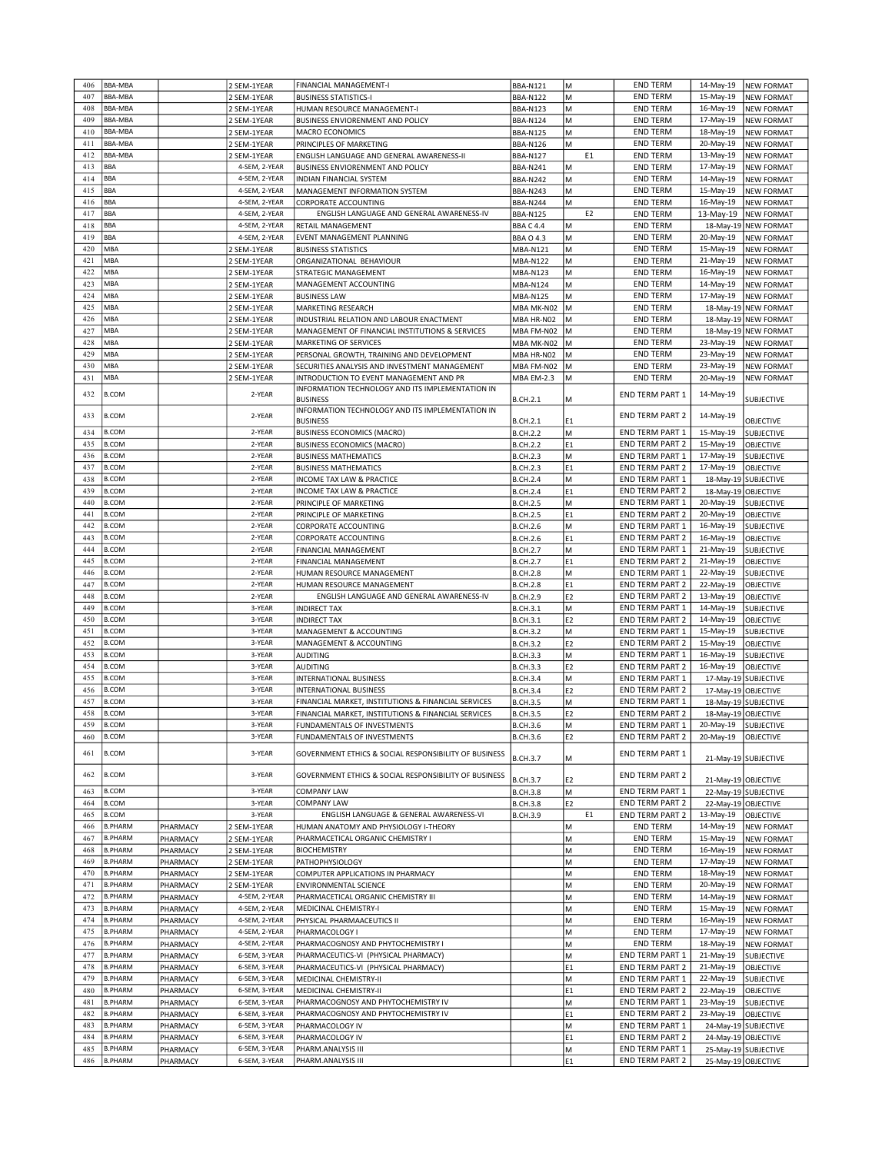| 406 | <b>BBA-MBA</b> |          | 2 SEM-1YEAR   | FINANCIAL MANAGEMENT-I                                | <b>BBA-N121</b>   | M              | <b>END TERM</b>        | 14-May-19            | <b>NEW FORMAT</b>    |
|-----|----------------|----------|---------------|-------------------------------------------------------|-------------------|----------------|------------------------|----------------------|----------------------|
| 407 | <b>BBA-MBA</b> |          | 2 SEM-1YEAR   | <b>BUSINESS STATISTICS-I</b>                          | <b>BBA-N122</b>   | M              | <b>END TERM</b>        | 15-May-19            | <b>NEW FORMAT</b>    |
|     |                |          |               |                                                       |                   |                |                        |                      |                      |
| 408 | <b>BBA-MBA</b> |          | 2 SEM-1YEAR   | HUMAN RESOURCE MANAGEMENT-I                           | <b>BBA-N123</b>   | M              | <b>END TERM</b>        | 16-May-19            | <b>NEW FORMAT</b>    |
| 409 | BBA-MBA        |          | 2 SEM-1YEAR   | BUSINESS ENVIORENMENT AND POLICY                      | <b>BBA-N124</b>   | М              | <b>END TERM</b>        | 17-May-19            | <b>NEW FORMAT</b>    |
| 410 | <b>BBA-MBA</b> |          | 2 SEM-1YEAR   | MACRO ECONOMICS                                       | <b>BBA-N125</b>   | M              | <b>END TERM</b>        | 18-May-19            | <b>NEW FORMAT</b>    |
| 411 | <b>BBA-MBA</b> |          | 2 SEM-1YEAR   | PRINCIPLES OF MARKETING                               | <b>BBA-N126</b>   | М              | <b>END TERM</b>        | 20-May-19            | <b>NEW FORMAT</b>    |
| 412 | BBA-MBA        |          | 2 SEM-1YEAR   | ENGLISH LANGUAGE AND GENERAL AWARENESS-II             | <b>BBA-N127</b>   | E1             | <b>END TERM</b>        | 13-May-19            | NEW FORMAT           |
| 413 | <b>BBA</b>     |          | 4-SEM, 2-YEAR | BUSINESS ENVIORENMENT AND POLICY                      | <b>BBA-N241</b>   | M              | <b>END TERM</b>        | 17-May-19            | <b>NEW FORMAT</b>    |
|     |                |          |               |                                                       |                   |                |                        |                      |                      |
| 414 | <b>BBA</b>     |          | 4-SEM, 2-YEAR | INDIAN FINANCIAL SYSTEM                               | <b>BBA-N242</b>   | M              | <b>END TERM</b>        | 14-May-19            | <b>NEW FORMAT</b>    |
| 415 | <b>BBA</b>     |          | 4-SEM, 2-YEAR | MANAGEMENT INFORMATION SYSTEM                         | <b>BBA-N243</b>   | М              | <b>END TERM</b>        | 15-May-19            | <b>NEW FORMAT</b>    |
| 416 | <b>BBA</b>     |          | 4-SEM, 2-YEAR | CORPORATE ACCOUNTING                                  | <b>BBA-N244</b>   | M              | <b>END TERM</b>        | 16-May-19            | <b>NEW FORMAT</b>    |
| 417 | <b>BBA</b>     |          | 4-SEM, 2-YEAR | ENGLISH LANGUAGE AND GENERAL AWARENESS-IV             | <b>BBA-N125</b>   | E <sub>2</sub> | <b>END TERM</b>        | 13-May-19            | <b>NEW FORMAT</b>    |
| 418 | <b>BBA</b>     |          | 4-SEM, 2-YEAR | <b>RETAIL MANAGEMENT</b>                              | <b>BBA C 4.4</b>  | М              | <b>END TERM</b>        | 18-May-19            | <b>NEW FORMAT</b>    |
| 419 | <b>BBA</b>     |          | 4-SEM, 2-YEAR | EVENT MANAGEMENT PLANNING                             | <b>BBA O 4.3</b>  | M              | <b>END TERM</b>        | 20-May-19            | <b>NEW FORMAT</b>    |
| 420 | MBA            |          |               |                                                       |                   | M              |                        | 15-May-19            |                      |
|     |                |          | 2 SEM-1YEAR   | <b>BUSINESS STATISTICS</b>                            | <b>MBA-N121</b>   |                | <b>END TERM</b>        |                      | <b>NEW FORMAT</b>    |
| 421 | MBA            |          | 2 SEM-1YEAR   | ORGANIZATIONAL BEHAVIOUR                              | <b>MBA-N122</b>   | М              | <b>END TERM</b>        | 21-May-19            | <b>NEW FORMAT</b>    |
| 422 | MBA            |          | 2 SEM-1YEAR   | STRATEGIC MANAGEMENT                                  | <b>MBA-N123</b>   | M              | <b>END TERM</b>        | 16-May-19            | <b>NEW FORMAT</b>    |
| 423 | MBA            |          | 2 SEM-1YEAR   | MANAGEMENT ACCOUNTING                                 | MBA-N124          | M              | <b>END TERM</b>        | 14-May-19            | <b>NEW FORMAT</b>    |
| 424 | MBA            |          | 2 SEM-1YEAR   | <b>BUSINESS LAW</b>                                   | <b>MBA-N125</b>   | M              | <b>END TERM</b>        | 17-May-19            | <b>NEW FORMAT</b>    |
| 425 | MBA            |          | 2 SEM-1YEAR   | MARKETING RESEARCH                                    | MBA MK-N02        | M              | <b>END TERM</b>        | 18-May-19            | <b>NEW FORMAT</b>    |
| 426 | MBA            |          | 2 SEM-1YEAR   | INDUSTRIAL RELATION AND LABOUR ENACTMENT              | MBA HR-N02        | M              | <b>END TERM</b>        |                      | 18-May-19 NEW FORMAT |
|     |                |          |               |                                                       |                   |                |                        |                      |                      |
| 427 | MBA            |          | 2 SEM-1YEAR   | MANAGEMENT OF FINANCIAL INSTITUTIONS & SERVICES       | MBA FM-N02        | M              | <b>END TERM</b>        |                      | 18-May-19 NEW FORMAT |
| 428 | MBA            |          | 2 SEM-1YEAR   | MARKETING OF SERVICES                                 | MBA MK-N02        | M              | <b>END TERM</b>        | 23-May-19            | <b>NEW FORMAT</b>    |
| 429 | MBA            |          | 2 SEM-1YEAR   | PERSONAL GROWTH, TRAINING AND DEVELOPMENT             | MBA HR-N02        | M              | <b>END TERM</b>        | 23-May-19            | <b>NEW FORMAT</b>    |
| 430 | MBA            |          | 2 SEM-1YEAR   | SECURITIES ANALYSIS AND INVESTMENT MANAGEMENT         | MBA FM-N02        | M              | <b>END TERM</b>        | 23-May-19            | <b>NEW FORMAT</b>    |
| 431 | MBA            |          |               |                                                       |                   |                |                        | 20-May-19            | <b>NEW FORMAT</b>    |
|     |                |          | 2 SEM-1YEAR   | INTRODUCTION TO EVENT MANAGEMENT AND PR               | <b>MBA EM-2.3</b> | M              | <b>END TERM</b>        |                      |                      |
| 432 | <b>B.COM</b>   |          | 2-YEAR        | INFORMATION TECHNOLOGY AND ITS IMPLEMENTATION IN      |                   |                | END TERM PART 1        | 14-May-19            |                      |
|     |                |          |               | <b>BUSINESS</b>                                       | <b>B.CH.2.1</b>   | М              |                        |                      | SUBJECTIVE           |
| 433 | <b>B.COM</b>   |          | 2-YEAR        | INFORMATION TECHNOLOGY AND ITS IMPLEMENTATION IN      |                   |                | <b>END TERM PART 2</b> | 14-May-19            |                      |
|     |                |          |               | <b>BUSINESS</b>                                       | <b>B.CH.2.1</b>   | E <sub>1</sub> |                        |                      | OBJECTIVE            |
| 434 | <b>B.COM</b>   |          | 2-YEAR        | <b>BUSINESS ECONOMICS (MACRO)</b>                     | <b>B.CH.2.2</b>   | lм             | END TERM PART 1        | 15-May-19            | <b>SUBJECTIVE</b>    |
| 435 | <b>B.COM</b>   |          | 2-YEAR        | <b>BUSINESS ECONOMICS (MACRO)</b>                     | <b>B.CH.2.2</b>   | E1             | <b>END TERM PART 2</b> | 15-May-19            | OBJECTIVE            |
| 436 |                |          | 2-YEAR        |                                                       |                   | M              |                        |                      |                      |
|     | <b>B.COM</b>   |          |               | <b>BUSINESS MATHEMATICS</b>                           | <b>B.CH.2.3</b>   |                | END TERM PART 1        | 17-May-19            | <b>SUBJECTIVE</b>    |
| 437 | <b>B.COM</b>   |          | 2-YEAR        | <b>BUSINESS MATHEMATICS</b>                           | <b>B.CH.2.3</b>   | E1             | END TERM PART 2        | 17-May-19            | OBJECTIVE            |
| 438 | <b>B.COM</b>   |          | 2-YEAR        | INCOME TAX LAW & PRACTICE                             | <b>B.CH.2.4</b>   | M              | END TERM PART 1        | 18-May-19 SUBJECTIVE |                      |
| 439 | <b>B.COM</b>   |          | 2-YEAR        | INCOME TAX LAW & PRACTICE                             | <b>B.CH.2.4</b>   | E1             | END TERM PART 2        | 18-May-19            | <b>OBJECTIVE</b>     |
| 440 | <b>B.COM</b>   |          | 2-YEAR        | PRINCIPLE OF MARKETING                                | <b>B.CH.2.5</b>   | M              | END TERM PART 1        | 20-May-19            | SUBJECTIVE           |
| 441 | <b>B.COM</b>   |          | 2-YEAR        | PRINCIPLE OF MARKETING                                | <b>B.CH.2.5</b>   | E <sub>1</sub> | <b>END TERM PART 2</b> | 20-May-19            | OBJECTIVE            |
|     |                |          |               |                                                       |                   |                |                        |                      |                      |
| 442 | <b>B.COM</b>   |          | 2-YEAR        | CORPORATE ACCOUNTING                                  | <b>B.CH.2.6</b>   | M              | END TERM PART 1        | 16-May-19            | <b>SUBJECTIVE</b>    |
| 443 | <b>B.COM</b>   |          | 2-YEAR        | CORPORATE ACCOUNTING                                  | <b>B.CH.2.6</b>   | E <sub>1</sub> | <b>END TERM PART 2</b> | 16-May-19            | OBJECTIVE            |
| 444 | <b>B.COM</b>   |          | 2-YEAR        | FINANCIAL MANAGEMENT                                  | <b>B.CH.2.7</b>   | M              | END TERM PART 1        | 21-May-19            | SUBJECTIVE           |
| 445 | <b>B.COM</b>   |          | 2-YEAR        | FINANCIAL MANAGEMENT                                  | <b>B.CH.2.7</b>   | E1             | <b>END TERM PART 2</b> | 21-May-19            | OBJECTIVE            |
| 446 | <b>B.COM</b>   |          | 2-YEAR        | HUMAN RESOURCE MANAGEMENT                             | <b>B.CH.2.8</b>   | M              | END TERM PART 1        | 22-May-19            | <b>SUBJECTIVE</b>    |
|     |                |          |               |                                                       |                   |                |                        |                      |                      |
| 447 | <b>B.COM</b>   |          | 2-YEAR        | HUMAN RESOURCE MANAGEMENT                             | <b>B.CH.2.8</b>   | E <sub>1</sub> | <b>END TERM PART 2</b> | 22-May-19            | OBJECTIVE            |
| 448 | <b>B.COM</b>   |          | 2-YEAR        | ENGLISH LANGUAGE AND GENERAL AWARENESS-IV             | <b>B.CH.2.9</b>   | E <sub>2</sub> | <b>END TERM PART 2</b> | 13-May-19            | OBJECTIVE            |
| 449 | <b>B.COM</b>   |          | 3-YEAR        | <b>INDIRECT TAX</b>                                   | <b>B.CH.3.1</b>   | M              | END TERM PART 1        | 14-May-19            | <b>SUBJECTIVE</b>    |
| 450 | <b>B.COM</b>   |          | 3-YEAR        | <b>INDIRECT TAX</b>                                   | <b>B.CH.3.1</b>   | E <sub>2</sub> | <b>END TERM PART 2</b> | 14-May-19            | OBJECTIVE            |
| 451 | <b>B.COM</b>   |          | 3-YEAR        | MANAGEMENT & ACCOUNTING                               | <b>B.CH.3.2</b>   | M              | END TERM PART 1        | 15-May-19            | <b>SUBJECTIVE</b>    |
| 452 | <b>B.COM</b>   |          | 3-YEAR        | MANAGEMENT & ACCOUNTING                               | <b>B.CH.3.2</b>   | E <sub>2</sub> | END TERM PART 2        | 15-May-19            | OBJECTIVE            |
|     |                |          |               |                                                       |                   |                |                        |                      |                      |
| 453 | <b>B.COM</b>   |          | 3-YEAR        | <b>AUDITING</b>                                       | <b>B.CH.3.3</b>   | lм             | END TERM PART 1        | 16-May-19            | <b>SUBJECTIVE</b>    |
| 454 | <b>B.COM</b>   |          | 3-YEAR        | AUDITING                                              | <b>B.CH.3.3</b>   | E <sub>2</sub> | <b>END TERM PART 2</b> | 16-May-19            | OBJECTIVE            |
| 455 | <b>B.COM</b>   |          | 3-YEAR        | INTERNATIONAL BUSINESS                                | <b>B.CH.3.4</b>   | M              | END TERM PART 1        | 17-May-19            | SUBJECTIVE           |
| 456 | <b>B.COM</b>   |          | 3-YEAR        | INTERNATIONAL BUSINESS                                | <b>B.CH.3.4</b>   | E <sub>2</sub> | END TERM PART 2        | 17-May-19            | <b>OBJECTIVE</b>     |
| 457 | <b>B.COM</b>   |          | 3-YEAR        | FINANCIAL MARKET, INSTITUTIONS & FINANCIAL SERVICES   | <b>B.CH.3.5</b>   | М              | END TERM PART 1        | 18-May-19 SUBJECTIVE |                      |
| 458 | <b>B.COM</b>   |          | 3-YEAR        | FINANCIAL MARKET, INSTITUTIONS & FINANCIAL SERVICES   | <b>B.CH.3.5</b>   | E <sub>2</sub> | <b>END TERM PART 2</b> | 18-May-19 OBJECTIVE  |                      |
|     |                |          |               |                                                       |                   |                |                        | 20-May-19            |                      |
| 459 | <b>B.COM</b>   |          | 3-YEAR        | FUNDAMENTALS OF INVESTMENTS                           | <b>B.CH.3.6</b>   | lм             | END TERM PART 1        |                      | <b>SUBJECTIVE</b>    |
| 460 | B.COM          |          | 3-YEAR        | FUNDAMENTALS OF INVESTMENTS                           | <b>B.CH.3.6</b>   | E <sub>2</sub> | <b>END TERM PART 2</b> | 20-May-19            | <b>OBJECTIVE</b>     |
| 461 | <b>B.COM</b>   |          | 3-YEAR        | GOVERNMENT ETHICS & SOCIAL RESPONSIBILITY OF BUSINESS |                   |                | <b>END TERM PART 1</b> |                      |                      |
|     |                |          |               |                                                       | <b>B.CH.3.7</b>   | M              |                        | 21-May-19 SUBJECTIVE |                      |
| 462 | <b>B.COM</b>   |          | 3-YEAR        | GOVERNMENT ETHICS & SOCIAL RESPONSIBILITY OF BUSINESS |                   |                | END TERM PART 2        |                      |                      |
|     |                |          |               |                                                       | <b>B.CH.3.7</b>   | E <sub>2</sub> |                        | 21-May-19 OBJECTIVE  |                      |
| 463 | <b>B.COM</b>   |          | 3-YEAR        | <b>COMPANY LAW</b>                                    | <b>B.CH.3.8</b>   | M              | END TERM PART 1        | 22-May-19 SUBJECTIVE |                      |
| 464 | <b>B.COM</b>   |          | 3-YEAR        | <b>COMPANY LAW</b>                                    | <b>B.CH.3.8</b>   | E <sub>2</sub> | <b>END TERM PART 2</b> | 22-May-19 OBJECTIVE  |                      |
| 465 | <b>B.COM</b>   |          | 3-YEAR        | ENGLISH LANGUAGE & GENERAL AWARENESS-VI               | <b>B.CH.3.9</b>   | E1             | <b>END TERM PART 2</b> | 13-May-19            | OBJECTIVE            |
|     |                |          |               |                                                       |                   |                |                        |                      |                      |
| 466 | <b>B.PHARM</b> | PHARMACY | 2 SEM-1YEAR   | HUMAN ANATOMY AND PHYSIOLOGY I-THEORY                 |                   | M              | <b>END TERM</b>        | 14-May-19            | <b>NEW FORMAT</b>    |
| 467 | <b>B.PHARM</b> | PHARMACY | 2 SEM-1YEAR   | PHARMACETICAL ORGANIC CHEMISTRY I                     |                   | M              | <b>END TERM</b>        | 15-May-19            | <b>NEW FORMAT</b>    |
| 468 |                |          |               |                                                       |                   |                |                        |                      |                      |
| 469 | <b>B.PHARM</b> | PHARMACY | 2 SEM-1YEAR   | <b>BIOCHEMISTRY</b>                                   |                   | M              | <b>END TERM</b>        | 16-May-19            | <b>NEW FORMAT</b>    |
| 470 | <b>B.PHARM</b> | PHARMACY | 2 SEM-1YEAR   | PATHOPHYSIOLOGY                                       |                   | M              | <b>END TERM</b>        | 17-May-19            | <b>NEW FORMAT</b>    |
|     | <b>B.PHARM</b> |          | 2 SEM-1YEAR   | COMPUTER APPLICATIONS IN PHARMACY                     |                   | M              | <b>END TERM</b>        | 18-May-19            |                      |
|     |                | PHARMACY |               |                                                       |                   |                |                        |                      | <b>NEW FORMAT</b>    |
| 471 | <b>B.PHARM</b> | PHARMACY | 2 SEM-1YEAR   | ENVIRONMENTAL SCIENCE                                 |                   | M              | <b>END TERM</b>        | 20-May-19            | <b>NEW FORMAT</b>    |
| 472 | <b>B.PHARM</b> | PHARMACY | 4-SEM, 2-YEAR | PHARMACETICAL ORGANIC CHEMISTRY III                   |                   | M              | <b>END TERM</b>        | 14-May-19            | <b>NEW FORMAT</b>    |
| 473 | <b>B.PHARM</b> | PHARMACY | 4-SEM, 2-YEAR | MEDICINAL CHEMISTRY-I                                 |                   | M              | <b>END TERM</b>        | 15-May-19            | <b>NEW FORMAT</b>    |
| 474 | <b>B.PHARM</b> | PHARMACY | 4-SEM, 2-YEAR | PHYSICAL PHARMAACEUTICS II                            |                   | M              | <b>END TERM</b>        | 16-May-19            | <b>NEW FORMAT</b>    |
| 475 | <b>B.PHARM</b> | PHARMACY | 4-SEM, 2-YEAR | PHARMACOLOGY I                                        |                   | M              | <b>END TERM</b>        | 17-May-19            | <b>NEW FORMAT</b>    |
| 476 |                |          |               |                                                       |                   |                |                        |                      |                      |
|     | <b>B.PHARM</b> | PHARMACY | 4-SEM, 2-YEAR | PHARMACOGNOSY AND PHYTOCHEMISTRY I                    |                   | M              | <b>END TERM</b>        | 18-May-19            | <b>NEW FORMAT</b>    |
| 477 | <b>B.PHARM</b> | PHARMACY | 6-SEM, 3-YEAR | PHARMACEUTICS-VI (PHYSICAL PHARMACY)                  |                   | M              | END TERM PART 1        | 21-May-19            | SUBJECTIVE           |
| 478 | <b>B.PHARM</b> | PHARMACY | 6-SEM, 3-YEAR | PHARMACEUTICS-VI (PHYSICAL PHARMACY)                  |                   | E1             | <b>END TERM PART 2</b> | 21-May-19            | <b>OBJECTIVE</b>     |
| 479 | <b>B.PHARM</b> | PHARMACY | 6-SEM, 3-YEAR | MEDICINAL CHEMISTRY-II                                |                   | M              | END TERM PART 1        | 22-May-19            | <b>SUBJECTIVE</b>    |
| 480 | <b>B.PHARM</b> | PHARMACY | 6-SEM, 3-YEAR | MEDICINAL CHEMISTRY-II                                |                   | E1             | <b>END TERM PART 2</b> | 22-May-19            | OBJECTIVE            |
| 481 | <b>B.PHARM</b> |          | 6-SEM, 3-YEAR |                                                       |                   |                |                        |                      |                      |
|     |                | PHARMACY |               | PHARMACOGNOSY AND PHYTOCHEMISTRY IV                   |                   | M              | END TERM PART 1        | 23-May-19            | <b>SUBJECTIVE</b>    |
| 482 | <b>B.PHARM</b> | PHARMACY | 6-SEM, 3-YEAR | PHARMACOGNOSY AND PHYTOCHEMISTRY IV                   |                   | E1             | <b>END TERM PART 2</b> | 23-May-19            | OBJECTIVE            |
| 483 | <b>B.PHARM</b> | PHARMACY | 6-SEM, 3-YEAR | PHARMACOLOGY IV                                       |                   | M              | END TERM PART 1        | 24-May-19 SUBJECTIVE |                      |
| 484 | <b>B.PHARM</b> | PHARMACY | 6-SEM, 3-YEAR | PHARMACOLOGY IV                                       |                   | E1             | <b>END TERM PART 2</b> | 24-May-19 OBJECTIVE  |                      |
| 485 | <b>B.PHARM</b> | PHARMACY | 6-SEM, 3-YEAR | PHARM.ANALYSIS III                                    |                   | M              | END TERM PART 1        | 25-May-19 SUBJECTIVE |                      |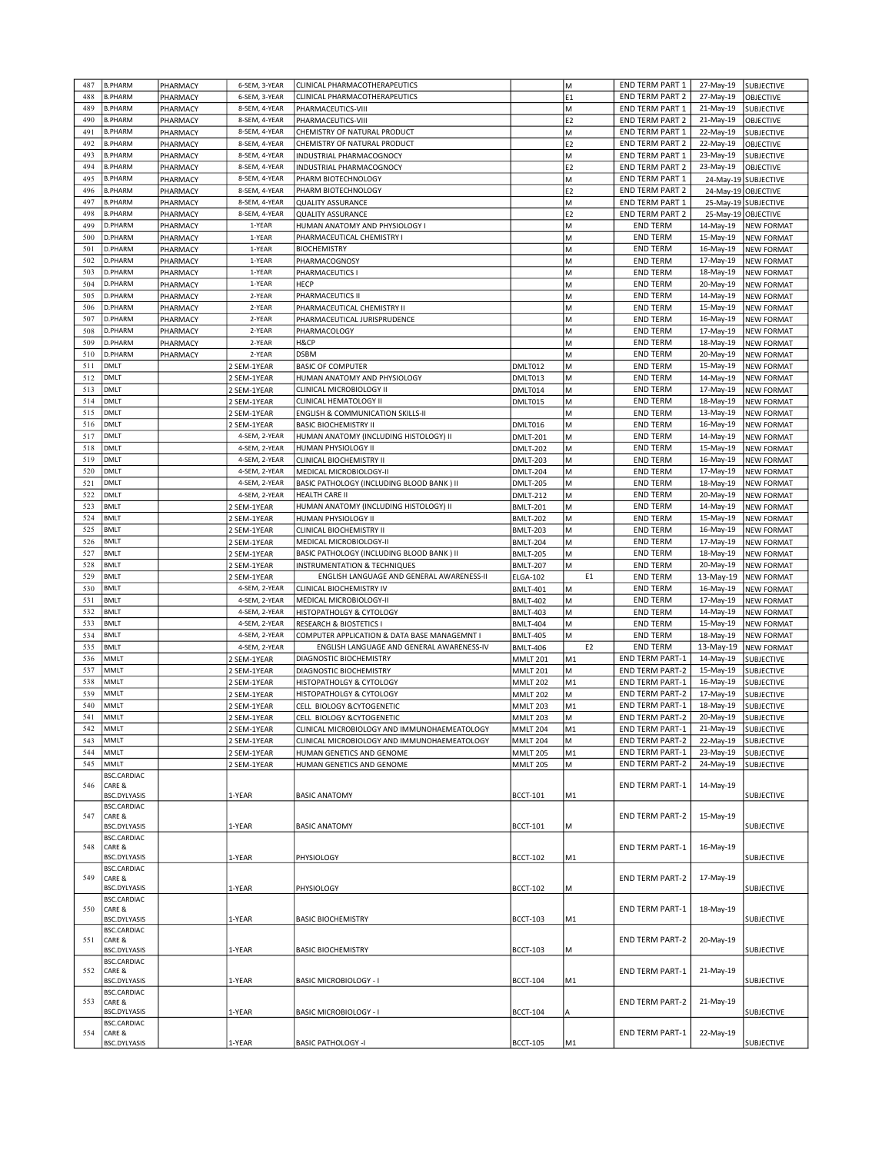| 487 | <b>B.PHARM</b>         | PHARMACY | 6-SEM, 3-YEAR | CLINICAL PHARMACOTHERAPEUTICS                |                 | lм             | END TERM PART 1                                  | 27-May-19 | SUBJECTIVE                      |
|-----|------------------------|----------|---------------|----------------------------------------------|-----------------|----------------|--------------------------------------------------|-----------|---------------------------------|
| 488 | <b>B.PHARM</b>         | PHARMACY | 6-SEM, 3-YEAR | CLINICAL PHARMACOTHERAPEUTICS                |                 | E <sub>1</sub> | <b>END TERM PART 2</b>                           | 27-May-19 | <b>OBJECTIVE</b>                |
| 489 | <b>B.PHARM</b>         | PHARMACY | 8-SEM, 4-YEAR | PHARMACEUTICS-VIII                           |                 | M              | <b>END TERM PART 1</b>                           | 21-May-19 | <b>SUBJECTIVE</b>               |
| 490 | <b>B.PHARM</b>         | PHARMACY | 8-SEM, 4-YEAR | PHARMACEUTICS-VIII                           |                 | E <sub>2</sub> | <b>END TERM PART 2</b>                           | 21-May-19 | OBJECTIVE                       |
| 491 | <b>B.PHARM</b>         | PHARMACY | 8-SEM, 4-YEAR | CHEMISTRY OF NATURAL PRODUCT                 |                 | lм             | <b>END TERM PART 1</b>                           | 22-May-19 | <b>SUBJECTIVE</b>               |
| 492 | <b>B.PHARM</b>         | PHARMACY | 8-SEM, 4-YEAR | CHEMISTRY OF NATURAL PRODUCT                 |                 | E <sub>2</sub> | <b>END TERM PART 2</b>                           | 22-May-19 | OBJECTIVE                       |
| 493 | <b>B.PHARM</b>         | PHARMACY | 8-SEM, 4-YEAR | INDUSTRIAL PHARMACOGNOCY                     |                 | M              | <b>END TERM PART 1</b>                           | 23-May-19 | <b>SUBJECTIVE</b>               |
| 494 | <b>B.PHARM</b>         | PHARMACY | 8-SEM, 4-YEAR | <b>INDUSTRIAL PHARMACOGNOCY</b>              |                 | E <sub>2</sub> | <b>END TERM PART 2</b>                           | 23-May-19 | OBJECTIVE                       |
| 495 | <b>B.PHARM</b>         | PHARMACY | 8-SEM, 4-YEAR | PHARM BIOTECHNOLOGY                          |                 | M              | <b>END TERM PART 1</b>                           |           | 24-May-19 SUBJECTIVE            |
| 496 | <b>B.PHARM</b>         | PHARMACY | 8-SEM, 4-YEAR | PHARM BIOTECHNOLOGY                          |                 | E <sub>2</sub> | END TERM PART 2                                  | 24-May-19 | OBJECTIVE                       |
| 497 | <b>B.PHARM</b>         | PHARMACY | 8-SEM, 4-YEAR | <b>QUALITY ASSURANCE</b>                     |                 | lм             | <b>END TERM PART 1</b>                           |           | 25-May-19 SUBJECTIVE            |
| 498 | <b>B.PHARM</b>         | PHARMACY | 8-SEM, 4-YEAR | <b>QUALITY ASSURANCE</b>                     |                 | E <sub>2</sub> | <b>END TERM PART 2</b>                           |           | 25-May-19 OBJECTIVE             |
| 499 | D.PHARM                |          | 1-YEAR        |                                              |                 | M              |                                                  | 14-May-19 | <b>NEW FORMAT</b>               |
|     |                        | PHARMACY |               | HUMAN ANATOMY AND PHYSIOLOGY I               |                 |                | <b>END TERM</b>                                  |           |                                 |
| 500 | D.PHARM                | PHARMACY | 1-YEAR        | PHARMACEUTICAL CHEMISTRY I                   |                 | lм             | <b>END TERM</b>                                  | 15-May-19 | <b>NEW FORMAT</b>               |
| 501 | D.PHARM                | PHARMACY | 1-YEAR        | <b>BIOCHEMISTRY</b>                          |                 | M              | <b>END TERM</b>                                  | 16-May-19 | <b>NEW FORMAT</b>               |
| 502 | D.PHARM                | PHARMACY | 1-YEAR        | PHARMACOGNOSY                                |                 | M              | <b>END TERM</b>                                  | 17-May-19 | <b>NEW FORMAT</b>               |
| 503 | D.PHARM                | PHARMACY | 1-YEAR        | PHARMACEUTICS I                              |                 | M              | <b>END TERM</b>                                  | 18-May-19 | <b>NEW FORMAT</b>               |
| 504 | D.PHARM                | PHARMACY | 1-YEAR        | HECP                                         |                 | M              | <b>END TERM</b>                                  | 20-May-19 | <b>NEW FORMAT</b>               |
| 505 | D.PHARM                | PHARMACY | 2-YEAR        | PHARMACEUTICS II                             |                 | M              | <b>END TERM</b>                                  | 14-May-19 | <b>NEW FORMAT</b>               |
| 506 | D.PHARM                | PHARMACY | 2-YEAR        | PHARMACEUTICAL CHEMISTRY II                  |                 | M              | <b>END TERM</b>                                  | 15-May-19 | <b>NEW FORMAT</b>               |
| 507 | D.PHARM                | PHARMACY | 2-YEAR        | PHARMACEUTICAL JURISPRUDENCE                 |                 | M              | <b>END TERM</b>                                  | 16-May-19 | <b>NEW FORMAT</b>               |
| 508 | D.PHARM                | PHARMACY | 2-YEAR        | PHARMACOLOGY                                 |                 | M              | <b>END TERM</b>                                  | 17-May-19 | <b>NEW FORMAT</b>               |
| 509 | D.PHARM                | PHARMACY | 2-YEAR        | H&CP                                         |                 | M              | <b>END TERM</b>                                  | 18-May-19 | <b>NEW FORMAT</b>               |
| 510 | D.PHARM                | PHARMACY | 2-YEAR        | <b>DSBM</b>                                  |                 | lм             | <b>END TERM</b>                                  | 20-May-19 | <b>NEW FORMAT</b>               |
| 511 | DMLT                   |          | 2 SEM-1YEAR   | <b>BASIC OF COMPUTER</b>                     | DMLT012         | M              | <b>END TERM</b>                                  | 15-May-19 | <b>NEW FORMAT</b>               |
| 512 | <b>DMLT</b>            |          | 2 SEM-1YEAR   | HUMAN ANATOMY AND PHYSIOLOGY                 | DMLT013         | lм             | <b>END TERM</b>                                  | 14-May-19 | <b>NEW FORMAT</b>               |
| 513 | <b>DMLT</b>            |          | 2 SEM-1YEAR   | CLINICAL MICROBIOLOGY II                     | DMLT014         | lм             | <b>END TERM</b>                                  | 17-May-19 | <b>NEW FORMAT</b>               |
| 514 | <b>DMLT</b>            |          |               | CLINICAL HEMATOLOGY II                       |                 |                | <b>END TERM</b>                                  |           |                                 |
|     |                        |          | 2 SEM-1YEAR   |                                              | DMLT015         | M              |                                                  | 18-May-19 | <b>NEW FORMAT</b>               |
| 515 | <b>DMLT</b>            |          | 2 SEM-1YEAR   | <b>ENGLISH &amp; COMMUNICATION SKILLS-II</b> |                 | M              | <b>END TERM</b>                                  | 13-May-19 | <b>NEW FORMAT</b>               |
| 516 | <b>DMLT</b>            |          | 2 SEM-1YEAR   | <b>BASIC BIOCHEMISTRY II</b>                 | DMLT016         | lм             | <b>END TERM</b>                                  | 16-May-19 | <b>NEW FORMAT</b>               |
| 517 | <b>DMLT</b>            |          | 4-SEM, 2-YEAR | HUMAN ANATOMY (INCLUDING HISTOLOGY) II       | <b>DMLT-201</b> | M              | <b>END TERM</b>                                  | 14-May-19 | <b>NEW FORMAT</b>               |
| 518 | <b>DMLT</b>            |          | 4-SEM, 2-YEAR | HUMAN PHYSIOLOGY II                          | <b>DMLT-202</b> | M              | <b>END TERM</b>                                  | 15-May-19 | <b>NEW FORMAT</b>               |
| 519 | <b>DMLT</b>            |          | 4-SEM, 2-YEAR | CLINICAL BIOCHEMISTRY II                     | <b>DMLT-203</b> | lм             | <b>END TERM</b>                                  | 16-May-19 | <b>NEW FORMAT</b>               |
| 520 | <b>DMLT</b>            |          | 4-SEM, 2-YEAR | MEDICAL MICROBIOLOGY-II                      | <b>DMLT-204</b> | M              | <b>END TERM</b>                                  | 17-May-19 | <b>NEW FORMAT</b>               |
| 521 | <b>DMLT</b>            |          | 4-SEM, 2-YEAR | BASIC PATHOLOGY (INCLUDING BLOOD BANK) II    | <b>DMLT-205</b> | lм             | <b>END TERM</b>                                  | 18-May-19 | <b>NEW FORMAT</b>               |
| 522 | <b>DMLT</b>            |          | 4-SEM, 2-YEAR | <b>HEALTH CARE II</b>                        | <b>DMLT-212</b> | lм             | <b>END TERM</b>                                  | 20-May-19 | <b>NEW FORMAT</b>               |
| 523 | <b>BMLT</b>            |          | 2 SEM-1YEAR   | HUMAN ANATOMY (INCLUDING HISTOLOGY) II       | <b>BMLT-201</b> | M              | <b>END TERM</b>                                  | 14-May-19 | <b>NEW FORMAT</b>               |
| 524 | <b>BMLT</b>            |          | 2 SEM-1YEAR   | HUMAN PHYSIOLOGY II                          | <b>BMLT-202</b> | M              | <b>END TERM</b>                                  | 15-May-19 | <b>NEW FORMAT</b>               |
| 525 | <b>BMLT</b>            |          | 2 SEM-1YEAR   | CLINICAL BIOCHEMISTRY II                     | <b>BMLT-203</b> | M              | <b>END TERM</b>                                  | 16-May-19 | <b>NEW FORMAT</b>               |
| 526 | <b>BMLT</b>            |          |               |                                              |                 |                | <b>END TERM</b>                                  |           |                                 |
|     |                        |          | 2 SEM-1YEAR   | MEDICAL MICROBIOLOGY-II                      | <b>BMLT-204</b> | M              |                                                  | 17-May-19 | <b>NEW FORMAT</b>               |
|     |                        |          |               |                                              |                 |                |                                                  |           |                                 |
| 527 | <b>BMLT</b>            |          | 2 SEM-1YEAR   | BASIC PATHOLOGY (INCLUDING BLOOD BANK) II    | <b>BMLT-205</b> | M              | <b>END TERM</b>                                  | 18-May-19 | <b>NEW FORMAT</b>               |
| 528 | <b>BMLT</b>            |          | 2 SEM-1YEAR   | INSTRUMENTATION & TECHNIQUES                 | <b>BMLT-207</b> | lм             | <b>END TERM</b>                                  | 20-May-19 | <b>NEW FORMAT</b>               |
| 529 | <b>BMLT</b>            |          | 2 SEM-1YEAR   | ENGLISH LANGUAGE AND GENERAL AWARENESS-II    | <b>ELGA-102</b> | E1             | <b>END TERM</b>                                  | 13-May-19 | <b>NEW FORMAT</b>               |
| 530 | <b>BMLT</b>            |          | 4-SEM, 2-YEAR | CLINICAL BIOCHEMISTRY IV                     | <b>BMLT-401</b> | M              | <b>END TERM</b>                                  | 16-May-19 | <b>NEW FORMAT</b>               |
| 531 | <b>BMLT</b>            |          | 4-SEM, 2-YEAR | MEDICAL MICROBIOLOGY-II                      | <b>BMLT-402</b> | lм             | <b>END TERM</b>                                  | 17-May-19 | <b>NEW FORMAT</b>               |
| 532 | <b>BMLT</b>            |          | 4-SEM, 2-YEAR | HISTOPATHOLGY & CYTOLOGY                     | <b>BMLT-403</b> | lм             | <b>END TERM</b>                                  | 14-May-19 | <b>NEW FORMAT</b>               |
| 533 | <b>BMLT</b>            |          | 4-SEM, 2-YEAR | <b>RESEARCH &amp; BIOSTETICS I</b>           | <b>BMLT-404</b> | M              | <b>END TERM</b>                                  | 15-May-19 | <b>NEW FORMAT</b>               |
| 534 | <b>BMLT</b>            |          | 4-SEM, 2-YEAR | COMPUTER APPLICATION & DATA BASE MANAGEMNT I | <b>BMLT-405</b> | lм             | <b>END TERM</b>                                  | 18-May-19 | <b>NEW FORMAT</b>               |
| 535 | <b>BMLT</b>            |          | 4-SEM, 2-YEAR | ENGLISH LANGUAGE AND GENERAL AWARENESS-IV    | <b>BMLT-406</b> | E <sub>2</sub> | <b>END TERM</b>                                  | 13-May-19 | <b>NEW FORMAT</b>               |
| 536 | MMLT                   |          | 2 SEM-1YEAR   | <b>DIAGNOSTIC BIOCHEMISTRY</b>               | <b>MMLT 201</b> | M <sub>1</sub> | <b>END TERM PART-1</b>                           | 14-May-19 | SUBJECTIVE                      |
| 537 | MMLT                   |          |               |                                              | <b>MMLT 201</b> | lм             |                                                  |           |                                 |
| 538 | MMLT                   |          | 2 SEM-1YEAR   | DIAGNOSTIC BIOCHEMISTRY                      |                 |                | <b>END TERM PART-2</b>                           | 15-May-19 | SUBJECTIVE<br><b>SUBJECTIVE</b> |
| 539 | MMLT                   |          | 2 SEM-1YEAR   | <b>HISTOPATHOLGY &amp; CYTOLOGY</b>          | <b>MMLT 202</b> | M1<br>M        | <b>END TERM PART-1</b><br><b>END TERM PART-2</b> | 16-May-19 |                                 |
|     |                        |          | 2 SEM-1YEAR   | HISTOPATHOLGY & CYTOLOGY                     | <b>MMLT 202</b> |                |                                                  | 17-May-19 | SUBJECTIVE                      |
| 540 | MMLT                   |          | 2 SEM-1YEAR   | CELL BIOLOGY &CYTOGENETIC                    | <b>MMLT 203</b> | M1             | <b>END TERM PART-1</b>                           | 18-May-19 | <b>SUBJECTIVE</b>               |
| 541 | MMLT                   |          | 2 SEM-1YEAR   | CELL BIOLOGY &CYTOGENETIC                    | <b>MMLT 203</b> | lм             | <b>END TERM PART-2</b>                           | 20-May-19 | SUBJECTIVE                      |
| 542 | MMLT                   |          | 2 SEM-1YEAR   | CLINICAL MICROBIOLOGY AND IMMUNOHAEMEATOLOGY | MMLT 204        | M1             | END TERM PART-1                                  | 21-May-19 | SUBJECTIVE                      |
| 543 | MMLT                   |          | 2 SEM-1YEAR   | CLINICAL MICROBIOLOGY AND IMMUNOHAEMEATOLOGY | <b>MMLT 204</b> | M              | <b>END TERM PART-2</b>                           | 22-May-19 | SUBJECTIVE                      |
| 544 | MMLT                   |          | 2 SEM-1YEAR   | HUMAN GENETICS AND GENOME                    | <b>MMLT 205</b> | M1             | <b>END TERM PART-1</b>                           | 23-May-19 | SUBJECTIVE                      |
| 545 | MMLT                   |          | 2 SEM-1YEAR   | HUMAN GENETICS AND GENOME                    | <b>MMLT 205</b> | M              | <b>END TERM PART-2</b>                           | 24-May-19 | <b>SUBJECTIVE</b>               |
|     | BSC.CARDIAC            |          |               |                                              |                 |                |                                                  |           |                                 |
| 546 | CARE &                 |          |               |                                              |                 |                | <b>END TERM PART-1</b>                           | 14-May-19 |                                 |
|     | BSC.DYLYASIS           |          | 1-YEAR        | <b>BASIC ANATOMY</b>                         | <b>BCCT-101</b> | M1             |                                                  |           | SUBJECTIVE                      |
|     | <b>BSC.CARDIAC</b>     |          |               |                                              |                 |                |                                                  |           |                                 |
| 547 | CARE &<br>BSC.DYLYASIS |          |               |                                              |                 |                | <b>END TERM PART-2</b>                           | 15-May-19 |                                 |
|     | <b>BSC.CARDIAC</b>     |          | 1-YEAR        | <b>BASIC ANATOMY</b>                         | <b>BCCT-101</b> | M              |                                                  |           | SUBJECTIVE                      |
| 548 | CARE &                 |          |               |                                              |                 |                | <b>END TERM PART-1</b>                           | 16-May-19 |                                 |
|     | BSC.DYLYASIS           |          | 1-YEAR        | PHYSIOLOGY                                   | <b>BCCT-102</b> | M1             |                                                  |           | <b>SUBJECTIVE</b>               |
|     | BSC.CARDIAC            |          |               |                                              |                 |                |                                                  |           |                                 |
| 549 | CARE &                 |          |               |                                              |                 |                | <b>END TERM PART-2</b>                           | 17-May-19 |                                 |
|     | BSC.DYLYASIS           |          | 1-YEAR        | PHYSIOLOGY                                   | <b>BCCT-102</b> | lм             |                                                  |           | <b>SUBJECTIVE</b>               |
|     | BSC.CARDIAC            |          |               |                                              |                 |                |                                                  |           |                                 |
| 550 | CARE &                 |          |               |                                              |                 |                | <b>END TERM PART-1</b>                           | 18-May-19 |                                 |
|     | BSC.DYLYASIS           |          | 1-YEAR        | <b>BASIC BIOCHEMISTRY</b>                    | <b>BCCT-103</b> | M1             |                                                  |           | <b>SUBJECTIVE</b>               |
|     | BSC.CARDIAC            |          |               |                                              |                 |                |                                                  |           |                                 |
| 551 | CARE &                 |          |               |                                              |                 |                | <b>END TERM PART-2</b>                           | 20-May-19 |                                 |
|     | BSC.DYLYASIS           |          | 1-YEAR        | <b>BASIC BIOCHEMISTRY</b>                    | <b>BCCT-103</b> | M              |                                                  |           | SUBJECTIVE                      |
|     | BSC.CARDIAC            |          |               |                                              |                 |                |                                                  |           |                                 |
| 552 | CARE &                 |          |               |                                              |                 |                | <b>END TERM PART-1</b>                           | 21-May-19 |                                 |
|     | BSC.DYLYASIS           |          | 1-YEAR        | <b>BASIC MICROBIOLOGY - I</b>                | <b>BCCT-104</b> | M1             |                                                  |           | SUBJECTIVE                      |
|     | BSC.CARDIAC            |          |               |                                              |                 |                |                                                  |           |                                 |
| 553 | CARE &<br>BSC.DYLYASIS |          |               |                                              |                 |                | <b>END TERM PART-2</b>                           | 21-May-19 |                                 |
|     | BSC.CARDIAC            |          | 1-YEAR        | <b>BASIC MICROBIOLOGY - I</b>                | <b>BCCT-104</b> |                |                                                  |           | SUBJECTIVE                      |
| 554 | CARE &                 |          |               |                                              |                 |                | <b>END TERM PART-1</b>                           | 22-May-19 |                                 |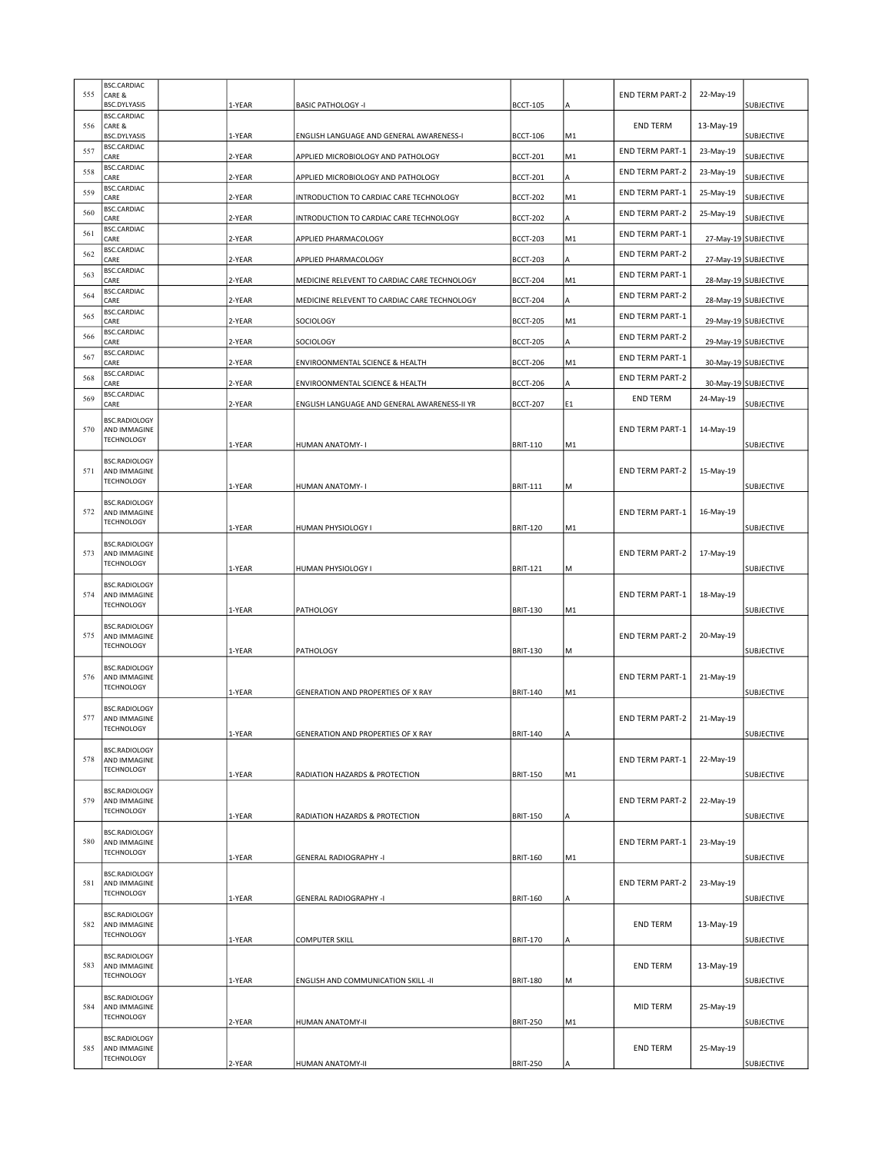| 555 | <b>BSC.CARDIAC</b><br>CARE &<br><b>BSC.DYLYASIS</b> | 1-YEAR | <b>BASIC PATHOLOGY -I</b>                    | <b>BCCT-105</b> | ΙA  | <b>END TERM PART-2</b> | 22-May-19 | <b>SUBJECTIVE</b>    |
|-----|-----------------------------------------------------|--------|----------------------------------------------|-----------------|-----|------------------------|-----------|----------------------|
| 556 | <b>BSC.CARDIAC</b><br>CARE &<br><b>BSC.DYLYASIS</b> | 1-YEAR | ENGLISH LANGUAGE AND GENERAL AWARENESS-I     | <b>BCCT-106</b> | M1  | <b>END TERM</b>        | 13-May-19 | SUBJECTIVE           |
| 557 | <b>BSC.CARDIAC</b><br>CARE                          | 2-YEAR | APPLIED MICROBIOLOGY AND PATHOLOGY           | <b>BCCT-201</b> | M1  | <b>END TERM PART-1</b> | 23-May-19 | SUBJECTIVE           |
| 558 | <b>BSC.CARDIAC</b><br>CARE                          | 2-YEAR | APPLIED MICROBIOLOGY AND PATHOLOGY           | <b>BCCT-201</b> | lA. | <b>END TERM PART-2</b> | 23-May-19 | SUBJECTIVE           |
| 559 | <b>BSC.CARDIAC</b><br>CARE                          | 2-YEAR | INTRODUCTION TO CARDIAC CARE TECHNOLOGY      | <b>BCCT-202</b> | M1  | <b>END TERM PART-1</b> | 25-May-19 | <b>SUBJECTIVE</b>    |
| 560 | <b>BSC.CARDIAC</b><br>CARE                          | 2-YEAR | INTRODUCTION TO CARDIAC CARE TECHNOLOGY      | <b>BCCT-202</b> | A   | <b>END TERM PART-2</b> | 25-May-19 | SUBJECTIVE           |
| 561 | <b>BSC.CARDIAC</b><br>CARE                          | 2-YEAR | APPLIED PHARMACOLOGY                         | <b>BCCT-203</b> | M1  | <b>END TERM PART-1</b> |           | 27-May-19 SUBJECTIVE |
| 562 | <b>BSC.CARDIAC</b><br>CARE                          | 2-YEAR | APPLIED PHARMACOLOGY                         | <b>BCCT-203</b> | A   | <b>END TERM PART-2</b> |           | 27-May-19 SUBJECTIVE |
| 563 | <b>BSC.CARDIAC</b><br>CARE                          | 2-YEAR | MEDICINE RELEVENT TO CARDIAC CARE TECHNOLOGY | <b>BCCT-204</b> | M1  | <b>END TERM PART-1</b> |           | 28-May-19 SUBJECTIVE |
| 564 | <b>BSC.CARDIAC</b><br>CARE                          | 2-YEAR | MEDICINE RELEVENT TO CARDIAC CARE TECHNOLOGY | <b>BCCT-204</b> | A   | <b>END TERM PART-2</b> |           | 28-May-19 SUBJECTIVE |
| 565 | <b>BSC.CARDIAC</b><br>CARE                          | 2-YEAR | SOCIOLOGY                                    | <b>BCCT-205</b> | M1  | <b>END TERM PART-1</b> |           | 29-May-19 SUBJECTIVE |
| 566 | <b>BSC.CARDIAC</b><br>CARE                          | 2-YEAR | SOCIOLOGY                                    | <b>BCCT-205</b> | ΙA  | <b>END TERM PART-2</b> |           | 29-May-19 SUBJECTIVE |
| 567 | <b>BSC.CARDIAC</b><br>CARE                          | 2-YEAR | ENVIROONMENTAL SCIENCE & HEALTH              | <b>BCCT-206</b> | M1  | <b>END TERM PART-1</b> |           | 30-May-19 SUBJECTIVE |
| 568 | <b>BSC.CARDIAC</b><br>CARE                          | 2-YEAR | ENVIROONMENTAL SCIENCE & HEALTH              | <b>BCCT-206</b> | A   | <b>END TERM PART-2</b> |           | 30-May-19 SUBJECTIVE |
| 569 | <b>BSC.CARDIAC</b><br>CARE                          | 2-YEAR | ENGLISH LANGUAGE AND GENERAL AWARENESS-II YR | <b>BCCT-207</b> | E1  | <b>END TERM</b>        | 24-May-19 | SUBJECTIVE           |
|     | <b>BSC.RADIOLOGY</b>                                |        |                                              |                 |     |                        |           |                      |
| 570 | AND IMMAGINE<br><b>TECHNOLOGY</b>                   | 1-YEAR | HUMAN ANATOMY- I                             | <b>BRIT-110</b> | M1  | <b>END TERM PART-1</b> | 14-May-19 | <b>SUBJECTIVE</b>    |
|     | <b>BSC.RADIOLOGY</b>                                |        |                                              |                 |     |                        |           |                      |
| 571 | AND IMMAGINE<br><b>TECHNOLOGY</b>                   | 1-YEAR | HUMAN ANATOMY- I                             | <b>BRIT-111</b> | M   | <b>END TERM PART-2</b> | 15-May-19 | SUBJECTIVE           |
|     | <b>BSC.RADIOLOGY</b>                                |        |                                              |                 |     |                        |           |                      |
| 572 | AND IMMAGINE<br><b>TECHNOLOGY</b>                   | 1-YEAR | HUMAN PHYSIOLOGY I                           | <b>BRIT-120</b> | M1  | <b>END TERM PART-1</b> | 16-May-19 | SUBJECTIVE           |
|     | <b>BSC.RADIOLOGY</b>                                |        |                                              |                 |     |                        |           |                      |
| 573 | AND IMMAGINE<br><b>TECHNOLOGY</b>                   | 1-YEAR | HUMAN PHYSIOLOGY I                           | <b>BRIT-121</b> | M   | <b>END TERM PART-2</b> | 17-May-19 | SUBJECTIVE           |
|     | <b>BSC.RADIOLOGY</b>                                |        |                                              |                 |     |                        |           |                      |
| 574 | AND IMMAGINE<br><b>TECHNOLOGY</b>                   | 1-YEAR | PATHOLOGY                                    | <b>BRIT-130</b> | M1  | <b>END TERM PART-1</b> | 18-May-19 | SUBJECTIVE           |
|     | <b>BSC.RADIOLOGY</b>                                |        |                                              |                 |     |                        |           |                      |
| 575 | AND IMMAGINE<br><b>TECHNOLOGY</b>                   | 1-YEAR | PATHOLOGY                                    | <b>BRIT-130</b> | M   | <b>END TERM PART-2</b> | 20-May-19 | <b>SUBJECTIVE</b>    |
|     | <b>BSC.RADIOLOGY</b>                                |        |                                              |                 |     |                        |           |                      |
| 576 | AND IMMAGINE<br><b>TECHNOLOGY</b>                   | 1-YEAR | GENERATION AND PROPERTIES OF X RAY           | <b>BRIT-140</b> | M1  | <b>END TERM PART-1</b> | 21-May-19 | <b>SUBJECTIVE</b>    |
|     | <b>BSC.RADIOLOGY</b>                                |        |                                              |                 |     |                        |           |                      |
| 577 | AND IMMAGINE<br><b>TECHNOLOGY</b>                   | 1-YEAR | GENERATION AND PROPERTIES OF X RAY           | <b>BRIT-140</b> | ΙA  | <b>END TERM PART-2</b> | 21-May-19 | SUBJECTIVE           |
|     | <b>BSC.RADIOLOGY</b>                                |        |                                              |                 |     |                        |           |                      |
| 578 | AND IMMAGINE<br><b>TECHNOLOGY</b>                   | 1-YEAR | RADIATION HAZARDS & PROTECTION               | <b>BRIT-150</b> | M1  | <b>END TERM PART-1</b> | 22-May-19 | SUBJECTIVE           |
|     | <b>BSC.RADIOLOGY</b>                                |        |                                              |                 |     |                        |           |                      |
| 579 | AND IMMAGINE<br><b>TECHNOLOGY</b>                   | 1-YEAR | RADIATION HAZARDS & PROTECTION               | <b>BRIT-150</b> | ΙA  | <b>END TERM PART-2</b> | 22-May-19 | <b>SUBJECTIVE</b>    |
|     | <b>BSC.RADIOLOGY</b>                                |        |                                              |                 |     |                        |           |                      |
| 580 | AND IMMAGINE<br><b>TECHNOLOGY</b>                   | 1-YEAR | <b>GENERAL RADIOGRAPHY -I</b>                | <b>BRIT-160</b> | M1  | <b>END TERM PART-1</b> | 23-May-19 | SUBJECTIVE           |
|     | <b>BSC.RADIOLOGY</b>                                |        |                                              |                 |     |                        |           |                      |
| 581 | AND IMMAGINE<br><b>TECHNOLOGY</b>                   | 1-YEAR | <b>GENERAL RADIOGRAPHY -I</b>                | <b>BRIT-160</b> | A   | <b>END TERM PART-2</b> | 23-May-19 | SUBJECTIVE           |
|     | <b>BSC.RADIOLOGY</b>                                |        |                                              |                 |     |                        |           |                      |
| 582 | AND IMMAGINE<br><b>TECHNOLOGY</b>                   | 1-YEAR | COMPUTER SKILL                               | <b>BRIT-170</b> | ΙA  | <b>END TERM</b>        | 13-May-19 | <b>SUBJECTIVE</b>    |
|     | <b>BSC.RADIOLOGY</b><br>AND IMMAGINE                |        |                                              |                 |     | <b>END TERM</b>        |           |                      |
| 583 | <b>TECHNOLOGY</b>                                   | 1-YEAR | ENGLISH AND COMMUNICATION SKILL -II          | <b>BRIT-180</b> | lм  |                        | 13-May-19 | <b>SUBJECTIVE</b>    |
|     | <b>BSC.RADIOLOGY</b>                                |        |                                              |                 |     |                        |           |                      |
| 584 | AND IMMAGINE<br><b>TECHNOLOGY</b>                   | 2-YEAR | HUMAN ANATOMY-II                             | <b>BRIT-250</b> | M1  | MID TERM               | 25-May-19 | SUBJECTIVE           |
|     | <b>BSC.RADIOLOGY</b>                                |        |                                              |                 |     |                        |           |                      |
| 585 | AND IMMAGINE<br><b>TECHNOLOGY</b>                   | 2-YEAR | HUMAN ANATOMY-II                             | <b>BRIT-250</b> | A   | <b>END TERM</b>        | 25-May-19 | SUBJECTIVE           |
|     |                                                     |        |                                              |                 |     |                        |           |                      |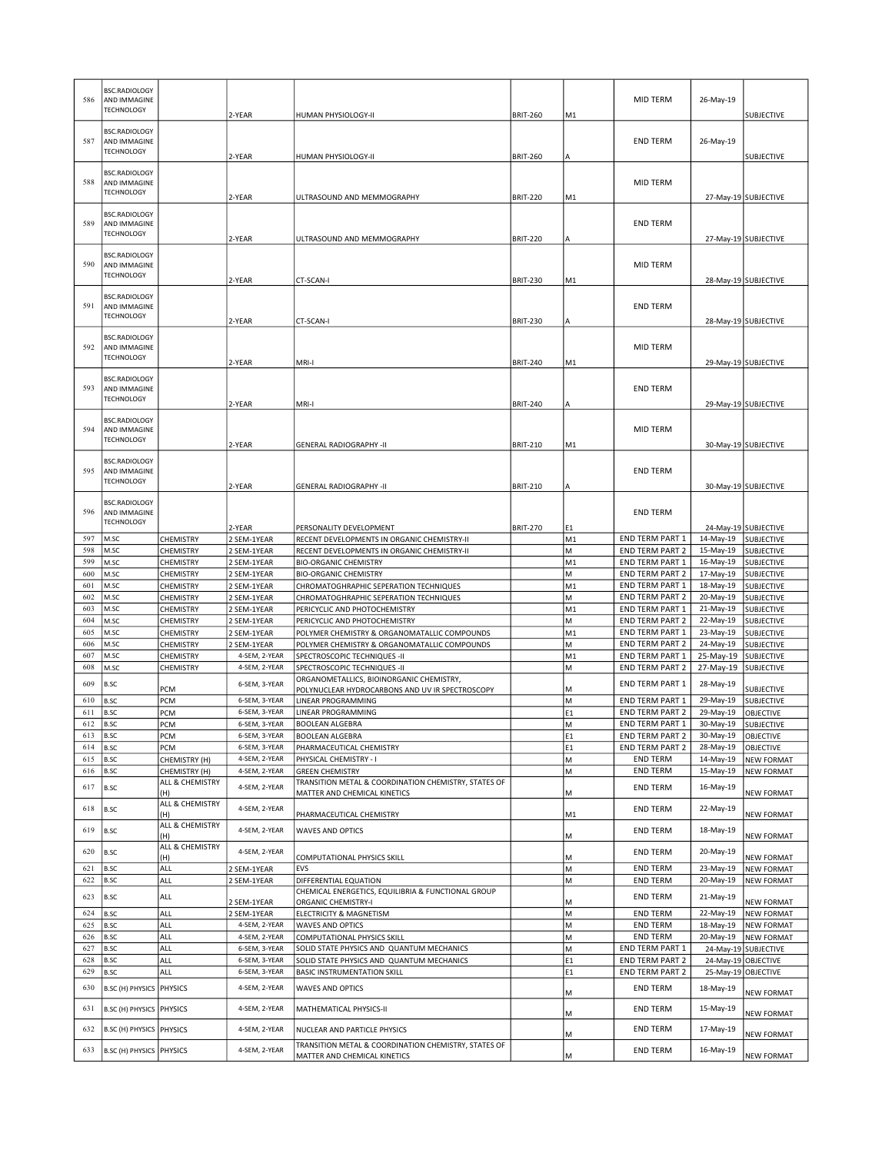| 586               | <b>BSC.RADIOLOGY</b><br>AND IMMAGINE<br><b>TECHNOLOGY</b> |                                           | 2-YEAR                         | HUMAN PHYSIOLOGY-II                                                                  | <b>BRIT-260</b> | M1                   | MID TERM                                  | 26-May-19                          | SUBJECTIVE                             |
|-------------------|-----------------------------------------------------------|-------------------------------------------|--------------------------------|--------------------------------------------------------------------------------------|-----------------|----------------------|-------------------------------------------|------------------------------------|----------------------------------------|
| 587               | <b>BSC.RADIOLOGY</b><br>AND IMMAGINE<br><b>TECHNOLOGY</b> |                                           | 2-YEAR                         | HUMAN PHYSIOLOGY-II                                                                  | <b>BRIT-260</b> | A                    | <b>END TERM</b>                           | 26-May-19                          | <b>SUBJECTIVE</b>                      |
| 588               | <b>BSC.RADIOLOGY</b><br>AND IMMAGINE<br><b>TECHNOLOGY</b> |                                           | 2-YEAR                         | ULTRASOUND AND MEMMOGRAPHY                                                           | <b>BRIT-220</b> | M1                   | MID TERM                                  |                                    | 27-May-19 SUBJECTIVE                   |
| 589               | <b>BSC.RADIOLOGY</b><br>AND IMMAGINE<br><b>TECHNOLOGY</b> |                                           | 2-YEAR                         | ULTRASOUND AND MEMMOGRAPHY                                                           | <b>BRIT-220</b> | A                    | <b>END TERM</b>                           |                                    | 27-May-19 SUBJECTIVE                   |
| 590               | <b>BSC.RADIOLOGY</b><br>AND IMMAGINE<br><b>TECHNOLOGY</b> |                                           | 2-YEAR                         | CT-SCAN-I                                                                            | <b>BRIT-230</b> | M1                   | <b>MID TERM</b>                           |                                    | 28-May-19 SUBJECTIVE                   |
| 591               | <b>BSC.RADIOLOGY</b><br>AND IMMAGINE<br><b>TECHNOLOGY</b> |                                           | 2-YEAR                         | CT-SCAN-I                                                                            | <b>BRIT-230</b> | A                    | <b>END TERM</b>                           |                                    | 28-May-19 SUBJECTIVE                   |
| 592               | <b>BSC.RADIOLOGY</b><br>AND IMMAGINE<br><b>TECHNOLOGY</b> |                                           | 2-YEAR                         | MRI-I                                                                                | <b>BRIT-240</b> | M1                   | MID TERM                                  |                                    | 29-May-19 SUBJECTIVE                   |
| 593               | <b>BSC.RADIOLOGY</b><br>AND IMMAGINE<br><b>TECHNOLOGY</b> |                                           | 2-YEAR                         | MRI-I                                                                                | <b>BRIT-240</b> | A                    | <b>END TERM</b>                           |                                    | 29-May-19 SUBJECTIVE                   |
| 594               | <b>BSC.RADIOLOGY</b><br>AND IMMAGINE<br><b>TECHNOLOGY</b> |                                           | 2-YEAR                         | <b>GENERAL RADIOGRAPHY -II</b>                                                       | <b>BRIT-210</b> | M1                   | MID TERM                                  |                                    | 30-May-19 SUBJECTIVE                   |
| 595               | <b>BSC.RADIOLOGY</b><br>AND IMMAGINE<br><b>TECHNOLOGY</b> |                                           | 2-YEAR                         | <b>GENERAL RADIOGRAPHY -II</b>                                                       | <b>BRIT-210</b> | A                    | <b>END TERM</b>                           |                                    | 30-May-19 SUBJECTIVE                   |
| 596               | <b>BSC.RADIOLOGY</b><br>AND IMMAGINE<br><b>TECHNOLOGY</b> |                                           | 2-YEAR                         | PERSONALITY DEVELOPMENT                                                              | <b>BRIT-270</b> | E <sub>1</sub>       | <b>END TERM</b>                           |                                    | 24-May-19 SUBJECTIVE                   |
| 597               | M.SC                                                      | CHEMISTRY                                 | 2 SEM-1YEAR                    | RECENT DEVELOPMENTS IN ORGANIC CHEMISTRY-II                                          |                 | M <sub>1</sub>       | <b>END TERM PART 1</b>                    | 14-May-19                          | <b>SUBJECTIVE</b>                      |
| 598<br>599        | M.SC                                                      | CHEMISTRY                                 | 2 SEM-1YEAR                    | RECENT DEVELOPMENTS IN ORGANIC CHEMISTRY-II                                          |                 | M                    | <b>END TERM PART 2</b>                    | 15-May-19                          | <b>SUBJECTIVE</b>                      |
| 600               | M.SC<br>M.SC                                              | CHEMISTRY<br>CHEMISTRY                    | 2 SEM-1YEAR<br>2 SEM-1YEAR     | <b>BIO-ORGANIC CHEMISTRY</b><br><b>BIO-ORGANIC CHEMISTRY</b>                         |                 | M <sub>1</sub><br>M  | <b>END TERM PART 1</b><br>END TERM PART 2 | 16-May-19<br>17-May-19             | <b>SUBJECTIVE</b><br><b>SUBJECTIVE</b> |
| 601               | M.SC                                                      | CHEMISTRY                                 | 2 SEM-1YEAR                    | CHROMATOGHRAPHIC SEPERATION TECHNIQUES                                               |                 | M1                   | <b>END TERM PART 1</b>                    | 18-May-19                          | <b>SUBJECTIVE</b>                      |
| 602               | M.SC                                                      | CHEMISTRY                                 | 2 SEM-1YEAR                    | CHROMATOGHRAPHIC SEPERATION TECHNIQUES                                               |                 | M                    | <b>END TERM PART 2</b>                    | 20-May-19                          | <b>SUBJECTIVE</b>                      |
| 603               | M.SC                                                      | CHEMISTRY                                 | 2 SEM-1YEAR                    | PERICYCLIC AND PHOTOCHEMISTRY                                                        |                 | M <sub>1</sub>       | <b>END TERM PART 1</b>                    | 21-May-19                          | SUBJECTIVE                             |
| 604               | M.SC                                                      | CHEMISTRY                                 | 2 SEM-1YEAR                    | PERICYCLIC AND PHOTOCHEMISTRY                                                        |                 | М                    | <b>END TERM PART 2</b>                    | 22-May-19                          | <b>SUBJECTIVE</b>                      |
| 605               | M.SC                                                      | CHEMISTRY                                 | 2 SEM-1YEAR                    | POLYMER CHEMISTRY & ORGANOMATALLIC COMPOUNDS                                         |                 | M <sub>1</sub>       | <b>END TERM PART 1</b>                    | 23-May-19                          | <b>SUBJECTIVE</b>                      |
| 606               | M.SC                                                      | CHEMISTRY                                 | 2 SEM-1YEAR                    | POLYMER CHEMISTRY & ORGANOMATALLIC COMPOUNDS                                         |                 | M                    | <b>END TERM PART 2</b>                    | 24-May-19                          | SUBJECTIVE                             |
| 607               | M.SC                                                      | CHEMISTRY                                 | 4-SEM, 2-YEAR                  | SPECTROSCOPIC TECHNIQUES -II                                                         |                 | M1                   | <b>END TERM PART 1</b>                    | 25-May-19                          | <b>SUBJECTIVE</b>                      |
| 608               | M.SC                                                      | CHEMISTRY                                 | 4-SEM, 2-YEAR                  | SPECTROSCOPIC TECHNIQUES -II<br>ORGANOMETALLICS, BIOINORGANIC CHEMISTRY,             |                 | M                    | <b>END TERM PART 2</b>                    | 27-May-19                          | SUBJECTIVE                             |
| 609               | B.SC                                                      | PCM                                       | 6-SEM, 3-YEAR                  | POLYNUCLEAR HYDROCARBONS AND UV IR SPECTROSCOPY                                      |                 | M                    | <b>END TERM PART 1</b>                    | 28-May-19                          | SUBJECTIVE                             |
| 610               | B.SC                                                      | PCM                                       | 6-SEM, 3-YEAR                  | LINEAR PROGRAMMING                                                                   |                 | M                    | <b>END TERM PART 1</b>                    | 29-May-19                          | SUBJECTIVE                             |
| 611               | B.SC                                                      | PCM                                       | 6-SEM, 3-YEAR                  | LINEAR PROGRAMMING                                                                   |                 | E <sub>1</sub>       | <b>END TERM PART 2</b>                    | 29-May-19                          | <b>OBJECTIVE</b>                       |
| 612               | B.SC                                                      | PCM                                       | 6-SEM, 3-YEAR                  | <b>BOOLEAN ALGEBRA</b>                                                               |                 | M                    | <b>END TERM PART 1</b>                    | 30-May-19                          | <b>SUBJECTIVE</b>                      |
| 613   B.SC<br>614 | B.SC                                                      | PCM<br>PCM                                | 6-SEM, 3-YEAR<br>6-SEM, 3-YEAR | JBOOLEAN ALGEBRA                                                                     |                 | E1<br>E <sub>1</sub> | <b>END TERM PART 2</b><br>END TERM PART 2 | 30-May-19   OBJECTIVE<br>28-May-19 |                                        |
| 615               | B.SC                                                      | CHEMISTRY (H)                             | 4-SEM, 2-YEAR                  | PHARMACEUTICAL CHEMISTRY<br>PHYSICAL CHEMISTRY - I                                   |                 | M                    | <b>END TERM</b>                           | 14-May-19                          | <b>OBJECTIVE</b><br><b>NEW FORMAT</b>  |
| 616               | B.SC                                                      | CHEMISTRY (H)                             | 4-SEM, 2-YEAR                  | <b>GREEN CHEMISTRY</b>                                                               |                 | M                    | <b>END TERM</b>                           | 15-May-19                          | <b>NEW FORMAT</b>                      |
| 617               | B.SC                                                      | ALL & CHEMISTRY<br>(H)<br>ALL & CHEMISTRY | 4-SEM, 2-YEAR                  | TRANSITION METAL & COORDINATION CHEMISTRY, STATES OF<br>MATTER AND CHEMICAL KINETICS |                 | M                    | <b>END TERM</b>                           | 16-May-19                          | <b>NEW FORMAT</b>                      |
| 618               | B.SC                                                      | (H)                                       | 4-SEM, 2-YEAR                  | PHARMACEUTICAL CHEMISTRY                                                             |                 | M1                   | <b>END TERM</b>                           | 22-May-19                          | <b>NEW FORMAT</b>                      |
| 619<br>620        | B.SC<br>B.SC                                              | ALL & CHEMISTRY<br>(H)<br>ALL & CHEMISTRY | 4-SEM, 2-YEAR<br>4-SEM, 2-YEAR | <b>WAVES AND OPTICS</b>                                                              |                 | М                    | <b>END TERM</b><br><b>END TERM</b>        | 18-May-19<br>20-May-19             | <b>NEW FORMAT</b>                      |
|                   |                                                           | (H)                                       |                                | COMPUTATIONAL PHYSICS SKILL                                                          |                 | M                    |                                           |                                    | <b>NEW FORMAT</b>                      |
| 621               | B.SC                                                      | <b>ALL</b>                                | 2 SEM-1YEAR                    | EVS                                                                                  |                 | M                    | <b>END TERM</b>                           | 23-May-19                          | <b>NEW FORMAT</b>                      |
| 622               | B.SC                                                      | ALL                                       | 2 SEM-1YEAR                    | DIFFERENTIAL EQUATION<br>CHEMICAL ENERGETICS, EQUILIBRIA & FUNCTIONAL GROUP          |                 | M                    | <b>END TERM</b>                           | 20-May-19                          | <b>NEW FORMAT</b>                      |
| 623               | B.SC                                                      | ALL                                       | 2 SEM-1YEAR                    | <b>ORGANIC CHEMISTRY-I</b>                                                           |                 | М                    | <b>END TERM</b>                           | 21-May-19                          | <b>NEW FORMAT</b>                      |
| 624               | B.SC                                                      | ALL                                       | 2 SEM-1YEAR                    | ELECTRICITY & MAGNETISM                                                              |                 | M                    | <b>END TERM</b>                           | 22-May-19                          | <b>NEW FORMAT</b>                      |
| 625               | B.SC                                                      | ALL                                       | 4-SEM, 2-YEAR                  | <b>WAVES AND OPTICS</b>                                                              |                 | M                    | <b>END TERM</b>                           | 18-May-19                          | <b>NEW FORMAT</b>                      |
| 626               | B.SC                                                      | ALL                                       | 4-SEM, 2-YEAR                  | <b>COMPUTATIONAL PHYSICS SKILL</b>                                                   |                 | M                    | <b>END TERM</b>                           | 20-May-19                          | <b>NEW FORMAT</b>                      |
| 627               | B.SC                                                      | ALL                                       | 6-SEM, 3-YEAR                  | SOLID STATE PHYSICS AND QUANTUM MECHANICS                                            |                 | M                    | <b>END TERM PART 1</b>                    |                                    | 24-May-19 SUBJECTIVE                   |
| 628<br>629        | B.SC<br>B.SC                                              | ALL<br>ALL                                | 6-SEM, 3-YEAR<br>6-SEM, 3-YEAR | SOLID STATE PHYSICS AND QUANTUM MECHANICS<br><b>BASIC INSTRUMENTATION SKILL</b>      |                 | E1<br>E1             | END TERM PART 2<br>END TERM PART 2        | 24-May-19 OBJECTIVE                |                                        |
|                   |                                                           |                                           |                                |                                                                                      |                 |                      |                                           | 25-May-19 OBJECTIVE                |                                        |
| 630<br>631        | B.SC (H) PHYSICS<br>B.SC (H) PHYSICS PHYSICS              | PHYSICS                                   | 4-SEM, 2-YEAR<br>4-SEM, 2-YEAR | WAVES AND OPTICS<br>MATHEMATICAL PHYSICS-II                                          |                 | М                    | <b>END TERM</b><br><b>END TERM</b>        | 18-May-19<br>15-May-19             | <b>NEW FORMAT</b>                      |
|                   |                                                           |                                           |                                |                                                                                      |                 | м                    |                                           |                                    | <b>NEW FORMAT</b>                      |
| 632<br>633        | B.SC (H) PHYSICS PHYSICS<br>B.SC (H) PHYSICS PHYSICS      |                                           | 4-SEM, 2-YEAR<br>4-SEM, 2-YEAR | NUCLEAR AND PARTICLE PHYSICS<br>TRANSITION METAL & COORDINATION CHEMISTRY, STATES OF |                 | М                    | <b>END TERM</b><br><b>END TERM</b>        | 17-May-19<br>16-May-19             | <b>NEW FORMAT</b>                      |
|                   |                                                           |                                           |                                | MATTER AND CHEMICAL KINETICS                                                         |                 | M                    |                                           |                                    | <b>NEW FORMAT</b>                      |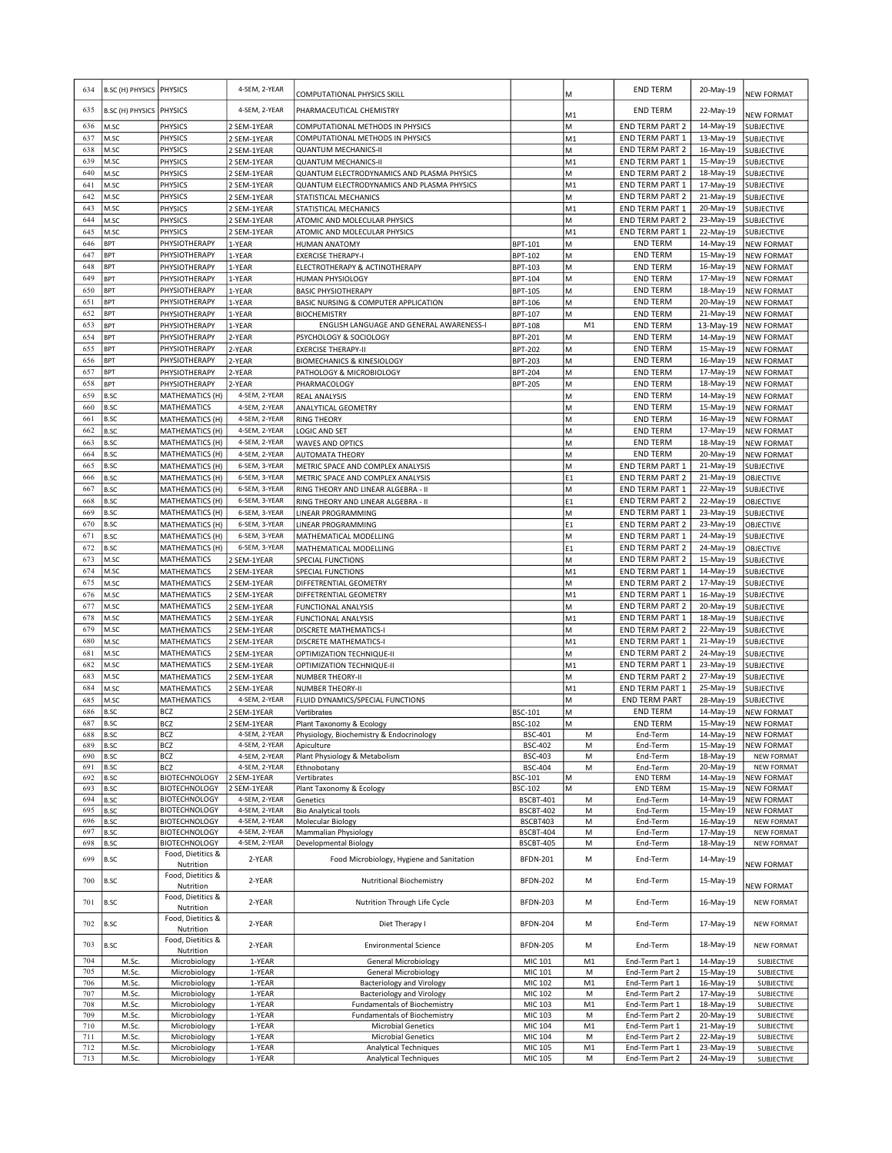| 634        | B.SC (H) PHYSICS PHYSICS   |                                              | 4-SEM, 2-YEAR                | COMPUTATIONAL PHYSICS SKILL                                          |                             | М                   | <b>END TERM</b>                           | 20-May-19              | NEW FORMAT                             |
|------------|----------------------------|----------------------------------------------|------------------------------|----------------------------------------------------------------------|-----------------------------|---------------------|-------------------------------------------|------------------------|----------------------------------------|
| 635        | <b>B.SC (H) PHYSICS</b>    | <b>PHYSICS</b>                               | 4-SEM, 2-YEAR                | PHARMACEUTICAL CHEMISTRY                                             |                             | M1                  | <b>END TERM</b>                           | 22-May-19              | <b>NEW FORMAT</b>                      |
| 636        | M.SC                       | <b>PHYSICS</b>                               | 2 SEM-1YEAR                  | COMPUTATIONAL METHODS IN PHYSICS                                     |                             | M                   | <b>END TERM PART 2</b>                    | 14-May-19              | <b>SUBJECTIVE</b>                      |
| 637        | M.SC                       | PHYSICS                                      | 2 SEM-1YEAR                  | COMPUTATIONAL METHODS IN PHYSICS                                     |                             | M <sub>1</sub>      | END TERM PART 1                           | 13-May-19              | <b>SUBJECTIVE</b>                      |
| 638        | M.SC                       | PHYSICS                                      | 2 SEM-1YEAR                  | <b>QUANTUM MECHANICS-II</b>                                          |                             | M                   | <b>END TERM PART 2</b>                    | 16-May-19              | <b>SUBJECTIVE</b>                      |
| 639        | M.SC                       | <b>PHYSICS</b>                               | 2 SEM-1YEAR                  | <b>QUANTUM MECHANICS-II</b>                                          |                             | M1                  | END TERM PART 1                           | 15-May-19              | SUBJECTIVE                             |
| 640        | M.SC                       | PHYSICS                                      | 2 SEM-1YEAR                  | QUANTUM ELECTRODYNAMICS AND PLASMA PHYSICS                           |                             | M                   | <b>END TERM PART 2</b>                    | 18-May-19              | <b>SUBJECTIVE</b>                      |
| 641        | M.SC                       | PHYSICS                                      | 2 SEM-1YEAR                  | QUANTUM ELECTRODYNAMICS AND PLASMA PHYSICS                           |                             | M <sub>1</sub>      | <b>END TERM PART 1</b>                    | 17-May-19              | <b>SUBJECTIVE</b>                      |
| 642<br>643 | M.SC<br>M.SC               | <b>PHYSICS</b>                               | 2 SEM-1YEAR                  | STATISTICAL MECHANICS                                                |                             | М                   | <b>END TERM PART 2</b>                    | 21-May-19              | SUBJECTIVE                             |
| 644        | M.SC                       | PHYSICS<br>PHYSICS                           | 2 SEM-1YEAR<br>2 SEM-1YEAR   | STATISTICAL MECHANICS<br>ATOMIC AND MOLECULAR PHYSICS                |                             | M <sub>1</sub><br>M | END TERM PART 1<br><b>END TERM PART 2</b> | 20-May-19<br>23-May-19 | <b>SUBJECTIVE</b><br>SUBJECTIVE        |
| 645        | M.SC                       | <b>PHYSICS</b>                               | 2 SEM-1YEAR                  | ATOMIC AND MOLECULAR PHYSICS                                         |                             | M <sub>1</sub>      | END TERM PART 1                           | 22-May-19              | <b>SUBJECTIVE</b>                      |
| 646        | <b>BPT</b>                 | PHYSIOTHERAPY                                | 1-YEAR                       | <b>HUMAN ANATOMY</b>                                                 | BPT-101                     | M                   | <b>END TERM</b>                           | 14-May-19              | <b>NEW FORMAT</b>                      |
| 647        | <b>BPT</b>                 | PHYSIOTHERAPY                                | 1-YEAR                       | <b>EXERCISE THERAPY-I</b>                                            | <b>BPT-102</b>              | M                   | <b>END TERM</b>                           | 15-May-19              | <b>NEW FORMAT</b>                      |
| 648        | <b>BPT</b>                 | PHYSIOTHERAPY                                | 1-YEAR                       | ELECTROTHERAPY & ACTINOTHERAPY                                       | BPT-103                     | M                   | <b>END TERM</b>                           | 16-May-19              | <b>NEW FORMAT</b>                      |
| 649        | <b>BPT</b>                 | PHYSIOTHERAPY                                | 1-YEAR                       | HUMAN PHYSIOLOGY                                                     | BPT-104                     | M                   | <b>END TERM</b>                           | 17-May-19              | <b>NEW FORMAT</b>                      |
| 650        | <b>BPT</b>                 | PHYSIOTHERAPY                                | 1-YEAR                       | <b>BASIC PHYSIOTHERAPY</b>                                           | <b>BPT-105</b>              | M                   | <b>END TERM</b>                           | 18-May-19              | <b>NEW FORMAT</b>                      |
| 651        | <b>BPT</b>                 | PHYSIOTHERAPY                                | 1-YEAR                       | BASIC NURSING & COMPUTER APPLICATION                                 | <b>BPT-106</b>              | M                   | <b>END TERM</b>                           | 20-May-19              | <b>NEW FORMAT</b>                      |
| 652        | <b>BPT</b>                 | PHYSIOTHERAPY                                | 1-YEAR                       | <b>BIOCHEMISTRY</b>                                                  | BPT-107                     | M                   | <b>END TERM</b>                           | 21-May-19              | NEW FORMAT                             |
| 653        | <b>BPT</b>                 | PHYSIOTHERAPY                                | 1-YEAR                       | ENGLISH LANGUAGE AND GENERAL AWARENESS-I                             | <b>BPT-108</b>              | M1                  | <b>END TERM</b>                           | 13-May-19              | <b>NEW FORMAT</b>                      |
| 654        | <b>BPT</b>                 | PHYSIOTHERAPY                                | 2-YEAR                       | PSYCHOLOGY & SOCIOLOGY                                               | <b>BPT-201</b>              | M                   | <b>END TERM</b>                           | 14-May-19              | <b>NEW FORMAT</b>                      |
| 655        | <b>BPT</b>                 | PHYSIOTHERAPY                                | 2-YEAR                       | <b>EXERCISE THERAPY-II</b>                                           | BPT-202                     | М                   | <b>END TERM</b>                           | 15-May-19              | NEW FORMAT                             |
| 656<br>657 | <b>BPT</b><br><b>BPT</b>   | PHYSIOTHERAPY                                | 2-YEAR                       | <b>BIOMECHANICS &amp; KINESIOLOGY</b>                                | <b>BPT-203</b>              | M                   | <b>END TERM</b><br><b>END TERM</b>        | 16-May-19              | <b>NEW FORMAT</b>                      |
| 658        | <b>BPT</b>                 | PHYSIOTHERAPY<br>PHYSIOTHERAPY               | 2-YEAR<br>2-YEAR             | PATHOLOGY & MICROBIOLOGY<br>PHARMACOLOGY                             | <b>BPT-204</b><br>BPT-205   | M<br>М              | <b>END TERM</b>                           | 17-May-19<br>18-May-19 | <b>NEW FORMAT</b><br><b>NEW FORMAT</b> |
| 659        | <b>B.SC</b>                | MATHEMATICS (H)                              | 4-SEM, 2-YEAR                |                                                                      |                             | M                   | <b>END TERM</b>                           | 14-May-19              |                                        |
| 660        | <b>B.SC</b>                | MATHEMATICS                                  | 4-SEM, 2-YEAR                | REAL ANALYSIS<br>ANALYTICAL GEOMETRY                                 |                             | M                   | <b>END TERM</b>                           | 15-May-19              | <b>NEW FORMAT</b><br><b>NEW FORMAT</b> |
| 661        | <b>B.SC</b>                | MATHEMATICS (H)                              | 4-SEM, 2-YEAR                | <b>RING THEORY</b>                                                   |                             | M                   | <b>END TERM</b>                           | 16-May-19              | <b>NEW FORMAT</b>                      |
| 662        | <b>B.SC</b>                | MATHEMATICS (H)                              | 4-SEM, 2-YEAR                | LOGIC AND SET                                                        |                             | M                   | <b>END TERM</b>                           | 17-May-19              | <b>NEW FORMAT</b>                      |
| 663        | <b>B.SC</b>                | MATHEMATICS (H)                              | 4-SEM, 2-YEAR                | WAVES AND OPTICS                                                     |                             | M                   | <b>END TERM</b>                           | 18-May-19              | <b>NEW FORMAT</b>                      |
| 664        | <b>B.SC</b>                | MATHEMATICS (H)                              | 4-SEM, 2-YEAR                | <b>AUTOMATA THEORY</b>                                               |                             | M                   | <b>END TERM</b>                           | 20-May-19              | <b>NEW FORMAT</b>                      |
| 665        | <b>B.SC</b>                | <b>MATHEMATICS (H)</b>                       | 6-SEM, 3-YEAR                | METRIC SPACE AND COMPLEX ANALYSIS                                    |                             | M                   | END TERM PART 1                           | 21-May-19              | <b>SUBJECTIVE</b>                      |
| 666        | <b>B.SC</b>                | MATHEMATICS (H)                              | 6-SEM, 3-YEAR                | METRIC SPACE AND COMPLEX ANALYSIS                                    |                             | E1                  | <b>END TERM PART 2</b>                    | 21-May-19              | OBJECTIVE                              |
| 667        | <b>B.SC</b>                | MATHEMATICS (H)                              | 6-SEM, 3-YEAR                | RING THEORY AND LINEAR ALGEBRA - II                                  |                             | M                   | END TERM PART 1                           | 22-May-19              | <b>SUBJECTIVE</b>                      |
| 668        | <b>B.SC</b>                | <b>MATHEMATICS (H)</b>                       | 6-SEM, 3-YEAR                | RING THEORY AND LINEAR ALGEBRA - II                                  |                             | E1                  | <b>END TERM PART 2</b>                    | 22-May-19              | OBJECTIVE                              |
| 669        | <b>B.SC</b>                | MATHEMATICS (H)                              | 6-SEM, 3-YEAR                | LINEAR PROGRAMMING                                                   |                             | M                   | END TERM PART 1                           | 23-May-19              | <b>SUBJECTIVE</b>                      |
| 670        | <b>B.SC</b>                | MATHEMATICS (H)                              | 6-SEM, 3-YEAR                | LINEAR PROGRAMMING                                                   |                             | E1                  | <b>END TERM PART 2</b>                    | 23-May-19              | OBJECTIVE                              |
| 671        | <b>B.SC</b>                | <b>MATHEMATICS (H)</b>                       | 6-SEM, 3-YEAR                | MATHEMATICAL MODELLING                                               |                             | M                   | <b>END TERM PART 1</b>                    | 24-May-19              | SUBJECTIVE                             |
| 672        | <b>B.SC</b>                | MATHEMATICS (H)                              | 6-SEM, 3-YEAR                | MATHEMATICAL MODELLING                                               |                             | E1                  | <b>END TERM PART 2</b>                    | 24-May-19              | OBJECTIVE                              |
| 673        | M.SC                       | MATHEMATICS                                  | 2 SEM-1YEAR                  | SPECIAL FUNCTIONS                                                    |                             | М                   | <b>END TERM PART 2</b>                    | 15-May-19              | SUBJECTIVE                             |
| 674        | M.SC                       | MATHEMATICS                                  | 2 SEM-1YEAR                  | SPECIAL FUNCTIONS                                                    |                             | M <sub>1</sub>      | <b>END TERM PART 1</b>                    | 14-May-19              | <b>SUBJECTIVE</b>                      |
| 675        | M.SC                       | MATHEMATICS                                  | 2 SEM-1YEAR                  | DIFFETRENTIAL GEOMETRY                                               |                             | M                   | <b>END TERM PART 2</b>                    | 17-May-19              | <b>SUBJECTIVE</b>                      |
| 676        | M.SC                       | MATHEMATICS                                  | 2 SEM-1YEAR                  | DIFFETRENTIAL GEOMETRY                                               |                             | M1                  | <b>END TERM PART 1</b>                    | 16-May-19              | <b>SUBJECTIVE</b>                      |
| 677        | M.SC                       | MATHEMATICS                                  | 2 SEM-1YEAR                  | <b>FUNCTIONAL ANALYSIS</b>                                           |                             | M                   | <b>END TERM PART 2</b>                    | 20-May-19              | <b>SUBJECTIVE</b>                      |
| 678        | M.SC                       | MATHEMATICS                                  | 2 SEM-1YEAR                  | <b>FUNCTIONAL ANALYSIS</b>                                           |                             | M <sub>1</sub>      | END TERM PART 1                           | 18-May-19              | <b>SUBJECTIVE</b>                      |
| 679        | M.SC                       | MATHEMATICS                                  | 2 SEM-1YEAR                  | <b>DISCRETE MATHEMATICS-I</b>                                        |                             | M                   | <b>END TERM PART 2</b>                    | 22-May-19              | SUBJECTIVE                             |
| 680        | M.SC                       | MATHEMATICS                                  | 2 SEM-1YEAR                  | DISCRETE MATHEMATICS-I                                               |                             | M <sub>1</sub>      | END TERM PART 1                           | 21-May-19              | <b>SUBJECTIVE</b>                      |
| 681        | M.SC                       | MATHEMATICS                                  | 2 SEM-1YEAR                  | OPTIMIZATION TECHNIQUE-II                                            |                             | M                   | <b>END TERM PART 2</b>                    | 24-May-19              | SUBJECTIVE                             |
| 682<br>683 | M.SC<br>M.SC               | MATHEMATICS                                  | 2 SEM-1YEAR<br>2 SEM-1YEAR   | OPTIMIZATION TECHNIQUE-II                                            |                             | M <sub>1</sub><br>M | END TERM PART 1<br><b>END TERM PART 2</b> | 23-May-19<br>27-May-19 | SUBJECTIVE                             |
| 684        | M.SC                       | MATHEMATICS<br>MATHEMATICS                   | 2 SEM-1YEAR                  | <b>NUMBER THEORY-II</b><br><b>NUMBER THEORY-II</b>                   |                             | M <sub>1</sub>      | END TERM PART 1                           | 25-May-19              | SUBJECTIVE<br>SUBJECTIVE               |
| 685        | M.SC                       | MATHEMATICS                                  | 4-SEM, 2-YEAR                | FLUID DYNAMICS/SPECIAL FUNCTIONS                                     |                             | M                   | <b>END TERM PART</b>                      | 28-May-19              | SUBJECTIVE                             |
| 686        | <b>B.SC</b>                | BCZ                                          | 2 SEM-1YEAR                  | Vertibrates                                                          | BSC-101                     | M                   | <b>END TERM</b>                           | 14-May-19              | <b>NEW FORMAT</b>                      |
| 687        | <b>B.SC</b>                | <b>BCZ</b>                                   | 2 SEM-1YEAR                  | Plant Taxonomy & Ecology                                             | <b>BSC-102</b>              | M                   | <b>END TERM</b>                           | 15-May-19              | <b>NEW FORMAT</b>                      |
| 688        | B.SC                       | BCZ                                          | 4-SEM. 2-YEAR                | Physiology, Biochemistry & Endocrinology                             | BSC-401                     | м                   | End-Term                                  | 14-May-19              | NEW FORMAT                             |
| 689        | <b>B.SC</b>                | BCZ                                          | 4-SEM, 2-YEAR                | Apiculture                                                           | <b>BSC-402</b>              | M                   | End-Term                                  | 15-May-19              | <b>NEW FORMAT</b>                      |
| 690        | <b>B.SC</b>                | BCZ                                          | 4-SEM, 2-YEAR                | Plant Physiology & Metabolism                                        | <b>BSC-403</b>              | М                   | End-Term                                  | 18-May-19              | <b>NEW FORMAT</b>                      |
| 691        | <b>B.SC</b>                | BCZ                                          | 4-SEM, 2-YEAR                | Ethnobotany                                                          | <b>BSC-404</b>              | M                   | End-Term                                  | 20-May-19              | <b>NEW FORMAT</b>                      |
| 692        | <b>B.SC</b>                | <b>BIOTECHNOLOGY</b>                         | 2 SEM-1YEAR                  | Vertibrates                                                          | BSC-101                     | М                   | <b>END TERM</b>                           | 14-May-19              | <b>NEW FORMAT</b>                      |
| 693<br>694 | <b>B.SC</b><br><b>B.SC</b> | <b>BIOTECHNOLOGY</b><br><b>BIOTECHNOLOGY</b> | 2 SEM-1YEAR<br>4-SEM, 2-YEAR | Plant Taxonomy & Ecology<br>Genetics                                 | <b>BSC-102</b><br>BSCBT-401 | М<br>М              | <b>END TERM</b><br>End-Term               | 15-May-19<br>14-May-19 | <b>NEW FORMAT</b><br><b>NEW FORMAT</b> |
| 695        | <b>B.SC</b>                | <b>BIOTECHNOLOGY</b>                         | 4-SEM, 2-YEAR                | <b>Bio Analytical tools</b>                                          | <b>BSCBT-402</b>            | M                   | End-Term                                  | 15-May-19              | NEW FORMAT                             |
| 696        | <b>B.SC</b>                | <b>BIOTECHNOLOGY</b>                         | 4-SEM, 2-YEAR                | Molecular Biology                                                    | BSCBT403                    | M                   | End-Term                                  | 16-May-19              | <b>NEW FORMAT</b>                      |
| 697        | <b>B.SC</b>                | <b>BIOTECHNOLOGY</b>                         | 4-SEM, 2-YEAR                | Mammalian Physiology                                                 | BSCBT-404                   | M                   | End-Term                                  | 17-May-19              | <b>NEW FORMAT</b>                      |
| 698        | <b>B.SC</b>                | <b>BIOTECHNOLOGY</b>                         | 4-SEM, 2-YEAR                | Developmental Biology                                                | BSCBT-405                   | M                   | End-Term                                  | 18-May-19              | <b>NEW FORMAT</b>                      |
| 699        | <b>B.SC</b>                | Food, Dietitics &                            | 2-YEAR                       | Food Microbiology, Hygiene and Sanitation                            | <b>BFDN-201</b>             | М                   | End-Term                                  | 14-May-19              |                                        |
|            |                            | Nutrition                                    |                              |                                                                      |                             |                     |                                           |                        | <b>NEW FORMAT</b>                      |
| 700        | <b>B.SC</b>                | Food, Dietitics &                            | 2-YEAR                       | <b>Nutritional Biochemistry</b>                                      | <b>BFDN-202</b>             | М                   | End-Term                                  | 15-May-19              | <b>NEW FORMAT</b>                      |
|            |                            | Nutrition<br>Food, Dietitics &               |                              |                                                                      |                             |                     |                                           |                        |                                        |
| 701        | <b>B.SC</b>                | Nutrition                                    | 2-YEAR                       | Nutrition Through Life Cycle                                         | <b>BFDN-203</b>             | М                   | End-Term                                  | 16-May-19              | <b>NEW FORMAT</b>                      |
|            |                            | Food, Dietitics &                            |                              |                                                                      |                             |                     |                                           |                        |                                        |
| 702        | B.SC                       | Nutrition                                    | 2-YEAR                       | Diet Therapy I                                                       | <b>BFDN-204</b>             | М                   | End-Term                                  | 17-May-19              | <b>NEW FORMAT</b>                      |
| 703        | B.SC                       | Food, Dietitics &                            | 2-YEAR                       | <b>Environmental Science</b>                                         | <b>BFDN-205</b>             | M                   | End-Term                                  | 18-May-19              | <b>NEW FORMAT</b>                      |
|            |                            | Nutrition                                    |                              |                                                                      |                             |                     |                                           |                        |                                        |
| 704        | M.Sc.                      | Microbiology                                 | 1-YEAR                       | <b>General Microbiology</b>                                          | MIC 101                     | M1                  | End-Term Part 1                           | 14-May-19              | SUBJECTIVE                             |
| 705<br>706 | M.Sc.<br>M.Sc.             | Microbiology                                 | 1-YEAR                       | <b>General Microbiology</b>                                          | MIC 101<br>MIC 102          | M<br>M1             | End-Term Part 2<br>End-Term Part 1        | 15-May-19              | SUBJECTIVE                             |
| 707        | M.Sc.                      | Microbiology<br>Microbiology                 | 1-YEAR<br>1-YEAR             | <b>Bacteriology and Virology</b><br><b>Bacteriology and Virology</b> | MIC 102                     | М                   | End-Term Part 2                           | 16-May-19<br>17-May-19 | SUBJECTIVE<br>SUBJECTIVE               |
| 708        | M.Sc.                      | Microbiology                                 | 1-YEAR                       | <b>Fundamentals of Biochemistry</b>                                  | MIC 103                     | M1                  | End-Term Part 1                           | 18-May-19              | SUBJECTIVE                             |
| 709        | M.Sc.                      | Microbiology                                 | 1-YEAR                       | <b>Fundamentals of Biochemistry</b>                                  | MIC 103                     | М                   | End-Term Part 2                           | 20-May-19              | SUBJECTIVE                             |
| 710        | M.Sc.                      | Microbiology                                 | 1-YEAR                       | <b>Microbial Genetics</b>                                            | MIC 104                     | M1                  | End-Term Part 1                           | $21-May-19$            | SUBJECTIVE                             |
| 711        | M.Sc.                      | Microbiology                                 | 1-YEAR                       | <b>Microbial Genetics</b>                                            | MIC 104                     | М                   | End-Term Part 2                           | 22-May-19              | SUBJECTIVE                             |
| 712        | M.Sc.                      | Microbiology                                 | 1-YEAR                       | <b>Analytical Techniques</b>                                         | MIC 105                     | M1                  | End-Term Part 1                           | 23-May-19              | SUBJECTIVE                             |
| 713        | M.Sc.                      | Microbiology                                 | 1-YEAR                       | <b>Analytical Techniques</b>                                         | MIC 105                     | М                   | End-Term Part 2                           | 24-May-19              | SUBJECTIVE                             |